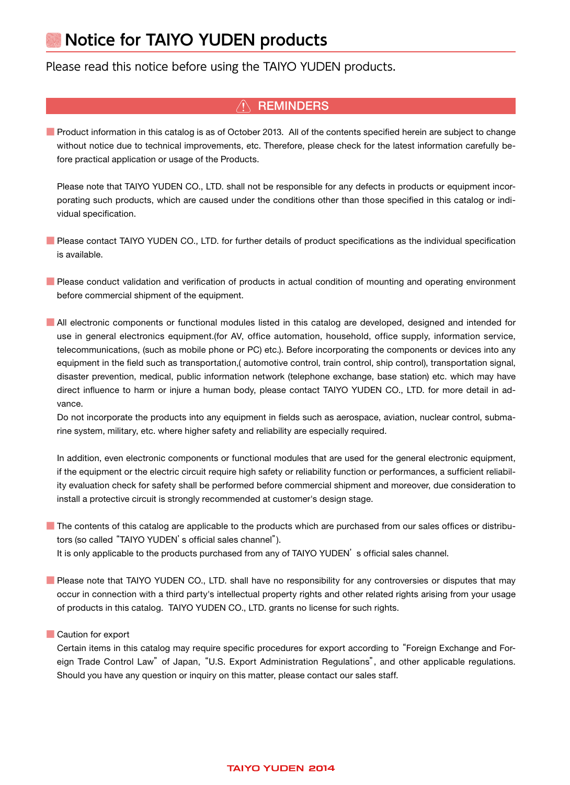## **Notice for TAIYO YUDEN products**

### Please read this notice before using the TAIYO YUDEN products.

### **REMINDERS**

■ Product information in this catalog is as of October 2013. All of the contents specified herein are subject to change without notice due to technical improvements, etc. Therefore, please check for the latest information carefully before practical application or usage of the Products.

Please note that TAIYO YUDEN CO., LTD. shall not be responsible for any defects in products or equipment incorporating such products, which are caused under the conditions other than those specified in this catalog or individual specification.

■ Please contact TAIYO YUDEN CO., LTD. for further details of product specifications as the individual specification is available.

■ Please conduct validation and verification of products in actual condition of mounting and operating environment before commercial shipment of the equipment.

■ All electronic components or functional modules listed in this catalog are developed, designed and intended for use in general electronics equipment.(for AV, office automation, household, office supply, information service, telecommunications, (such as mobile phone or PC) etc.). Before incorporating the components or devices into any equipment in the field such as transportation,( automotive control, train control, ship control), transportation signal, disaster prevention, medical, public information network (telephone exchange, base station) etc. which may have direct influence to harm or injure a human body, please contact TAIYO YUDEN CO., LTD. for more detail in advance.

Do not incorporate the products into any equipment in fields such as aerospace, aviation, nuclear control, submarine system, military, etc. where higher safety and reliability are especially required.

In addition, even electronic components or functional modules that are used for the general electronic equipment, if the equipment or the electric circuit require high safety or reliability function or performances, a sufficient reliability evaluation check for safety shall be performed before commercial shipment and moreover, due consideration to install a protective circuit is strongly recommended at customer's design stage.

■ The contents of this catalog are applicable to the products which are purchased from our sales offices or distributors (so called "TAIYO YUDEN's official sales channel").

It is only applicable to the products purchased from any of TAIYO YUDEN's official sales channel.

■ Please note that TAIYO YUDEN CO., LTD. shall have no responsibility for any controversies or disputes that may occur in connection with a third party's intellectual property rights and other related rights arising from your usage of products in this catalog. TAIYO YUDEN CO., LTD. grants no license for such rights.

■ Caution for export

Certain items in this catalog may require specific procedures for export according to "Foreign Exchange and Foreign Trade Control Law" of Japan, "U.S. Export Administration Regulations", and other applicable regulations. Should you have any question or inquiry on this matter, please contact our sales staff.

### **TAIYO YUDEN 2014**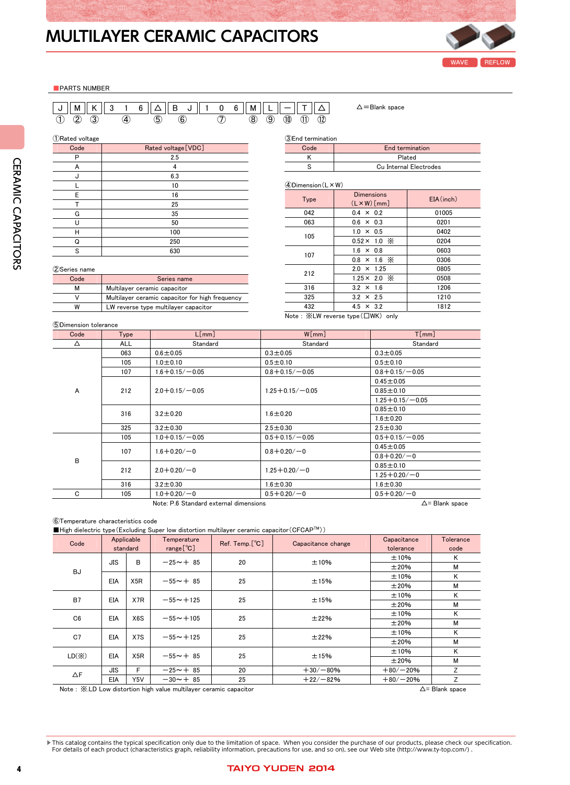# **MULTILAYER CERAMIC CAPACITORS**



■ PARTS NUMBER

| $\boxed{J \parallel M \parallel K \parallel 3 \quad 1 \quad 6 \parallel \triangle \parallel B \quad J \parallel 1 \quad 0 \quad 6 \parallel M \parallel L \parallel - \parallel T \parallel \triangle}$ |     |  |                               |  |
|---------------------------------------------------------------------------------------------------------------------------------------------------------------------------------------------------------|-----|--|-------------------------------|--|
|                                                                                                                                                                                                         | (5) |  | $(8)$ $(9)$ $(1)$ $(1)$ $(1)$ |  |

①Rated voltage

| <b>Under rended</b> |                     |
|---------------------|---------------------|
| Code                | Rated voltage [VDC] |
| P                   | 2.5                 |
| A                   | 4                   |
| J                   | 6.3                 |
|                     | 10                  |
| Ε                   | 16                  |
|                     | 25                  |
| G                   | 35                  |
| U                   | 50                  |
| Н                   | 100                 |
| Q                   | 250                 |
| S                   | 630                 |
|                     |                     |

| 2) Series name |                                                 |
|----------------|-------------------------------------------------|
| Code           | Series name                                     |
| м              | Multilayer ceramic capacitor                    |
|                | Multilayer ceramic capacitor for high frequency |
| w              | LW reverse type multilayer capacitor            |

| Q    |                        |  |  |  |  |
|------|------------------------|--|--|--|--|
| Code | End termination        |  |  |  |  |
|      | Plated                 |  |  |  |  |
|      | Cu Internal Electrodes |  |  |  |  |
|      |                        |  |  |  |  |

 $\triangle =$ Blank space

④Dimension(L×W)

③End termination

| Type | <b>Dimensions</b><br>$(L \times W)$ [mm] | EIA(inch) |
|------|------------------------------------------|-----------|
| 042  | $0.4 \times 0.2$                         | 01005     |
| 063  | $0.6 \times 0.3$                         | 0201      |
| 105  | $1.0 \times 0.5$                         | 0402      |
|      | $0.52 \times 1.0 \times$                 | 0204      |
| 107  | $1.6 \times 0.8$                         | 0603      |
|      | $0.8 \times 1.6 \times$                  | 0306      |
| 212  | $2.0 \times 1.25$                        | 0805      |
|      | $1.25 \times 2.0 \times$                 | 0508      |
| 316  | $3.2 \times 1.6$                         | 1206      |
| 325  | $3.2 \times 2.5$                         | 1210      |
| 432  | $4.5 \times 3.2$                         | 1812      |

Note : ※LW reverse type(□WK) only

| 5)Dimension tolerance |  |  |
|-----------------------|--|--|
| $\sim$ $\sim$         |  |  |

| Code | Type       | L[mm]                                  | W[mm]                 | T[mm]                  |
|------|------------|----------------------------------------|-----------------------|------------------------|
| Δ    | <b>ALL</b> | Standard                               | Standard              | Standard               |
|      | 063        | $0.6 \pm 0.05$                         | $0.3 + 0.05$          | $0.3 \pm 0.05$         |
|      | 105        | $1.0 \pm 0.10$                         | $0.5 + 0.10$          | $0.5 \pm 0.10$         |
|      | 107        | $1.6 + 0.15 / -0.05$                   | $0.8 + 0.15 / -0.05$  | $0.8 + 0.15 / -0.05$   |
|      |            |                                        |                       | $0.45 \pm 0.05$        |
| A    | 212        | $2.0 + 0.15 / -0.05$                   | $1.25 + 0.15 / -0.05$ | $0.85 \pm 0.10$        |
|      |            |                                        |                       | $1.25 + 0.15 / -0.05$  |
|      |            | $3.2 \pm 0.20$                         | $1.6 \pm 0.20$        | $0.85 \pm 0.10$        |
|      | 316        |                                        |                       | $1.6 \pm 0.20$         |
|      | 325        | $3.2 \pm 0.30$                         | $2.5 \pm 0.30$        | $2.5 \pm 0.30$         |
|      | 105        | $1.0 + 0.15 / -0.05$                   | $0.5 + 0.15 / -0.05$  | $0.5 + 0.15 / -0.05$   |
|      | 107        | $1.6 + 0.20 / -0$                      | $0.8 + 0.20 / -0$     | $0.45 \pm 0.05$        |
| в    |            |                                        |                       | $0.8 + 0.20 / -0$      |
|      |            |                                        |                       | $0.85 \pm 0.10$        |
|      | 212        | $2.0 + 0.20 / -0$                      | $1.25 + 0.20 / -0$    | $1.25 + 0.20 / -0$     |
|      | 316        | $3.2 \pm 0.30$                         | $1.6 \pm 0.30$        | $1.6 \pm 0.30$         |
| C    | 105        | $1.0 + 0.20 / -0$                      | $0.5 + 0.20 / -0$     | $0.5 + 0.20 / -0$      |
|      |            | Note: P.6 Standard external dimensions |                       | $\Delta$ = Blank space |

#### ⑥Temperature characteristics code

■High dielectric type (Excluding Super low distortion multilayer ceramic capacitor (CFCAP™))

| Code                             |     | Applicable<br>standard | Temperature<br>range $[°C]$ | $Ref.$ Temp. $[^{\circ}C]$ | Capacitance change | Capacitance<br>tolerance | Tolerance<br>code |   |
|----------------------------------|-----|------------------------|-----------------------------|----------------------------|--------------------|--------------------------|-------------------|---|
|                                  | JIS | B                      | $-25 - + 85$                | 20                         | ±10%               | ±10%                     | К                 |   |
| BJ                               |     |                        |                             |                            |                    | $\pm 20%$                | м                 |   |
|                                  | EIA | X <sub>5</sub> R       | $-55 - + 85$                | 25                         | ±15%               | ±10%                     | Κ                 |   |
|                                  |     |                        |                             |                            |                    | $\pm 20%$                | М                 |   |
| B7                               |     | EIA                    | X7R                         | $-55 - +125$               | 25                 | ±15%                     | ±10%              | Κ |
|                                  |     |                        |                             |                            |                    | ±20%                     | М                 |   |
| C6<br>EIA<br>X6S<br>$-55 - +105$ | 25  | ±22%                   | ±10%                        | K                          |                    |                          |                   |   |
|                                  |     |                        |                             |                            |                    | $\pm 20%$                | м                 |   |
| C <sub>0</sub>                   | EIA | X7S                    | $-55 - +125$                | 25                         | ±22%               | ±10%                     | K                 |   |
|                                  |     |                        |                             |                            |                    | $\pm 20\%$               | М                 |   |
| LD(X)                            | EIA | X5R                    | $-55 - + 85$                | 25                         | ±15%               | ±10%                     | K                 |   |
|                                  |     |                        |                             |                            |                    |                          | $\pm 20%$         | м |
| ΔF                               | JIS | F                      | $-25 - + 85$                | 20                         | $+30/-80%$         | $+80/-20%$               | Ζ                 |   |
|                                  | EIA | Y5V                    | $-30 - + 85$                | 25                         | $+22/ - 82%$       | $+80/-20%$               | Ζ                 |   |

Note : ※.LD Low distortion high value multilayer ceramic capacitor △ → △ → Blank space

c\_mlcc\_e-E02R02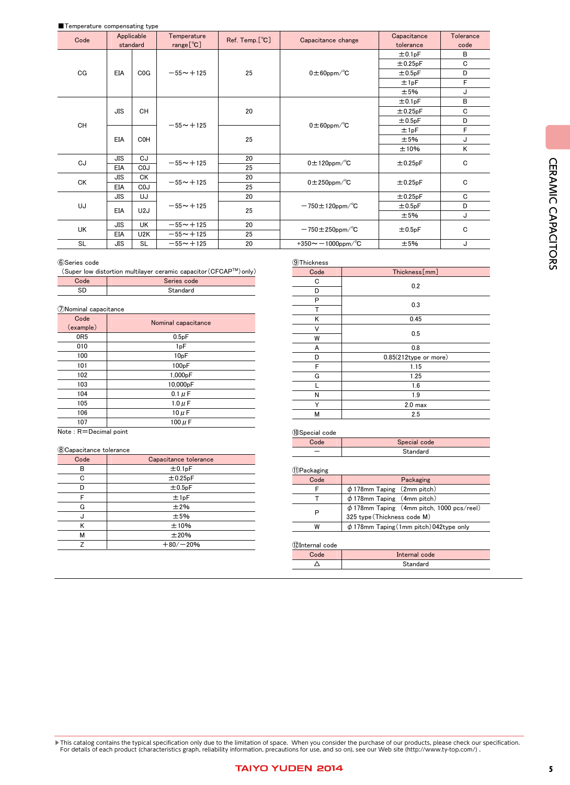### ■Temperature compensating type

| Code      |            | Applicable      | Temperature  | $Ref.$ Temp. $[°C]$ | Capacitance change           | Capacitance  | Tolerance |                             |        |   |      |      |
|-----------|------------|-----------------|--------------|---------------------|------------------------------|--------------|-----------|-----------------------------|--------|---|------|------|
|           |            | standard        | range $[°C]$ |                     |                              |              | code      |                             |        |   |      |      |
|           |            |                 |              |                     |                              | ±0.1pF       | в         |                             |        |   |      |      |
|           |            |                 |              |                     |                              | ±0.25pF      | C         |                             |        |   |      |      |
| CG        | EIA        | COG             | $-55 - +125$ | 25                  | $0 \pm 60$ ppm/ $\degree$ C  | ±0.5pF       | D         |                             |        |   |      |      |
|           |            |                 |              |                     |                              | ±1pF         | F         |                             |        |   |      |      |
|           |            |                 |              |                     |                              | ±5%          | J         |                             |        |   |      |      |
|           |            |                 |              |                     |                              | ±0.1pF       | B         |                             |        |   |      |      |
|           | <b>JIS</b> | CH              |              |                     | 20                           |              | ±0.25pF   | C                           |        |   |      |      |
| <b>CH</b> |            |                 |              |                     |                              | $-55 - +125$ |           | $0 \pm 60$ ppm/ $\degree$ C | ±0.5pF | D |      |      |
|           |            |                 |              |                     |                              |              |           |                             |        |   | ±1pF | F    |
|           | EIA        | C <sub>OH</sub> |              | 25                  |                              | ±5%          | J         |                             |        |   |      |      |
|           |            |                 |              |                     |                              |              |           |                             |        |   |      | ±10% |
| CJ        | <b>JIS</b> | CJ              | $-55 - +125$ | 20                  | $0 \pm 120$ ppm/ $\degree$ C | ±0.25pF      | C         |                             |        |   |      |      |
|           | EIA        | C <sub>0</sub>  |              | 25                  |                              |              |           |                             |        |   |      |      |
| СK        | <b>JIS</b> | <b>CK</b>       | $-55 - +125$ | 20                  | $0 \pm 250$ ppm/ $\degree$ C |              | C         |                             |        |   |      |      |
|           | <b>EIA</b> | C <sub>0</sub>  |              | 25                  |                              | ±0.25pF      |           |                             |        |   |      |      |
|           | <b>JIS</b> | UJ              |              | 20                  |                              | ±0.25pF      | C         |                             |        |   |      |      |
| UJ        |            |                 | $-55 - +125$ | 25                  | $-750 \pm 120$ ppm/°C        | ±0.5pF       | D         |                             |        |   |      |      |
|           | EIA        | U2J             |              |                     |                              | ±5%          | J         |                             |        |   |      |      |
| UK        | <b>JIS</b> | <b>UK</b>       | $-55 - +125$ | 20                  |                              | ±0.5pF       | C         |                             |        |   |      |      |
|           | EIA        | U2K             | $-55 - +125$ | 25                  | $-750 \pm 250$ ppm/°C        |              |           |                             |        |   |      |      |
| <b>SL</b> | <b>JIS</b> | <b>SL</b>       | $-55 - +125$ | 20                  | +350 $\sim$ -1000ppm/°C      | ±5%          | J         |                             |        |   |      |      |

#### ⑥Series code

| (Super low distortion multilayer ceramic capacitor (CFCAP™) only) |             |  |  |  |  |
|-------------------------------------------------------------------|-------------|--|--|--|--|
| Code                                                              | Series code |  |  |  |  |
| SD                                                                | Standard    |  |  |  |  |

| 7Nominal capacitance |                     |  |  |  |  |
|----------------------|---------------------|--|--|--|--|
| Code                 | Nominal capacitance |  |  |  |  |
| (example)            |                     |  |  |  |  |
| 0R <sub>5</sub>      | 0.5pF               |  |  |  |  |
| 010                  | 1 <sub>p</sub> F    |  |  |  |  |
| 100                  | 10 <sub>p</sub> F   |  |  |  |  |
| 101                  | 100 <sub>p</sub> F  |  |  |  |  |
| 102                  | 1,000pF             |  |  |  |  |
| 103                  | 10.000pF            |  |  |  |  |
| 104                  | $0.1 \mu F$         |  |  |  |  |
| 105                  | 1.0 $\mu$ F         |  |  |  |  |
| 106                  | $10 \mu F$          |  |  |  |  |
| 107                  | 100 $\mu$ F         |  |  |  |  |
|                      |                     |  |  |  |  |

Note : R=Decimal point

#### ⑧Capacitance tolerance

| Code | Capacitance tolerance |
|------|-----------------------|
| в    | ±0.1pF                |
| C    | ±0.25pF               |
| D    | ±0.5pF                |
| F    | ±1pF                  |
| G    | ±2%                   |
| J    | ±5%                   |
| Κ    | ±10%                  |
| M    | ±20%                  |
|      | $+80/-20%$            |
|      |                       |

| <b>9Thickness</b> |                          |
|-------------------|--------------------------|
| Code              | Thickness [mm]           |
| C                 | 0.2                      |
| D                 |                          |
| P                 |                          |
| т                 | 0.3                      |
| Κ                 | 0.45                     |
| ν                 | 0.5                      |
| W                 |                          |
| A                 | 0.8                      |
| D                 | $0.85(212$ type or more) |
| F                 | 1.15                     |
| G                 | 1.25                     |
|                   | 1.6                      |
| N                 | 1.9                      |
| Υ                 | 2.0 <sub>max</sub>       |
| М                 | 2.5                      |

### ⑩Special code

| Special code |
|--------------|
| Standard     |

#### ⑪Packaging

| <b>WE GUNGSTER</b> |                                                                               |
|--------------------|-------------------------------------------------------------------------------|
| Code               | Packaging                                                                     |
|                    | $\phi$ 178mm Taping (2mm pitch)                                               |
|                    | $\phi$ 178mm Taping (4mm pitch)                                               |
| ₽                  | $\phi$ 178mm Taping (4mm pitch, 1000 pcs/reel)<br>325 type (Thickness code M) |
| w                  | $\phi$ 178mm Taping (1mm pitch) 042type only                                  |

## ⑫Internal code

| Internal code |
|---------------|
| dard          |
|               |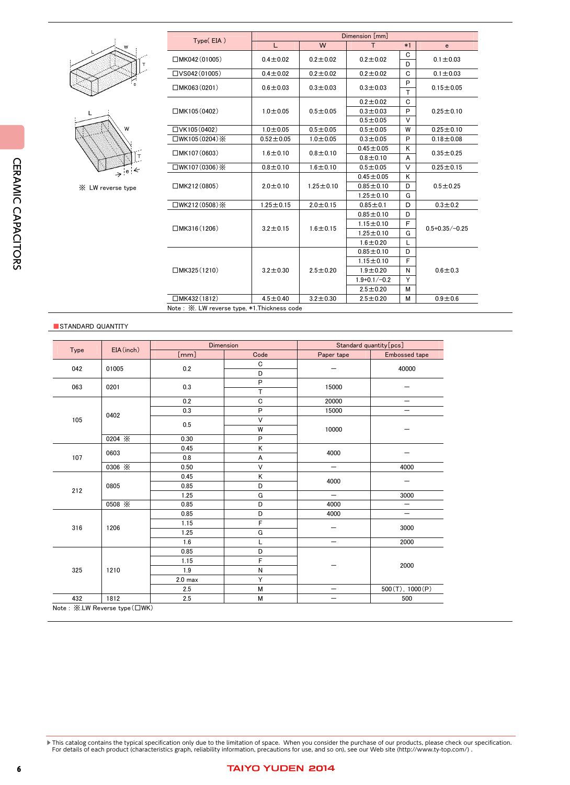| w |
|---|
| e |

| . .     |
|---------|
| W       |
|         |
|         |
| ¦<br>¦← |
| e<br>ï  |

 $\overline{1}$ 

※ LW reverse type

| Type(EIA)                                    | Dimension [mm]  |                 |                    |        |                      |  |  |  |
|----------------------------------------------|-----------------|-----------------|--------------------|--------|----------------------|--|--|--|
|                                              | L               | W               | T                  | $*1$   | e                    |  |  |  |
| MKO42(01005)                                 | $0.4 \pm 0.02$  | $0.2 \pm 0.02$  | $0.2 \pm 0.02$     | C<br>D | $0.1 \pm 0.03$       |  |  |  |
| □VS042(01005)                                | $0.4 \pm 0.02$  | $0.2 \pm 0.02$  | $0.2 \pm 0.02$     | C      | $0.1 \pm 0.03$       |  |  |  |
| □MK063(0201)                                 | $0.6 \pm 0.03$  | $0.3 \pm 0.03$  | $0.3 \pm 0.03$     | P<br>T | $0.15 \pm 0.05$      |  |  |  |
|                                              |                 |                 | $0.2 \pm 0.02$     | C      |                      |  |  |  |
| $M$ K105 $(0402)$                            | $1.0 + 0.05$    | $0.5 \pm 0.05$  | $0.3 \pm 0.03$     | P      | $0.25 \pm 0.10$      |  |  |  |
|                                              |                 |                 | $0.5 + 0.05$       | V      |                      |  |  |  |
| □VK105(0402)                                 | $1.0 \pm 0.05$  | $0.5 \pm 0.05$  | $0.5 + 0.05$       | W      | $0.25 \pm 0.10$      |  |  |  |
| □WK105(0204)※                                | $0.52 \pm 0.05$ | $1.0 \pm 0.05$  | $0.3 + 0.05$       | P      | $0.18 + 0.08$        |  |  |  |
| $M$ K107 $(0603)$                            | $1.6 \pm 0.10$  | $0.8 + 0.10$    | $0.45 \pm 0.05$    | κ      | $0.35 \pm 0.25$      |  |  |  |
|                                              |                 |                 | $0.8 + 0.10$       | A      |                      |  |  |  |
| $\square$ WK107 (0306) $\times$              | $0.8 \pm 0.10$  | $1.6 \pm 0.10$  | $0.5 \pm 0.05$     | $\vee$ | $0.25 \pm 0.15$      |  |  |  |
|                                              | $2.0 \pm 0.10$  |                 | $0.45 \pm 0.05$    | Κ      |                      |  |  |  |
| $M$ K212 $(0805)$                            |                 | $1.25 \pm 0.10$ | $0.85 \pm 0.10$    | D      | $0.5 \pm 0.25$       |  |  |  |
|                                              |                 |                 | $1.25 \pm 0.10$    | G      |                      |  |  |  |
| $\square$ WK212(0508) $\times$               | $1.25 \pm 0.15$ | $2.0 \pm 0.15$  | $0.85 \pm 0.1$     | D      | $0.3 + 0.2$          |  |  |  |
|                                              |                 |                 | $0.85 \pm 0.10$    | D      |                      |  |  |  |
| $M$ K316 $(1206)$                            | $3.2 \pm 0.15$  | $1.6 \pm 0.15$  | $1.15 \pm 0.10$    | F      | $0.5 + 0.35 / -0.25$ |  |  |  |
|                                              |                 |                 | $1.25 \pm 0.10$    | G      |                      |  |  |  |
|                                              |                 |                 | $1.6 \pm 0.20$     | L      |                      |  |  |  |
|                                              |                 |                 | $0.85 \pm 0.10$    | D      |                      |  |  |  |
|                                              |                 |                 | $1.15 \pm 0.10$    | F      |                      |  |  |  |
| MK325(1210)                                  | $3.2 \pm 0.30$  | $2.5 \pm 0.20$  | $1.9 \pm 0.20$     | Ν      | $0.6 + 0.3$          |  |  |  |
|                                              |                 |                 | $1.9 + 0.1 / -0.2$ | Y      |                      |  |  |  |
|                                              |                 |                 | $2.5 \pm 0.20$     | М      |                      |  |  |  |
| MK432(1812)                                  | $4.5 \pm 0.40$  | $3.2 \pm 0.30$  | $2.5 \pm 0.20$     | М      | $0.9 + 0.6$          |  |  |  |
| Note: X. LW reverse type, *1. Thickness code |                 |                 |                    |        |                      |  |  |  |

### ■STANDARD QUANTITY

|      |               |                    | <b>Dimension</b> |                                                                                                                    | Standard quantity [pcs] |
|------|---------------|--------------------|------------------|--------------------------------------------------------------------------------------------------------------------|-------------------------|
| Type | EIA(inch)     | [mm]               | Code             | Paper tape                                                                                                         | Embossed tape           |
| 042  | 01005         |                    | C                |                                                                                                                    | 40000                   |
|      |               | 0.2                | D                |                                                                                                                    |                         |
| 063  | 0201          | 0.3                | P                |                                                                                                                    |                         |
|      |               |                    | T                |                                                                                                                    |                         |
|      |               | 0.2                | C                | 20000                                                                                                              | -                       |
|      | 0402          | 0.3                | P                | 15000                                                                                                              | $\qquad \qquad$         |
| 105  |               |                    | $\vee$           |                                                                                                                    |                         |
|      |               | 0.5                | W                | 10000                                                                                                              |                         |
|      | 0204 $\times$ | 0.30               | P                |                                                                                                                    |                         |
|      |               | 0.45               | Κ                | 4000<br>$\qquad \qquad -$                                                                                          |                         |
| 107  | 0603          | 0.8                | A                |                                                                                                                    |                         |
|      | 0306 $\times$ | 0.50               | $\vee$           |                                                                                                                    | 4000                    |
|      |               | 0.45               | Κ                |                                                                                                                    |                         |
| 212  | 0805          | 0.85               | D                |                                                                                                                    |                         |
|      |               | 1.25               | G                | $\equiv$                                                                                                           | 3000                    |
|      | 0508 $\times$ | 0.85               | D                | 4000                                                                                                               | $\equiv$                |
|      |               | 0.85               | D                | 4000                                                                                                               | $\qquad \qquad -$       |
|      |               | 1.15               | F                | 15000<br>4000<br>G<br>L<br>$\overline{\phantom{m}}$<br>D<br>F<br>N<br>Υ<br>M<br>-<br>M<br>$\overline{\phantom{0}}$ |                         |
| 316  | 1206          | 1.25               |                  |                                                                                                                    | 3000                    |
|      |               | 1.6                |                  |                                                                                                                    | 2000                    |
|      |               | 0.85               |                  |                                                                                                                    |                         |
|      |               | 1.15               |                  |                                                                                                                    |                         |
| 325  | 1210          | 1.9                |                  |                                                                                                                    | 2000                    |
|      |               | 2.0 <sub>max</sub> |                  |                                                                                                                    |                         |
|      |               | 2.5                |                  |                                                                                                                    | 500(T), 1000(P)         |
| 432  | 1812          | 2.5                |                  |                                                                                                                    | 500                     |

Note : ※.LW Reverse type(□WK)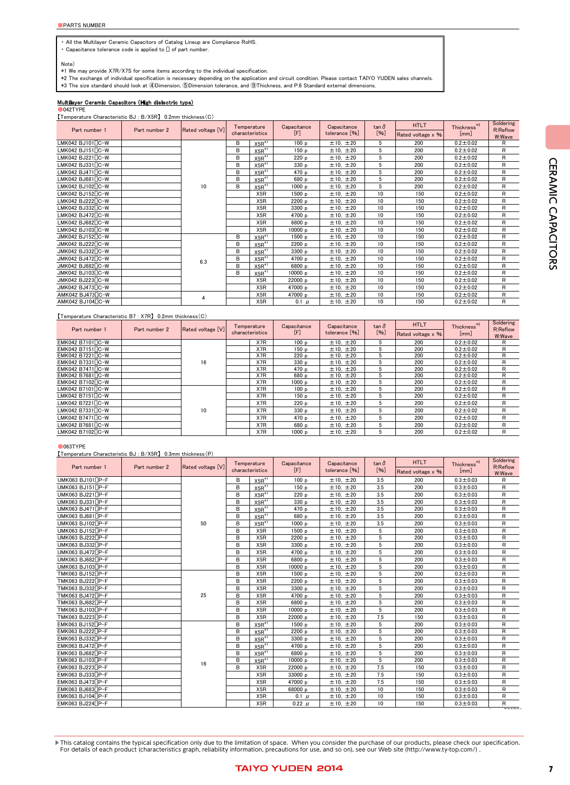・ All the Multilayer Ceramic Capacitors of Catalog Lineup are Compliance RoHS. ・ Capacitance tolerance code is applied to [] of part number.

Note)

\*1 We may provide X7R/X7S for some items according to the individual specification.

\*2 The exchange of individual specification is necessary depending on the application and circuit condition. Please contact TAIYO YUDEN sales channels.

\*3 The size standard should look at ④Dimension, ⑤Dimension tolerance, and ⑨Thickness, and P.6 Standard external dimensions.

#### Multilayer Ceramic Capacitors (High dielectric type)

 $042$ TYPE 【Temperature Characteristic BJ : B/X5R】 0.2mm thickness(C)

|                                |               | Rated voltage [V] | Temperature |                  | Capacitance      | Capacitance   | $\tan \delta$ | <b>HTLT</b>       | Thickness*3    | Soldering          |
|--------------------------------|---------------|-------------------|-------------|------------------|------------------|---------------|---------------|-------------------|----------------|--------------------|
| Part number 1                  | Part number 2 |                   |             | characteristics  | [F]              | tolerance [%] | $[%]$         | Rated voltage x % | [mm]           | R:Reflow<br>W:Wave |
| LMK042 BJ101∏C-W               |               |                   | в           | $X5R^{*1}$       | 100 <sub>p</sub> | ±10, ±20      | 5             | 200               | $0.2 \pm 0.02$ | R                  |
| LMK042 BJ151∏C-W               |               |                   | B           | $X5R^{*1}$       | 150p             | ±10, ±20      | 5             | 200               | $0.2 \pm 0.02$ | R                  |
| LMK042 BJ221∏C-W               |               |                   | в           | $X5R^{*1}$       | 220p             | ±10, ±20      | 5             | 200               | $0.2 \pm 0.02$ | R                  |
| LMK042 BJ331∏C-W               |               |                   | B           | $X5R^{*1}$       | 330 p            | ±10, ±20      | 5             | 200               | $0.2 + 0.02$   | R                  |
| LMK042 BJ471 ΠC-W              |               |                   | B           | $X5R^{*1}$       | 470 p            | ±10, ±20      | 5             | 200               | $0.2 \pm 0.02$ | R                  |
| LMK042 BJ681 $\P$ C-W          |               |                   | в           | $X5R^{*1}$       | 680 p            | ±10, ±20      | 5             | 200               | $0.2 \pm 0.02$ | R                  |
| LMK042 BJ102∏C-W               |               | 10                | в           | $X5R^{*1}$       | 1000 p           | ±10, ±20      | 5             | 200               | $0.2 \pm 0.02$ | R                  |
| LMK042 BJ152 <sub>D</sub> C-W  |               |                   |             | X <sub>5</sub> R | 1500p            | ±10, ±20      | 10            | 150               | $0.2 \pm 0.02$ | R                  |
| LMK042 BJ222 <sup>1</sup> C-W  |               |                   |             | X <sub>5</sub> R | 2200 p           | ±10, ±20      | 10            | 150               | $0.2 \pm 0.02$ | R                  |
| LMK042 BJ332 $\neg$ C-W        |               |                   |             | X <sub>5R</sub>  | 3300 p           | ±10, ±20      | 10            | 150               | $0.2 \pm 0.02$ | R                  |
| LMK042 BJ472 $\neg$ C-W        |               |                   |             | X <sub>5</sub> R | 4700 p           | ±10, ±20      | 10            | 150               | $0.2 \pm 0.02$ | R                  |
| LMK042 BJ682 $\neg$ C-W        |               |                   |             | X <sub>5</sub> R | 6800 p           | ±10, ±20      | 10            | 150               | $0.2 \pm 0.02$ | R                  |
| LMK042 BJ103 $\neg$ C-W        |               |                   |             | X <sub>5</sub> R | 10000 p          | ±10, ±20      | 10            | 150               | $0.2 \pm 0.02$ | R                  |
| JMK042 BJ152 <sub>□</sub> C-W  |               |                   | в           | $X5R^{*1}$       | 1500p            | ±10, ±20      | 10            | 150               | $0.2 \pm 0.02$ | R                  |
| JMK042 BJ222 <sup>[</sup> C-W  |               |                   | B           | $X5R^{*1}$       | 2200 p           | ±10, ±20      | 10            | 150               | $0.2 \pm 0.02$ | R                  |
| JMK042 BJ332 C-W               |               |                   | B           | $X5R^{*1}$       | 3300 p           | ±10, ±20      | 10            | 150               | $0.2 \pm 0.02$ | R                  |
| JMK042 BJ472[]C-W              |               | 6.3               | B           | $X5R^{*1}$       | 4700 p           | ±10, ±20      | 10            | 150               | $0.2 \pm 0.02$ | R                  |
| JMK042 BJ682 C-W               |               |                   | B           | $X5R^{*1}$       | 6800 p           | ±10, ±20      | 10            | 150               | $0.2 \pm 0.02$ | R                  |
| JMK042 BJ103 C-W               |               |                   | B           | $X5R^{*1}$       | 10000 p          | ±10, ±20      | 10            | 150               | $0.2 + 0.02$   | R                  |
| JMK042 BJ223[C-W               |               |                   |             | X <sub>5</sub> R | 22000 p          | ±10, ±20      | 10            | 150               | $0.2 \pm 0.02$ | R                  |
| JMK042 BJ473 <sup>[</sup> ]C-W |               |                   |             | X <sub>5</sub> R | 47000 p          | ±10, ±20      | 10            | 150               | $0.2 \pm 0.02$ | R                  |
| AMK042 BJ473 C-W               |               | 4                 |             | X <sub>5</sub> R | 47000 p          | ±10, ±20      | 10            | 150               | $0.2 \pm 0.02$ | R                  |
| AMK042 BJ104 C-W               |               |                   |             | X5R              | $0.1$ $\mu$      | ±10, ±20      | 10            | 150               | $0.2 \pm 0.02$ | R                  |

#### 【Temperature Characteristic B7 : X7R】 0.2mm thickness(C)

| Part number 1                 | Part number 2 | Rated voltage [V] | Temperature            | Capacitance      | Capacitance   | $\tan \delta$ | <b>HTLT</b>       | Thickness <sup>*3</sup> | Soldering<br>R:Reflow |
|-------------------------------|---------------|-------------------|------------------------|------------------|---------------|---------------|-------------------|-------------------------|-----------------------|
|                               |               |                   | [F]<br>characteristics |                  | tolerance [%] | $[%]$         | Rated voltage x % | $\lceil$ mm $\rceil$    | W:Wave                |
| EMK042 B7101[]C-W             |               |                   | X7R                    | 100p             | ±10, ±20      | 5             | 200               | $0.2 \pm 0.02$          | R                     |
| EMK042 B7151∏C-W              |               |                   | X7R                    | 150p             | ±10, ±20      | 5             | 200               | $0.2 \pm 0.02$          | R                     |
| EMK042 B7221 <sub>D</sub> C-W |               |                   | X7R                    | 220p             | ±10, ±20      | 5             | 200               | $0.2 \pm 0.02$          | R                     |
| EMK042 B7331 O-W              |               | 16                | X7R                    | 330 <sub>p</sub> | ±10, ±20      | 5             | 200               | $0.2 \pm 0.02$          | R                     |
| EMK042 B7471[]C-W             |               |                   | X7R                    | 470 p            | ±10, ±20      | 5             | 200               | $0.2 \pm 0.02$          | R                     |
| EMK042 B7681 <sub>[C-W</sub>  |               |                   | X7R                    | 680 p            | ±10, ±20      | 5             | 200               | $0.2 \pm 0.02$          | R                     |
| EMK042 B7102∏C-W              |               |                   | X7R                    | 1000p            | ±10, ±20      | 5             | 200               | $0.2 \pm 0.02$          | R                     |
| LMK042 B7101 <sub>D</sub> C-W |               |                   | X7R                    | 100p             | ±10, ±20      | 5             | 200               | $0.2 \pm 0.02$          | R                     |
| LMK042 B7151∏C-W              |               |                   | X7R                    | 150p             | ±10, ±20      | 5             | 200               | $0.2 \pm 0.02$          | R                     |
| LMK042 B7221 C-W              |               |                   | X7R                    | 220p             | ±10, ±20      | 5             | 200               | $0.2 \pm 0.02$          | R                     |
| LMK042 B7331 C-W              |               | 10                | X7R                    | 330p             | ±10, ±20      | 5             | 200               | $0.2 \pm 0.02$          | R                     |
| LMK042 B7471 C-W              |               |                   | X7R                    | 470 p            | ±10, ±20      | 5             | 200               | $0.2 \pm 0.02$          | R                     |
| LMK042 B7681 O-W              |               |                   | X7R                    | 680 p            | ±10, ±20      | 5             | 200               | $0.2 \pm 0.02$          | R                     |
| LMK042 B7102 C-W              |               |                   | X7R                    | 1000p            | ±10, ±20      | 5             | 200               | $0.2 \pm 0.02$          | R                     |

#### $•$ 063TYPE

【Temperature Characteristic BJ : B/X5R】 0.3mm thickness(P)

| Part number 1<br>Part number 2 |  | Rated voltage [V] | Temperature |                  | Capacitance      | Capacitance   | $\tan \delta$ | <b>HTLT</b>       | Thickness $*3$ | Soldering<br>R:Reflow |
|--------------------------------|--|-------------------|-------------|------------------|------------------|---------------|---------------|-------------------|----------------|-----------------------|
|                                |  |                   |             | characteristics  | [F]              | tolerance [%] | $[%]$         | Rated voltage x % | [mm]           | W:Wave                |
| UMK063 BJ101 IP-F              |  |                   | в           | $X5R^{*1}$       | 100 <sub>p</sub> | ±10, ±20      | 3.5           | 200               | $0.3 \pm 0.03$ | R                     |
| UMK063 BJ151∏P-F               |  |                   | в           | $X5R^{*1}$       | 150 p            | ±10, ±20      | 3.5           | 200               | $0.3 \pm 0.03$ | R                     |
| UMK063 BJ221 IP-F              |  |                   | B           | $X5R^{*1}$       | 220p             | ±10, ±20      | 3.5           | 200               | $0.3 \pm 0.03$ | R                     |
| UMK063 BJ331 IP-F              |  |                   | B           | $X5R^{*1}$       | 330 p            | ±10, ±20      | 3.5           | 200               | $0.3 + 0.03$   | R                     |
| UMK063 BJ471 IP-F              |  |                   | B           | $X5R^{*1}$       | 470 p            | ±10, ±20      | 3.5           | 200               | $0.3 \pm 0.03$ | R                     |
| UMK063 BJ681[]P-F              |  |                   | в           | $X5R^{*1}$       | 680 p            | ±10, ±20      | 3.5           | 200               | $0.3 \pm 0.03$ | R                     |
| UMK063 BJ102 <sub>HP-F</sub>   |  | 50                | в           | $X5R^{*1}$       | 1000 p           | ±10, ±20      | 3.5           | 200               | $0.3 \pm 0.03$ | R                     |
| UMK063 BJ152 P-F               |  |                   | в           | X <sub>5</sub> R | 1500 p           | ±10, ±20      | 5             | 200               | $0.3 \pm 0.03$ | R                     |
| UMK063 BJ222 IP-F              |  |                   | в           | X <sub>5</sub> R | 2200 p           | ±10, ±20      | 5             | 200               | $0.3 \pm 0.03$ | R                     |
| UMK063 BJ332 P-F               |  |                   | в           | X <sub>5</sub> R | 3300 р           | ±10, ±20      | 5             | 200               | $0.3 \pm 0.03$ | R                     |
| UMK063 BJ472 P-F               |  |                   | в           | X <sub>5</sub> R | 4700 p           | ±10, ±20      | 5             | 200               | $0.3 \pm 0.03$ | R                     |
| UMK063 BJ682∏P-F               |  |                   | в           | X <sub>5</sub> R | 6800 p           | ±10, ±20      | 5             | 200               | $0.3 \pm 0.03$ | R                     |
| UMK063 BJ103 P-F               |  |                   | в           | X <sub>5</sub> R | 10000 p          | ±10, ±20      | 5             | 200               | $0.3 \pm 0.03$ | R                     |
| TMK063 BJ152 <sub>D</sub> P-F  |  |                   | B           | X <sub>5</sub> R | 1500 p           | ±10, ±20      | 5             | 200               | $0.3 \pm 0.03$ | R                     |
| TMK063 BJ222 IP-F              |  |                   | B           | X <sub>5</sub> R | 2200 p           | ±10, ±20      | 5             | 200               | $0.3 \pm 0.03$ | R                     |
| TMK063 BJ332 TP-F              |  |                   | в           | X <sub>5</sub> R | 3300 р           | ±10, ±20      | 5             | 200               | $0.3 \pm 0.03$ | R                     |
| TMK063 BJ472 IP-F              |  | 25                | в           | X <sub>5</sub> R | 4700 p           | ±10, ±20      | 5             | 200               | $0.3 \pm 0.03$ | R                     |
| TMK063 BJ682∏P-F               |  |                   | в           | X <sub>5</sub> R | 6800 p           | ±10, ±20      | 5             | 200               | $0.3 \pm 0.03$ | R                     |
| TMK063 BJ103 <sub>D</sub> P-F  |  |                   | B           | X <sub>5</sub> R | 10000 p          | ±10, ±20      | 5             | 200               | $0.3 \pm 0.03$ | R                     |
| TMK063 BJ223 IP-F              |  |                   | B           | X5R              | 22000 p          | ±10, ±20      | 7.5           | 150               | $0.3 \pm 0.03$ | R                     |
| EMK063 BJ152 <sub>[]P-F</sub>  |  |                   | B           | $X5R^{*1}$       | 1500 p           | ±10, ±20      | 5             | 200               | $0.3 + 0.03$   | R                     |
| EMK063 BJ222 P-F               |  |                   | в           | $X5R^{*T}$       | 2200 p           | ±10, ±20      | 5             | 200               | $0.3 \pm 0.03$ | R                     |
| EMK063 BJ332 P-F               |  |                   | в           | $X5R^{*1}$       | 3300 р           | ±10, ±20      | 5             | 200               | $0.3 \pm 0.03$ | R                     |
| EMK063 BJ472 P-F               |  |                   | B           | $X5R^{*1}$       | 4700 p           | ±10, ±20      | 5             | 200               | $0.3 \pm 0.03$ | R                     |
| EMK063 BJ682 TP-F              |  |                   | в           | $X5R^{*1}$       | 6800 p           | ±10, ±20      | 5             | 200               | $0.3 \pm 0.03$ | R                     |
| EMK063 BJ103 P-F               |  | 16                | в           | $X5R^*$          | 10000 p          | ±10, ±20      | 5             | 200               | $0.3 \pm 0.03$ | R                     |
| EMK063 BJ223 P-F               |  |                   | B           | X <sub>5</sub> R | 22000 p          | ±10, ±20      | 7.5           | 150               | $0.3 \pm 0.03$ | $\mathsf{R}$          |
| EMK063 BJ333 IP-F              |  |                   |             | X <sub>5</sub> R | 33000 р          | ±10, ±20      | 7.5           | 150               | $0.3 \pm 0.03$ | R                     |
| EMK063 BJ473 P-F               |  |                   |             | X <sub>5</sub> R | 47000 p          | ±10, ±20      | 7.5           | 150               | $0.3 + 0.03$   | R                     |
| EMK063 BJ683 P-F               |  |                   |             | X <sub>5</sub> R | 68000 p          | ±10, ±20      | 10            | 150               | $0.3 + 0.03$   | R                     |
| EMK063 BJ104 P-F               |  |                   |             | X <sub>5</sub> R | $0.1 \mu$        | ±10, ±20      | 10            | 150               | $0.3 \pm 0.03$ | R                     |
| EMK063 BJ224 P-F               |  |                   |             | X <sub>5</sub> R | $0.22 \mu$       | ±10, ±20      | 10            | 150               | $0.3 \pm 0.03$ | R                     |

**CERAMIC CAPACITORS** CERAMIC CAPACITORS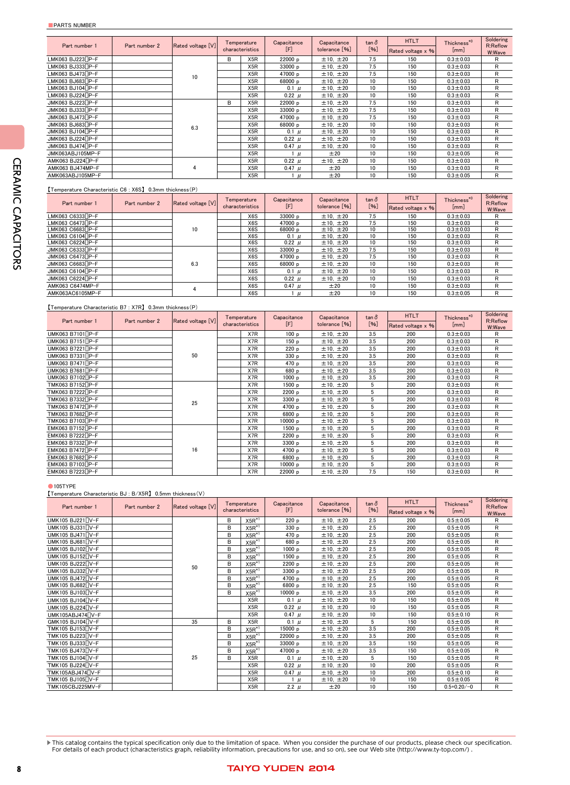| Part number 1     | Part number 2 | Rated voltage [V] | characteristics | Temperature | Capacitance<br>[F] | Capacitance<br>tolerance [%] | $tan \delta$<br>[%] | <b>HTLT</b><br>Rated voltage x % | Thickness <sup>*3</sup><br>[mm] | Soldering<br>R:Reflow<br>W:Wave |
|-------------------|---------------|-------------------|-----------------|-------------|--------------------|------------------------------|---------------------|----------------------------------|---------------------------------|---------------------------------|
| LMK063 BJ223□P-F  |               |                   | B               | X5R         | 22000 p            | ±10, ±20                     | 7.5                 | 150                              | $0.3 \pm 0.03$                  | R                               |
| LMK063 BJ333 IP-F |               |                   |                 | X5R         | 33000 p            | ±10, ±20                     | 7.5                 | 150                              | $0.3 \pm 0.03$                  | R                               |
| LMK063 BJ473ΠP-F  |               |                   |                 | X5R         | 47000 p            | ±10, ±20                     | 7.5                 | 150                              | $0.3 \pm 0.03$                  | R                               |
| LMK063 BJ683∏P-F  |               | 10                |                 | X5R         | 68000 p            | ±10, ±20                     | 10                  | 150                              | $0.3 \pm 0.03$                  | R                               |
| LMK063 BJ104∏P-F  |               |                   |                 | X5R         | $0.1 \mu$          | ±10, ±20                     | 10                  | 150                              | $0.3 \pm 0.03$                  | R                               |
| LMK063 BJ224 P-F  |               |                   |                 | X5R         | $0.22$ $\mu$       | ±10, ±20                     | 10                  | 150                              | $0.3 \pm 0.03$                  | R                               |
| JMK063 BJ223□P-F  |               |                   | в               | X5R         | 22000 p            | ±10, ±20                     | 7.5                 | 150                              | $0.3 \pm 0.03$                  | R                               |
| JMK063 BJ333 IP-F |               |                   |                 | X5R         | 33000 p            | ±10, ±20                     | 7.5                 | 150                              | $0.3 \pm 0.03$                  | R                               |
| JMK063 BJ473 P-F  |               |                   |                 | X5R         | 47000 p            | ±10, ±20                     | 7.5                 | 150                              | $0.3 \pm 0.03$                  | R                               |
| JMK063 BJ683 IP-F |               | 6.3               |                 | X5R         | 68000 p            | ±10, ±20                     | 10                  | 150                              | $0.3 \pm 0.03$                  | R                               |
| JMK063 BJ104[1P-F |               |                   |                 | X5R         | $0.1$ $\mu$        | ±10, ±20                     | 10                  | 150                              | $0.3 \pm 0.03$                  | R                               |
| JMK063 BJ224 P-F  |               |                   |                 | X5R         | $0.22$ $\mu$       | ±10, ±20                     | 10                  | 150                              | $0.3 \pm 0.03$                  | R                               |
| JMK063 BJ474 P-F  |               |                   |                 | X5R         | $0.47 \mu$         | ±10, ±20                     | 10                  | 150                              | $0.3 \pm 0.03$                  | R                               |
| JMK063ABJ105MP-F  |               |                   |                 | X5R         | $\mu$              | ±20                          | 10                  | 150                              | $0.3 \pm 0.05$                  | R                               |
| AMK063 BJ224 P-F  |               |                   |                 | X5R         | $0.22$ $\mu$       | ±10, ±20                     | 10                  | 150                              | $0.3 \pm 0.03$                  | R                               |
| AMK063 BJ474MP-F  |               |                   |                 | X5R         | $0.47 \mu$         | ±20                          | 10                  | 150                              | $0.3 \pm 0.03$                  | R                               |
| AMK063ABJ105MP-F  |               |                   |                 | X5R         | $\mu$              | ±20                          | 10                  | 150                              | $0.3 \pm 0.05$                  | R                               |

### 【Temperature Characteristic C6 : X6S】 0.3mm thickness(P)

| Part number 1                  | Part number 2 | Rated voltage [V] | Temperature      | Capacitance  | Capacitance   | $tan \delta$    | <b>HTLT</b>       | Thickness*3    | Soldering<br>R:Reflow |
|--------------------------------|---------------|-------------------|------------------|--------------|---------------|-----------------|-------------------|----------------|-----------------------|
|                                |               |                   | characteristics  | [F]          | tolerance [%] | [%]             | Rated voltage x % | [mm]           | W:Wave                |
| LMK063 C6333[]P-F              |               |                   | X6S              | 33000 р      | ± 10, ±20     | 7.5             | 150               | $0.3 \pm 0.03$ | R                     |
| LMK063 C6473∏P-F               |               |                   | X <sub>6</sub> S | 47000 p      | ±10, ±20      | 7.5             | 150               | $0.3 \pm 0.03$ | R                     |
| LMK063 C6683 P-F               |               | 10                | X <sub>6</sub> S | 68000 p      | ±10, ±20      | 10              | 150               | $0.3 \pm 0.03$ | R                     |
| LMK063 C6104 P-F               |               |                   | X <sub>6</sub> S | $0.1 \mu$    | ± 10, ±20     | 10              | 150               | $0.3 \pm 0.03$ | R                     |
| LMK063 C6224 P-F               |               |                   | X <sub>6</sub> S | $0.22 \mu$   | ± 10, ±20     | 10              | 150               | $0.3 \pm 0.03$ | R                     |
| JMK063 C6333∏P-F               |               |                   | X <sub>6</sub> S | 33000 р      | ± 10, ±20     | 7.5             | 150               | $0.3 \pm 0.03$ | R                     |
| JMK063 C6473 <sup>[]</sup> P-F |               |                   | X6S              | 47000 p      | ± 10, ±20     | 7.5             | 150               | $0.3 \pm 0.03$ | R                     |
| JMK063 C6683 P-F               |               | 6.3               | X6S              | 68000 p      | ± 10, ±20     | 10              | 150               | $0.3 \pm 0.03$ | R                     |
| JMK063 C6104 P-F               |               |                   | X <sub>6</sub> S | $0.1 \mu$    | ± 10, ±20     | 10 <sup>°</sup> | 150               | $0.3 \pm 0.03$ | R                     |
| JMK063 C6224□P-F               |               |                   | X <sub>6</sub> S | $0.22$ $\mu$ | ± 10, ±20     | 10 <sup>1</sup> | 150               | $0.3 \pm 0.03$ | R                     |
| AMK063 C6474MP-F               |               |                   | X <sub>6</sub> S | $0.47 \mu$   | ±20           | 10              | 150               | $0.3 \pm 0.03$ | R                     |
| AMK063AC6105MP-F               |               |                   | X <sub>6</sub> S | $\mu$        | ±20           | 10              | 150               | $0.3 \pm 0.05$ | R                     |

【Temperature Characteristic B7 : X7R】 0.3mm thickness(P)

| Part number 1                           | Part number 2 | Rated voltage [V] | Temperature     | Capacitance | Capacitance   | $tan \delta$ | <b>HTLT</b>       | Thickness*3    | Soldering<br>R:Reflow |
|-----------------------------------------|---------------|-------------------|-----------------|-------------|---------------|--------------|-------------------|----------------|-----------------------|
|                                         |               |                   | characteristics | [F]         | tolerance [%] | $[%]$        | Rated voltage x % | [mm]           | W:Wave                |
| UMK063 B7101 <sub>[P-F</sub>            |               |                   | X7R             | 100p        | ±10, ±20      | 3.5          | 200               | $0.3 \pm 0.03$ | R                     |
| UMK063 B7151 <sub>[P-F</sub>            |               |                   | X7R             | 150p        | ±10, ±20      | 3.5          | 200               | $0.3 \pm 0.03$ | R                     |
| UMK063 B7221 <sub>□P-F</sub>            |               |                   | X7R             | 220 p       | ±10, ±20      | 3.5          | 200               | $0.3 \pm 0.03$ | R                     |
| UMK063 B7331[IP-F                       |               | 50                | X7R             | 330 p       | ±10, ±20      | 3.5          | 200               | $0.3 \pm 0.03$ | R                     |
| UMK063 B7471□P-F                        |               |                   | X7R             | 470 p       | ±10, ±20      | 3.5          | 200               | $0.3 + 0.03$   | R                     |
| UMK063 B7681[]P-F                       |               |                   | X7R             | 680 p       | ±10, ±20      | 3.5          | 200               | $0.3 \pm 0.03$ | R                     |
| UMK063 B7102 <sub>[P-F</sub>            |               |                   | X7R             | 1000p       | ±10, ±20      | 3.5          | 200               | $0.3 \pm 0.03$ | R                     |
| TMK063 B7152∏P-F                        |               |                   | X7R             | 1500 p      | ±10, ±20      | 5            | 200               | $0.3 + 0.03$   | R                     |
| TMK063 B7222 P-F                        |               |                   | X7R             | 2200 p      | ±10, ±20      | 5            | 200               | $0.3 \pm 0.03$ | R                     |
| TMK063 B7332 P-F                        |               | 25                | X7R             | 3300 p      | ±10, ±20      | 5            | 200               | $0.3 \pm 0.03$ | R                     |
| TMK063 B7472 P-F                        |               |                   | X7R             | 4700 p      | ±10, ±20      | 5            | 200               | $0.3 \pm 0.03$ | R                     |
| TMK063 B7682∏P-F                        |               |                   | X7R             | 6800 p      | ±10, ±20      | 5            | 200               | $0.3 \pm 0.03$ | R                     |
| TMK063 B7103∏P-F                        |               |                   | X7R             | 10000 p     | ±10, ±20      | 5            | 200               | $0.3 \pm 0.03$ | R                     |
| EMK063 B7152 <sub>D</sub> P-F           |               |                   | X7R             | 1500 p      | ±10, ±20      | 5            | 200               | $0.3 \pm 0.03$ | R                     |
| EMK063 B7222∏P-F                        |               |                   | X7R             | 2200 p      | ±10, ±20      | 5            | 200               | $0.3 \pm 0.03$ | R                     |
| EMK063 B7332 <sup></sup> <sub>D-F</sub> |               |                   | X7R             | 3300 p      | ±10, ±20      | 5            | 200               | $0.3 \pm 0.03$ | R                     |
| EMK063 B7472∏P-F                        |               | 16                | X7R             | 4700 p      | ±10, ±20      | 5            | 200               | $0.3 \pm 0.03$ | R                     |
| EMK063 B7682 <sup>[]P-F</sup>           |               |                   | X7R             | 6800 p      | ±10, ±20      | 5            | 200               | $0.3 \pm 0.03$ | R                     |
| EMK063 B7103 <sub>□</sub> P-F           |               |                   | X7R             | 10000 p     | ±10, ±20      | 5            | 200               | $0.3 \pm 0.03$ | R                     |
| EMK063 B7223 <sup>[]P-F</sup>           |               |                   | X7R             | 22000 p     | ±10, ±20      | 7.5          | 150               | $0.3 \pm 0.03$ | R                     |

●105TYPE<br>【Temperature Characteristic BJ : B/X5R】 0.5mm thickness(V)

|                                |               |                   | Temperature     |                  | Capacitance | Capacitance   | $tan \delta$ | <b>HTLT</b>       | Thickness*3       | Soldering<br>R:Reflow |
|--------------------------------|---------------|-------------------|-----------------|------------------|-------------|---------------|--------------|-------------------|-------------------|-----------------------|
| Part number 1                  | Part number 2 | Rated voltage [V] | characteristics |                  | [F]         | tolerance [%] | $[%]$        | Rated voltage x % | [mm]              | W:Wave                |
| UMK105 BJ221[]V-F              |               |                   | в               | $X5R^{*1}$       | 220p        | ±10, ±20      | 2.5          | 200               | $0.5 \pm 0.05$    | R                     |
| UMK105 BJ331 <sup>[]</sup> V-F |               |                   | B               | $X5R^{*1}$       | 330 p       | ±10, ±20      | 2.5          | 200               | $0.5 + 0.05$      | R                     |
| UMK105 BJ471 N-F               |               |                   | в               | $X5R^{*1}$       | 470 p       | ±10, ±20      | 2.5          | 200               | $0.5 \pm 0.05$    | R                     |
| UMK105 BJ681 N-F               |               |                   | B               | $X5R^{*1}$       | 680 p       | ±10, ±20      | 2.5          | 200               | $0.5 \pm 0.05$    | R                     |
| UMK105 BJ102 <sup>[]</sup> V-F |               |                   | в               | $X5R^{*1}$       | 1000 p      | ±10, ±20      | 2.5          | 200               | $0.5 \pm 0.05$    | R                     |
| UMK105 BJ152 <sup>[]</sup> V-F |               |                   | B               | $X5R^{*1}$       | 1500 p      | ±10, ±20      | 2.5          | 200               | $0.5 \pm 0.05$    | R                     |
| UMK105 BJ222 <sup>DV-F</sup>   |               | 50                | B               | $X5R^{*1}$       | 2200 p      | ±10, ±20      | 2.5          | 200               | $0.5 \pm 0.05$    | R                     |
| UMK105 BJ332 TV-F              |               |                   | в               | $X5R^{*1}$       | 3300 p      | ±10, ±20      | 2.5          | 200               | $0.5 \pm 0.05$    | R                     |
| UMK105 BJ472 N-F               |               |                   | в               | $X5R^{*1}$       | 4700 p      | ±10, ±20      | 2.5          | 200               | $0.5 \pm 0.05$    | R                     |
| UMK105 BJ682 N-F               |               |                   | B               | $X5R^{*1}$       | 6800 p      | ±10, ±20      | 2.5          | 150               | $0.5 \pm 0.05$    | R                     |
| UMK105 BJ103 <sup>[</sup> V-F  |               |                   | B               | $X5R^{*1}$       | 10000 p     | ±10, ±20      | 3.5          | 200               | $0.5 \pm 0.05$    | R                     |
| UMK105 BJ104 N-F               |               |                   |                 | X <sub>5</sub> R | $0.1$ $\mu$ | ±10, ±20      | 10           | 150               | $0.5 \pm 0.05$    | R                     |
| UMK105 BJ224 <sup>[]</sup> V-F |               |                   |                 | X <sub>5</sub> R | $0.22 \mu$  | ±10, ±20      | 10           | 150               | $0.5 \pm 0.05$    | R                     |
| UMK105ABJ474 TV-F              |               |                   |                 | X <sub>5</sub> R | $0.47 \mu$  | ±10, ±20      | 10           | 150               | $0.5 \pm 0.10$    | R                     |
| GMK105 BJ104 TV-F              |               | 35                | в               | X <sub>5</sub> R | $0.1$ $\mu$ | ±10, ±20      | 5            | 150               | $0.5 \pm 0.05$    | R                     |
| TMK105 BJ153 N-F               |               |                   | B               | $X5R^{*1}$       | 15000 p     | ±10, ±20      | 3.5          | 200               | $0.5 \pm 0.05$    | R                     |
| TMK105 BJ223 <sup>[]</sup> V-F |               |                   | B               | $X5R^{*1}$       | 22000 p     | ±10, ±20      | 3.5          | 200               | $0.5 \pm 0.05$    | R                     |
| TMK105 BJ333 V-F               |               |                   | B               | $X5R^{*1}$       | 33000 p     | ±10, ±20      | 3.5          | 150               | $0.5 \pm 0.05$    | R                     |
| TMK105 BJ473[]V-F              |               |                   | в               | $X5R^{*1}$       | 47000 p     | ±10, ±20      | 3.5          | 150               | $0.5 \pm 0.05$    | R                     |
| TMK105 BJ104[]V-F              |               | 25                | B               | X <sub>5</sub> R | 0.1 $\mu$   | ±10, ±20      | 5            | 150               | $0.5 \pm 0.05$    | R                     |
| TMK105 BJ224 N-F               |               |                   |                 | X <sub>5</sub> R | $0.22 \mu$  | ±10, ±20      | 10           | 200               | $0.5 \pm 0.05$    | R                     |
| TMK105ABJ474 <sup>[]</sup> V-F |               |                   |                 | X <sub>5</sub> R | $0.47 \mu$  | ±10, ±20      | 10           | 200               | $0.5 \pm 0.10$    | R                     |
| TMK105 BJ105 TV-F              |               |                   |                 | X <sub>5</sub> R | 1 μ         | ±10, ±20      | 10           | 150               | $0.5 \pm 0.05$    | R                     |
| TMK105CBJ225MV-F               |               |                   |                 | X <sub>5</sub> R | 2.2 $\mu$   | ±20           | 10           | 150               | $0.5 + 0.20 / -0$ | R                     |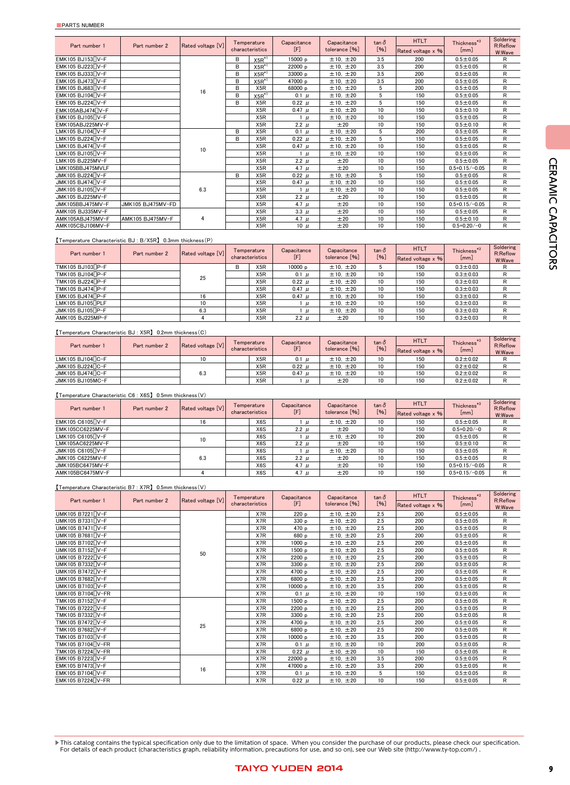|                                |                   |                   |   | Temperature      | Capacitance | Capacitance   | $tan \delta$ | <b>HTLT</b>       | Thickness*3          | Soldering          |
|--------------------------------|-------------------|-------------------|---|------------------|-------------|---------------|--------------|-------------------|----------------------|--------------------|
| Part number 1                  | Part number 2     | Rated voltage [V] |   | characteristics  | $[{\sf F}]$ | tolerance [%] | $[%]$        | Rated voltage x % | [mm]                 | R:Reflow<br>W:Wave |
| EMK105 BJ153 V-F               |                   |                   | В | $X5R^{*1}$       | 15000 p     | ±10, ±20      | 3.5          | 200               | $0.5 \pm 0.05$       | R                  |
| EMK105 BJ223 <sup>[]</sup> V-F |                   |                   | B | $X5R^{*1}$       | 22000 p     | ±10, ±20      | 3.5          | 200               | $0.5 \pm 0.05$       | R                  |
| EMK105 BJ333 V-F               |                   |                   | в | $X5R^{*1}$       | 33000 p     | ±10, ±20      | 3.5          | 200               | $0.5 \pm 0.05$       | R                  |
| EMK105 BJ473 <sup>[]</sup> V-F |                   |                   | B | $X5R^{*1}$       | 47000 p     | ±10, ±20      | 3.5          | 200               | $0.5 \pm 0.05$       | R                  |
| EMK105 BJ683 <sup>[]</sup> V-F |                   | 16                | в | X5R              | 68000 p     | ±10, ±20      | 5            | 200               | $0.5 \pm 0.05$       | R                  |
| EMK105 BJ104 <sup>[]</sup> V-F |                   |                   | B | $X5R^{*1}$       | $0.1$ $\mu$ | ±10, ±20      | 5            | 150               | $0.5 \pm 0.05$       | R                  |
| EMK105 BJ224 TV-F              |                   |                   | B | X <sub>5</sub> R | $0.22 \mu$  | ±10, ±20      | 5            | 150               | $0.5 \pm 0.05$       | R                  |
| EMK105ABJ474NV-F               |                   |                   |   | X <sub>5</sub> R | $0.47 \mu$  | ±10, ±20      | 10           | 150               | $0.5 \pm 0.10$       | R                  |
| EMK105 BJ105 <sup>[]</sup> V-F |                   |                   |   | X <sub>5</sub> R | $1 \mu$     | ±10, ±20      | 10           | 150               | $0.5 \pm 0.05$       | R                  |
| EMK105ABJ225MV-F               |                   |                   |   | X5R              | 2.2 $\mu$   | ±20           | 10           | 150               | $0.5 \pm 0.10$       | R                  |
| LMK105 BJ104 <sup>[]</sup> V-F |                   |                   | B | X <sub>5</sub> R | $0.1$ $\mu$ | ±10, ±20      | 5            | 200               | $0.5 \pm 0.05$       | R                  |
| LMK105 BJ224 N-F               |                   |                   | в | X <sub>5</sub> R | 0.22 $\mu$  | ±10, ±20      | 5            | 150               | $0.5 \pm 0.05$       | R                  |
| LMK105 BJ474 <sup>[]</sup> V-F |                   | 10                |   | X5R              | $0.47 \mu$  | ±10, ±20      | 10           | 150               | $0.5 \pm 0.05$       | R                  |
| LMK105 BJ105 <sup>[]</sup> V-F |                   |                   |   | X <sub>5</sub> R | $1 \mu$     | ±10, ±20      | 10           | 150               | $0.5 \pm 0.05$       | R                  |
| LMK105 BJ225MV-F               |                   |                   |   | X <sub>5</sub> R | 2.2 $\mu$   | ±20           | 10           | 150               | $0.5 \pm 0.05$       | R                  |
| LMK105BBJ475MVLF               |                   |                   |   | X <sub>5</sub> R | 4.7 $\mu$   | ±20           | 10           | 150               | $0.5 + 0.15 / -0.05$ | R                  |
| JMK105 BJ224 N-F               |                   |                   | B | X <sub>5</sub> R | $0.22 \mu$  | ±10, ±20      | 5            | 150               | $0.5 + 0.05$         | R                  |
| JMK105 BJ474 <sup>[]</sup> V-F |                   |                   |   | X <sub>5</sub> R | $0.47 \mu$  | ±10, ±20      | 10           | 150               | $0.5 + 0.05$         | R                  |
| JMK105 BJ105 <sup>[]</sup> V-F |                   | 6.3               |   | X <sub>5</sub> R | $\mu$       | ±10, ±20      | 10           | 150               | $0.5 \pm 0.05$       | R                  |
| JMK105 BJ225MV-F               |                   |                   |   | X <sub>5</sub> R | 2.2 $\mu$   | ±20           | 10           | 150               | $0.5 \pm 0.05$       | R                  |
| JMK105BBJ475MV-F               | JMK105 BJ475MV-FD |                   |   | X <sub>5</sub> R | 4.7 $\mu$   | ±20           | 10           | 150               | $0.5 + 0.15 / -0.05$ | R                  |
| AMK105 BJ335MV-F               |                   |                   |   | X <sub>5</sub> R | $3.3$ $\mu$ | ±20           | 10           | 150               | $0.5 + 0.05$         | R                  |
| AMK105ABJ475MV-F               | AMK105 BJ475MV-F  | 4                 |   | X <sub>5</sub> R | 4.7 $\mu$   | ±20           | 10           | 150               | $0.5 + 0.10$         | R                  |
| AMK105CBJ106MV-F               |                   |                   |   | X <sub>5</sub> R | $10 \mu$    | ±20           | 10           | 150               | $0.5 + 0.20 / -0$    | R                  |

#### 【Temperature Characteristic BJ : B/X5R】 0.3mm thickness(P)

| Part number 1                  | Part number 2 | Rated voltage [V] | Temperature<br>characteristics |                  | Capacitance  | Capacitance   | $tan \delta$ | <b>HTLT</b>       | Thickness <sup>*3</sup> | Soldering<br>R:Reflow |
|--------------------------------|---------------|-------------------|--------------------------------|------------------|--------------|---------------|--------------|-------------------|-------------------------|-----------------------|
|                                |               |                   |                                |                  | [F]          | tolerance [%] | $[%]$        | Rated voltage x % | [mm]                    | W:Wave                |
| TMK105 BJ103∏P-F               |               |                   | в                              | X <sub>5</sub> R | 10000 p      | ±10, ±20      |              | 150               | $0.3 \pm 0.03$          |                       |
| TMK105 BJ104 <sup>[</sup> ]P-F |               | 25                |                                | X <sub>5</sub> R | $0.1$ $\mu$  | ±10, ±20      | 10           | 150               | $0.3 \pm 0.03$          |                       |
| TMK105 BJ224 <sup>[]P-F</sup>  |               |                   |                                | X <sub>5</sub> R | $0.22$ $\mu$ | ±10, ±20      | 10           | 150               | $0.3 \pm 0.03$          |                       |
| TMK105 BJ474□P-F               |               |                   |                                | X <sub>5</sub> R | $0.47 \mu$   | ±10, ±20      | 10           | 150               | $0.3 \pm 0.03$          |                       |
| EMK105 BJ474 P-F               |               | 16                |                                | X <sub>5</sub> R | $0.47 \mu$   | ±10, ±20      | 10           | 150               | $0.3 \pm 0.03$          |                       |
| LMK105 BJ105 TPLF              |               | 10                |                                | X <sub>5</sub> R | $\mu$        | ±10, ±20      | 10           | 150               | $0.3 \pm 0.03$          |                       |
| JMK105 BJ105∏P-F               |               | 6.3               |                                | X <sub>5</sub> R | $\mu$        | ±10, ±20      | 10           | 150               | $0.3 \pm 0.03$          |                       |
| AMK105 BJ225MP-F               |               |                   |                                | X <sub>5</sub> R | 2.2 $\mu$    | ±20           | 10           | 150               | $0.3 \pm 0.03$          | R                     |

#### 【Temperature Characteristic BJ : X5R】 0.2mm thickness(C)

| Part number 1     | Part number 2 | Rated voltage [V] | Temperature<br>characteristics | Capacitance  | Capacitance<br>tolerance [%] | $tan \delta$<br>$[%]$ | <b>HTLT</b><br>Rated voltage x % | $*3$<br><b>Thickness</b><br>[mm] | Soldering<br>R:Reflow<br>W:Wave |
|-------------------|---------------|-------------------|--------------------------------|--------------|------------------------------|-----------------------|----------------------------------|----------------------------------|---------------------------------|
| LMK105 BJ104 OC-F |               |                   | X5R                            | 0.1 $\mu$    | ±10, ±20                     | 10                    | 150                              | $0.2 \pm 0.02$                   |                                 |
| JMK105 BJ224 C-F  |               |                   | X <sub>5</sub> R               | $0.22 \mu$   | ±10, ±20                     | 10                    | 150                              | $0.2 \pm 0.02$                   |                                 |
| JMK105 BJ474 C-F  |               | 6.3               | X <sub>5</sub> R               | $0.47 \mu$   | ±10, ±20                     | 10                    | 150                              | $0.2 \pm 0.02$                   |                                 |
| JMK105 BJ105MC-F  |               |                   | X <sub>5</sub> R               | $\mathbf{u}$ | ±20                          | 10                    | 150                              | $0.2 \pm 0.02$                   |                                 |

### 【Temperature Characteristic C6 : X6S】 0.5mm thickness(V)

| Part number 1    | Part number 2 | Rated voltage [V] | Temperature      | Capacitance | Capacitance   | $tan \delta$ | <b>HTLT</b>       | Thickness*3          | Soldering<br>R:Reflow |
|------------------|---------------|-------------------|------------------|-------------|---------------|--------------|-------------------|----------------------|-----------------------|
|                  |               |                   | characteristics  |             | tolerance [%] | [%]          | Rated voltage x % | [mm]                 | W:Wave                |
| EMK105 C6105 V-F |               | 16                | X6S              | $\mu$       | ±10, ±20      | 10           | 150               | $0.5 \pm 0.05$       | R                     |
| EMK105CC6225MV-F |               |                   | X6S              | 2.2 $\mu$   | ±20           | 10           | 150               | $0.5 + 0.20 / -0$    | R                     |
| LMK105 C6105 V-F |               | 10                | X <sub>6</sub> S | $\mu$       | ±10, ±20      | 10           | 200               | $0.5 \pm 0.05$       | R                     |
| LMK105AC6225MV-F |               |                   | X6S              | 2.2 $\mu$   | ±20           | 10           | 150               | $0.5 \pm 0.10$       |                       |
| JMK105 C6105 V-F |               |                   | X <sub>6</sub> S | $\mu$       | ±10, ±20      | 10           | 150               | $0.5 \pm 0.05$       |                       |
| JMK105 C6225MV-F |               | 6.3               | X6S              | 2.2 $\mu$   | ±20           | 10           | 150               | $0.5 \pm 0.05$       | R                     |
| JMK105BC6475MV-F |               |                   | X6S              | 4.7 $\mu$   | ±20           | 10           | 150               | $0.5 + 0.15 / -0.05$ | R                     |
| AMK105BC6475MV-F |               |                   | X <sub>6</sub> S | $4.7 \mu$   | ±20           | 10           | 150               | $0.5 + 0.15 / -0.05$ | R                     |

【Temperature Characteristic B7 : X7R】 0.5mm thickness(V)

| Part number 2<br>Part number 1 | Rated voltage [V] | Temperature | Capacitance     | Capacitance  | $\tan \delta$ | <b>HTLT</b> | Thickness*3       | Soldering      |                    |
|--------------------------------|-------------------|-------------|-----------------|--------------|---------------|-------------|-------------------|----------------|--------------------|
|                                |                   |             | characteristics | $[{\sf F}]$  | tolerance [%] | $[%]$       | Rated voltage x % | [mm]           | R:Reflow<br>W:Wave |
| UMK105 B7221 <sup>[]</sup> V-F |                   |             | X7R             | 220p         | ±10, ±20      | 2.5         | 200               | $0.5 \pm 0.05$ | R                  |
| UMK105 B7331□V-F               |                   |             | X7R             | 330 p        | ±10, ±20      | 2.5         | 200               | $0.5 \pm 0.05$ | R                  |
| UMK105 B7471 N-F               |                   |             | X7R             | 470 p        | ±10, ±20      | 2.5         | 200               | $0.5 \pm 0.05$ | R                  |
| UMK105 B7681[JV-F              |                   |             | X7R             | 680 p        | ±10, ±20      | 2.5         | 200               | $0.5 \pm 0.05$ | R                  |
| UMK105 B7102 <sup>[]</sup> V-F |                   |             | X7R             | 1000 p       | ±10, ±20      | 2.5         | 200               | $0.5 \pm 0.05$ | R                  |
| UMK105 B7152 <sup>[]</sup> V-F |                   | 50          | X7R             | 1500 p       | ±10, ±20      | 2.5         | 200               | $0.5 \pm 0.05$ | R                  |
| UMK105 B7222 <sup>[]</sup> V-F |                   |             | X7R             | 2200 p       | ±10, ±20      | 2.5         | 200               | $0.5 \pm 0.05$ | R                  |
| UMK105 B7332 TV-F              |                   |             | X7R             | 3300 p       | ±10, ±20      | 2.5         | 200               | $0.5 \pm 0.05$ | R                  |
| UMK105 B7472 N-F               |                   |             | X7R             | 4700 p       | ±10, ±20      | 2.5         | 200               | $0.5 \pm 0.05$ | R                  |
| UMK105 B7682 N-F               |                   |             | X7R             | 6800 p       | ±10, ±20      | 2.5         | 200               | $0.5 \pm 0.05$ | R                  |
| UMK105 B7103 <sup>[</sup> V-F  |                   |             | X7R             | 10000 p      | ± 10, ±20     | 3.5         | 200               | $0.5 \pm 0.05$ | R                  |
| UMK105 B7104 TV-FR             |                   |             | X7R             | $0.1$ $\mu$  | ±10, ±20      | 10          | 150               | $0.5 \pm 0.05$ | R                  |
| TMK105 B7152 <sub>U</sub> V-F  |                   |             | X7R             | 1500 p       | ±10, ±20      | 2.5         | 200               | $0.5 \pm 0.05$ | R                  |
| TMK105 B7222 TV-F              |                   |             | X7R             | 2200 p       | ±10, ±20      | 2.5         | 200               | $0.5 \pm 0.05$ | R                  |
| TMK105 B7332 <sup>[]</sup> V-F |                   |             | X7R             | 3300 p       | ±10, ±20      | 2.5         | 200               | $0.5 \pm 0.05$ | R                  |
| TMK105 B7472 <sup>[]</sup> V-F |                   | 25          | X7R             | 4700 p       | ± 10, ±20     | 2.5         | 200               | $0.5 \pm 0.05$ | R                  |
| TMK105 B7682 <sup>[]</sup> V-F |                   |             | X7R             | 6800 p       | ±10, ±20      | 2.5         | 200               | $0.5 + 0.05$   | R                  |
| TMK105 B7103 TV-F              |                   |             | X7R             | 10000 p      | ± 10, ±20     | 3.5         | 200               | $0.5 \pm 0.05$ | R                  |
| TMK105 B7104 <sub>D</sub> V-FR |                   |             | X7R             | $0.1$ $\mu$  | ±10, ±20      | 10          | 200               | $0.5 + 0.05$   | R                  |
| TMK105 B7224□V-FR              |                   |             | X7R             | $0.22$ $\mu$ | ±10, ±20      | 10          | 150               | $0.5 \pm 0.05$ | R                  |
| EMK105 B7223 V-F               |                   |             | X7R             | 22000 p      | ± 10. ± 20    | 3.5         | 200               | $0.5 \pm 0.05$ | R                  |
| EMK105 B7473 <sup>[]</sup> V-F |                   | 16          | X7R             | 47000 p      | ±10, ±20      | 3.5         | 200               | $0.5 + 0.05$   | R                  |
| EMK105 B7104 <sup>[]</sup> V-F |                   |             | X7R             | $0.1$ $\mu$  | ±10, ±20      | 5           | 150               | $0.5 \pm 0.05$ | R                  |
| EMK105 B7224 V-FR              |                   |             | X7R             | $0.22$ $\mu$ | ±10, ±20      | 10          | 150               | $0.5 \pm 0.05$ | R                  |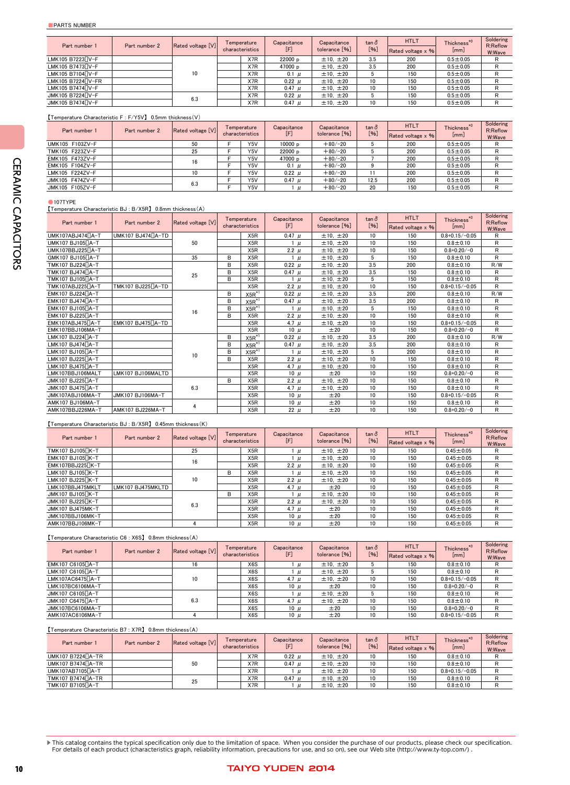| Part number 1                  | Part number 2 | Rated voltage [V] | Temperature<br>characteristics | Capacitance<br>[F] | Capacitance<br>tolerance [%] | $tan \delta$<br>$[%]$ | <b>HTLT</b><br>Rated voltage x % | Thickness <sup>*3</sup><br>[mm] | Soldering<br>R:Reflow<br>W:Wave |
|--------------------------------|---------------|-------------------|--------------------------------|--------------------|------------------------------|-----------------------|----------------------------------|---------------------------------|---------------------------------|
| LMK105 B7223 V-F               |               |                   | X7R                            | 22000 p            | ±10, ±20                     | 3.5                   | 200                              | $0.5 \pm 0.05$                  |                                 |
| LMK105 B7473 N-F               |               |                   | X7R                            | 47000 p            | ±10, ±20                     | 3.5                   | 200                              | $0.5 \pm 0.05$                  |                                 |
| LMK105 B7104 <sup>[]</sup> V-F |               | 10                | X7R                            | $0.1$ $\mu$        | ±10, ±20                     |                       | 150                              | $0.5 \pm 0.05$                  |                                 |
| LMK105 B7224 V-FR              |               |                   | X7R                            | $0.22$ $\mu$       | ±10, ±20                     | 10                    | 150                              | $0.5 \pm 0.05$                  |                                 |
| LMK105 B7474 N-F               |               |                   | X7R                            | $0.47 \mu$         | ±10, ±20                     | 10                    | 150                              | $0.5 \pm 0.05$                  |                                 |
| JMK105 B7224 7V-F              |               | 6.3               | X7R                            | $0.22 \mu$         | ±10, ±20                     |                       | 150                              | $0.5 \pm 0.05$                  |                                 |
| JMK105 B7474 N-F               |               |                   | X7R                            | 0.47 $\mu$         | ±10, ±20                     | 10                    | 150                              | $0.5 \pm 0.05$                  | R                               |

【Temperature Characteristic F : F/Y5V】 0.5mm thickness(V)

| Part number 1   | Part number 2 | Rated voltage [V] | Temperature<br>characteristics | Capacitance<br>Œ | Capacitance<br>tolerance [%] | $tan \delta$<br>[%] | <b>HTLT</b><br>Rated voltage x % | Thickness <sup>*3</sup><br>[mm] | Soldering<br>R:Reflow<br>W:Wave |
|-----------------|---------------|-------------------|--------------------------------|------------------|------------------------------|---------------------|----------------------------------|---------------------------------|---------------------------------|
| UMK105 F103ZV-F |               | 50                | Y5V                            | 10000 p          | $+80/-20$                    |                     | 200                              | $0.5 \pm 0.05$                  |                                 |
| TMK105 F223ZV-F |               | 25                | Y5V                            | 22000 p          | $+80/-20$                    |                     | 200                              | $0.5 \pm 0.05$                  |                                 |
| EMK105 F473ZV-F |               | 16                | Y5V                            | 47000 p          | $+80/-20$                    |                     | 200                              | $0.5 \pm 0.05$                  |                                 |
| EMK105 F104ZV-F |               |                   | Y5V                            | $0.1$ $\mu$      | $+80/-20$                    |                     | 200                              | $0.5 \pm 0.05$                  |                                 |
| LMK105 F224ZV-F |               | 10                | Y5V                            | $0.22 \mu$       | $+80/-20$                    | 11                  | 200                              | $0.5 \pm 0.05$                  |                                 |
| JMK105 F474ZV-F |               | 6.3               | Y5V                            | $0.47 \mu$       | $+80/-20$                    | 12.5                | 200                              | $0.5 \pm 0.05$                  |                                 |
| JMK105 F105ZV-F |               |                   | Y5V                            | $\mu$            | $+80/-20$                    | 20                  | 150                              | $0.5 \pm 0.05$                  |                                 |

●107TYPE

【Temperature Characteristic BJ : B/X5R】 0.8mm thickness(A)

| Part number 1<br>Part number 2 | Rated voltage [V]               |     | Temperature     | Capacitance      | Capacitance | $\tan \delta$ | <b>HTLT</b> | Thickness*3       | Soldering<br>R:Reflow |        |
|--------------------------------|---------------------------------|-----|-----------------|------------------|-------------|---------------|-------------|-------------------|-----------------------|--------|
|                                |                                 |     | characteristics |                  | [F]         | tolerance [%] | [%]         | Rated voltage x % | [mm]                  | W:Wave |
| UMK107ABJ474[]A-T              | UMK107 BJ474□A-TD               |     |                 | X <sub>5</sub> R | $0.47 \mu$  | ±10, ±20      | 10          | 150               | $0.8 + 0.15 / -0.05$  | R      |
| UMK107 BJ105∏A-T               |                                 | 50  |                 | X <sub>5R</sub>  | $\mu$       | ± 10. ± 20    | 10          | 150               | $0.8 \pm 0.10$        | R      |
| UMK107BBJ225 TA-T              |                                 |     |                 | X <sub>5R</sub>  | 2.2 $\mu$   | ±10, ±20      | 10          | 150               | $0.8 + 0.20 / -0$     | R      |
| GMK107 BJ105[]A-T              |                                 | 35  | в               | X <sub>5</sub> R | $1 \mu$     | ±10, ±20      | 5           | 150               | $0.8 \pm 0.10$        | R      |
| TMK107 BJ224 A-T               |                                 |     | В               | X <sub>5R</sub>  | $0.22 \mu$  | ±10, ±20      | 3.5         | 200               | $0.8 \pm 0.10$        | R/W    |
| TMK107 BJ474□A-T               |                                 | 25  | В               | X <sub>5R</sub>  | 0.47 $\mu$  | ± 10, ±20     | 3.5         | 150               | $0.8 \pm 0.10$        | R      |
| TMK107 BJ105 A-T               |                                 |     | B               | X <sub>5</sub> R | $1 \mu$     | ±10, ±20      | 5           | 150               | $0.8 \pm 0.10$        | R      |
| TMK107ABJ225 TA-T              | TMK107 BJ225 <sup>[</sup> ]A-TD |     |                 | X <sub>5R</sub>  | $2.2$ $\mu$ | ± 10. ± 20    | 10          | 150               | $0.8 + 0.15 / -0.05$  | R      |
| EMK107 BJ224 <sup>[]</sup> A-T |                                 |     | В               | $X5R^{*1}$       | $0.22 \mu$  | ±10, ±20      | 3.5         | 200               | $0.8 \pm 0.10$        | R/W    |
| EMK107 BJ474 <sup>[]</sup> A-T |                                 |     | В               | $X5R^{*1}$       | 0.47 $\mu$  | ±10, ±20      | 3.5         | 200               | $0.8 \pm 0.10$        | R      |
| EMK107 BJ105 TA-T              |                                 | 16  | В               | $X5R^{*1}$       | $1 \mu$     | ±10, ±20      | 5           | 150               | $0.8 \pm 0.10$        | R      |
| EMK107 BJ225 A-T               |                                 |     | B               | X <sub>5</sub> R | 2.2 $\mu$   | ±10, ±20      | 10          | 150               | $0.8 + 0.10$          | R      |
| EMK107ABJ475∏A-T               | EMK107 BJ475 <sup>[</sup> ]A-TD |     |                 | X <sub>5</sub> R | 4.7 $\mu$   | ±10, ±20      | 10          | 150               | $0.8 + 0.15 / -0.05$  | R      |
| EMK107BBJ106MA-T               |                                 |     |                 | X <sub>5</sub> R | 10 $\mu$    | ±20           | 10          | 150               | $0.8 + 0.20 / -0$     | R      |
| LMK107 BJ224 <sup>[]</sup> A-T |                                 |     | В               | $X5R^{*1}$       | 0.22 $\mu$  | ±10, ±20      | 3.5         | 200               | $0.8 \pm 0.10$        | R/W    |
| LMK107 BJ474 A-T               |                                 |     | В               | $X5R^{*1}$       | 0.47 $\mu$  | ±10, ±20      | 3.5         | 200               | $0.8 \pm 0.10$        | R      |
| LMK107 BJ105 <sup>[</sup> ]A-T |                                 | 10  | в               | $X5R^{*1}$       | $1 \mu$     | ±10, ±20      | 5           | 200               | $0.8 \pm 0.10$        | R      |
| LMK107 BJ225∏A-T               |                                 |     | в               | X <sub>5</sub> R | 2.2 $\mu$   | ±10, ±20      | 10          | 150               | $0.8 \pm 0.10$        | R      |
| LMK107 BJ475 <sup>[]</sup> A-T |                                 |     |                 | X <sub>5</sub> R | 4.7 $\mu$   | ±10, ±20      | 10          | 150               | $0.8 \pm 0.10$        | R      |
| LMK107BBJ106MALT               | LMK107 BJ106MALTD               |     |                 | X <sub>5</sub> R | $10 \mu$    | ±20           | 10          | 150               | $0.8 + 0.20 / -0$     | R      |
| JMK107 BJ225 A-T               |                                 |     | в               | X <sub>5</sub> R | 2.2 $\mu$   | ±10, ±20      | 10          | 150               | $0.8 \pm 0.10$        | R      |
| JMK107 BJ475 - T               |                                 | 6.3 |                 | X <sub>5</sub> R | 4.7 $\mu$   | ±10, ±20      | 10          | 150               | $0.8 \pm 0.10$        | R      |
| JMK107ABJ106MA-T               | JMK107 BJ106MA-T                |     |                 | X <sub>5</sub> R | $10 \mu$    | ±20           | 10          | 150               | $0.8 + 0.15 / -0.05$  | R      |
| AMK107 BJ106MA-T               |                                 | 4   |                 | X <sub>5</sub> R | 10 $\mu$    | ±20           | 10          | 150               | $0.8 \pm 0.10$        | R      |
| AMK107BBJ226MA-T               | AMK107 BJ226MA-T                |     |                 | X <sub>5</sub> R | $22 \mu$    | ±20           | 10          | 150               | $0.8 + 0.20 / -0$     | R      |

#### 【Temperature Characteristic BJ : B/X5R】 0.45mm thickness(K)

| Part number 1     | Part number 2     | Rated voltage [V] | Temperature |                  | Capacitance | Capacitance   | $tan \delta$    | <b>HTLT</b>       | Thickness*3     | Soldering          |
|-------------------|-------------------|-------------------|-------------|------------------|-------------|---------------|-----------------|-------------------|-----------------|--------------------|
|                   |                   |                   |             | characteristics  | [F]         | tolerance [%] | [%]             | Rated voltage x % | [mm]            | R:Reflow<br>W:Wave |
| TMK107 BJ105 TK-T |                   | 25                |             | X5R              | $\mu$       | ±10, ±20      | 10              | 150               | $0.45 \pm 0.05$ | R                  |
| EMK107 BJ105∏K-T  |                   | 16                |             | X <sub>5</sub> R | $\mu$       | ±10, ±20      | 10              | 150               | $0.45 \pm 0.05$ | R                  |
| EMK107BBJ225 R-T  |                   |                   |             | X5R              | $2.2$ $\mu$ | ±10, ±20      | 10 <sup>1</sup> | 150               | $0.45 \pm 0.05$ | R                  |
| LMK107 BJ105∏K-T  |                   |                   | в           | X <sub>5</sub> R | $\mu$       | ±10, ±20      | 10              | 150               | $0.45 \pm 0.05$ | R                  |
| LMK107 BJ225∏K-T  |                   | 10                |             | X <sub>5</sub> R | 2.2 $\mu$   | ±10, ±20      | 10              | 150               | $0.45 \pm 0.05$ | R                  |
| LMK107BBJ475MKLT  | LMK107 BJ475MKLTD |                   |             | X <sub>5</sub> R | $4.7 \mu$   | ±20           | 10              | 150               | $0.45 \pm 0.05$ | R                  |
| JMK107 BJ105 TK-T |                   |                   | B           | X <sub>5</sub> R | $\mu$       | ±10, ±20      | 10              | 150               | $0.45 \pm 0.05$ | R                  |
| JMK107 BJ225 K-T  |                   | 6.3               |             | X <sub>5</sub> R | $2.2$ $\mu$ | ±10, ±20      | 10 <sup>°</sup> | 150               | $0.45 \pm 0.05$ | R                  |
| JMK107 BJ475MK-T  |                   |                   |             | X <sub>5</sub> R | 4.7 $\mu$   | ±20           | 10              | 150               | $0.45 \pm 0.05$ | R                  |
| JMK107BBJ106MK-T  |                   |                   |             | X <sub>5</sub> R | 10 $\mu$    | ±20           | 10              | 150               | $0.45 \pm 0.05$ | R                  |
| AMK107BBJ106MK-T  |                   |                   |             | X <sub>5</sub> R | 10 $\mu$    | ±20           | 10              | 150               | $0.45 \pm 0.05$ | R                  |

#### 【Temperature Characteristic C6 : X6S】 0.8mm thickness(A)

| Part number 1      | Part number 2 |                   | Temperature      | Capacitance | Capacitance   | $tan \delta$ | <b>HTLT</b>       | Thickness <sup>*3</sup> | Soldering<br>R:Reflow |
|--------------------|---------------|-------------------|------------------|-------------|---------------|--------------|-------------------|-------------------------|-----------------------|
|                    |               | Rated voltage [V] | characteristics  | [F]         | tolerance [%] | $[%]$        | Rated voltage x % | [mm]                    | W:Wave                |
| EMK107 C6105 TA-T  |               | 16                | X <sub>6</sub> S | $\mu$       | ±10, ±20      |              | 150               | $0.8 \pm 0.10$          | R                     |
| LMK107 C6105   A-T |               |                   | X6S              | $\mu$       | ±10, ±20      |              | 150               | $0.8 \pm 0.10$          |                       |
| LMK107AC6475   A-T |               | 10                | X6S              | 4.7 $\mu$   | ±10, ±20      | 10           | 150               | $0.8 + 0.15 / -0.05$    | R                     |
| LMK107BC6106MA-T   |               |                   | X6S              | 10 $\mu$    | ±20           | 10           | 150               | $0.8 + 0.20 / -0$       | R                     |
| JMK107 C6105 A-T   |               |                   | X6S              | $\mu$       | ±10, ±20      |              | 150               | $0.8 \pm 0.10$          | R                     |
| JMK107 C6475 A-T   |               | 6.3               | X6S              | 4.7 $\mu$   | ±10, ±20      | 10           | 150               | $0.8 + 0.10$            | R                     |
| JMK107BC6106MA-T   |               |                   | X6S              | 10 $\mu$    | ±20           | 10           | 150               | $0.8 + 0.20 / -0$       | R                     |
| AMK107AC6106MA-T   |               |                   | X <sub>6</sub> S | $10 \mu$    | ±20           | 10           | 150               | $0.8 + 0.15 / -0.05$    | R                     |

#### 【Temperature Characteristic B7 : X7R】 0.8mm thickness(A)

| Part number 1     | Part number 2 | Rated voltage [V] | Temperature<br>characteristics | Capacitance<br>ſFI | Capacitance<br>tolerance [%] | $tan \delta$<br>[%] | <b>HTLT</b><br>Rated voltage x % | Thickness*3<br>[mm]  | Soldering<br>R:Reflow<br>W:Wave |
|-------------------|---------------|-------------------|--------------------------------|--------------------|------------------------------|---------------------|----------------------------------|----------------------|---------------------------------|
| UMK107 B7224 A-TR |               |                   | X7R                            | $0.22 \mu$         | ±10, ±20                     | 10                  | 150                              | $0.8 \pm 0.10$       |                                 |
| UMK107 B7474∏A-TR |               | 50                | X <sub>7</sub> R               | $0.47 \mu$         | ±10, ±20                     | 10                  | 150                              | $0.8 \pm 0.10$       |                                 |
| UMK107AB7105 TA-T |               |                   | X7R                            | $\mu$              | ± 10, ±20                    | 10                  | 150                              | $0.8 + 0.15 / -0.05$ |                                 |
| TMK107 B7474∏A-TR |               | 25                | X7R                            | $0.47 \mu$         | ± 10, ±20                    | 10                  | 150                              | $0.8 \pm 0.10$       |                                 |
| TMK107 B7105 A-T  |               |                   | X7R                            | $\mu$              | ± 10, ±20                    | 10                  | 150                              | $0.8 \pm 0.10$       |                                 |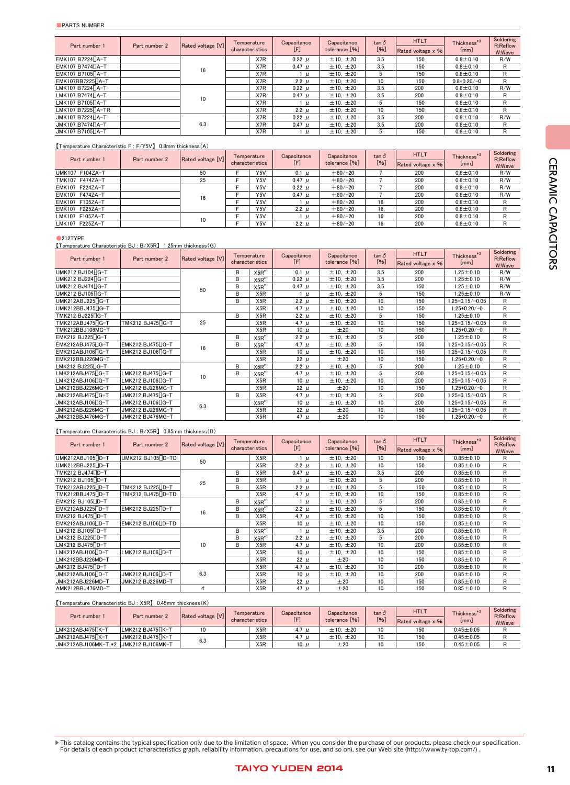| Part number 1                  | Part number 2 | Rated voltage [V] | Temperature     | Capacitance | Capacitance   | $\tan \delta$ | <b>HTLT</b>       | Thickness*3       | Soldering<br>R:Reflow |
|--------------------------------|---------------|-------------------|-----------------|-------------|---------------|---------------|-------------------|-------------------|-----------------------|
|                                |               |                   | characteristics | [F]         | tolerance [%] | [%]           | Rated voltage x % | [mm]              | W:Wave                |
| EMK107 B7224∏A-T               |               |                   | X7R             | $0.22 \mu$  | ±10, ±20      | 3.5           | 150               | $0.8 \pm 0.10$    | R/W                   |
| EMK107 B7474∏A-T               |               | 16                | X7R             | $0.47 \mu$  | ±10, ±20      | 3.5           | 150               | $0.8 \pm 0.10$    | R                     |
| EMK107 B7105∏A-T               |               |                   | X7R             | $\mu$       | ±10, ±20      | 5             | 150               | $0.8 + 0.10$      | R                     |
| EMK107BB7225 A-T               |               |                   | X7R             | 2.2 $\mu$   | ±10, ±20      | 10            | 150               | $0.8 + 0.20 / -0$ | R                     |
| LMK107 B7224 A-T               |               |                   | X7R             | $0.22 \mu$  | ±10, ±20      | 3.5           | 200               | $0.8 \pm 0.10$    | R/W                   |
| LMK107 B7474 A-T               |               | 10                | X7R             | $0.47 \mu$  | ±10, ±20      | 3.5           | 200               | $0.8 \pm 0.10$    | R                     |
| LMK107 B7105 A-T               |               |                   | X7R             | $\mu$       | ±10, ±20      | 5             | 150               | $0.8 \pm 0.10$    | R                     |
| LMK107 B7225 A-TR              |               |                   | X7R             | 2.2 $\mu$   | ±10, ±20      | 10            | 150               | $0.8 \pm 0.10$    | R                     |
| JMK107 B7224 A-T               |               |                   | X7R             | $0.22 \mu$  | ±10, ±20      | 3.5           | 200               | $0.8 \pm 0.10$    | R/W                   |
| JMK107 B7474 A-T               |               | 6.3               | X7R             | $0.47 \mu$  | ±10, ±20      | 3.5           | 200               | $0.8 \pm 0.10$    | R                     |
| JMK107 B7105 <sup>[</sup> ]A-T |               |                   | X7R             | $\mu$       | ±10, ±20      | 5             | 150               | $0.8 \pm 0.10$    | R                     |

#### 【Temperature Characteristic F : F/Y5V】 0.8mm thickness(A)

| Part number 1   | Part number 2 | Rated voltage [V] | Temperature     | Capacitance | Capacitance   | $tan \delta$ | <b>HTLT</b>       | Thickness <sup>*3</sup> | Soldering<br>R:Reflow |
|-----------------|---------------|-------------------|-----------------|-------------|---------------|--------------|-------------------|-------------------------|-----------------------|
|                 |               |                   | characteristics | [F]         | tolerance [%] | $[%]$        | Rated voltage x % | [mm]                    | W:Wave                |
| UMK107 F104ZA-T |               | 50                | Y5V             | $0.1 \mu$   | $+80/-20$     |              | 200               | $0.8 + 0.10$            | R/W                   |
| TMK107 F474ZA-T |               | 25                | Y5V             | $0.47 \mu$  | $+80/-20$     |              | 200               | $0.8 \pm 0.10$          | R/W                   |
| EMK107 F224ZA-T |               |                   | Y5V             | $0.22 \mu$  | $+80/-20$     |              | 200               | $0.8 \pm 0.10$          | R/W                   |
| EMK107 F474ZA-T |               | 16                | Y5V             | $0.47 \mu$  | $+80/-20$     |              | 200               | $0.8 \pm 0.10$          | R/W                   |
| EMK107 F105ZA-T |               |                   | Y5V             | $\mu$       | $+80/-20$     | 16           | 200               | $0.8 + 0.10$            |                       |
| EMK107 F225ZA-T |               |                   | Y5V             | 2.2 $\mu$   | $+80/-20$     | 16           | 200               | $0.8 + 0.10$            |                       |
| LMK107 F105ZA-T |               | 10                | Y5V             | $\mu$       | $+80/-20$     | 16           | 200               | $0.8 \pm 0.10$          |                       |
| LMK107 F225ZA-T |               |                   | Y5V             | $2.2 \mu$   | $+80/-20$     | 16           | 200               | $0.8 \pm 0.10$          |                       |

●212TYPE

【Temperature Characteristic BJ : B/X5R】 1.25mm thickness(G)

|                                | Part number 2     |                   | Temperature     |                  | Capacitance     | Capacitance   | $tan \delta$ | <b>HTLT</b>       | Thickness*3           | Soldering          |
|--------------------------------|-------------------|-------------------|-----------------|------------------|-----------------|---------------|--------------|-------------------|-----------------------|--------------------|
| Part number 1                  |                   | Rated voltage [V] | characteristics |                  | $[{\mathsf F}]$ | tolerance [%] | $[%]$        | Rated voltage x % | [mm]                  | R:Reflow<br>W:Wave |
| UMK212 BJ104 G-T               |                   |                   | B               | $X5R^{*1}$       | $0.1 \mu$       | ±10, ±20      | 3.5          | 200               | $1.25 \pm 0.10$       | R/W                |
| UMK212 BJ224 G-T               |                   |                   | в               | $X5R^{*1}$       | $0.22 \mu$      | ±10. ±20      | 3.5          | 200               | $1.25 \pm 0.10$       | R/W                |
| UMK212 BJ474 G-T               |                   | 50                | в               | $X5R^{*1}$       | $0.47 \mu$      | ±10. ±20      | 3.5          | 150               | $1.25 \pm 0.10$       | R/W                |
| UMK212 BJ105 G-T               |                   |                   | в               | X <sub>5</sub> R | $\mu$           | ±10, ±20      | 5            | 150               | $1.25 \pm 0.10$       | R/W                |
| UMK212ABJ225 <sup>[C-T</sup>   |                   |                   | B               | X <sub>5</sub> R | 2.2 $\mu$       | ±10, ±20      | 10           | 150               | $1.25 + 0.15 / -0.05$ | R                  |
| UMK212BBJ475 G-T               |                   |                   |                 | X <sub>5</sub> R | 4.7 $\mu$       | ±10, ±20      | 10           | 150               | $1.25 + 0.20 / -0$    | R                  |
| TMK212 BJ225 G-T               |                   |                   | B               | X <sub>5</sub> R | 2.2 $\mu$       | ±10, ±20      | 5            | 150               | $1.25 \pm 0.10$       | R                  |
| TMK212ABJ475 <sup>[C-T</sup>   | TMK212 BJ475 G-T  | 25                |                 | X <sub>5</sub> R | 4.7 $\mu$       | ±10, ±20      | 10           | 150               | $1.25 + 0.15 / -0.05$ | R                  |
| TMK212BBJ106MG-T               |                   |                   |                 | X <sub>5</sub> R | 10 $\mu$        | ±20           | 10           | 150               | $1.25 + 0.20 / -0$    | R                  |
| EMK212 BJ225∏G-T               |                   |                   | в               | $X5R^{*1}$       | $2.2$ $\mu$     | ±10, ±20      | 5            | 200               | $1.25 \pm 0.10$       | R                  |
| EMK212ABJ475∏G-T               | EMK212 BJ475[]G-T | 16                | в               | $X5R^{*1}$       | 4.7 $\mu$       | ±10, ±20      | 5            | 150               | $1.25 + 0.15 / -0.05$ | R                  |
| EMK212ABJ106∏G-T               | EMK212 BJ106 G-T  |                   |                 | X <sub>5</sub> R | 10 $\mu$        | ±10, ±20      | 10           | 150               | $1.25 + 0.15 / -0.05$ | R                  |
| EMK212BBJ226MG-T               |                   |                   |                 | X <sub>5</sub> R | $22 \mu$        | ±20           | 10           | 150               | $1.25 + 0.20 / -0$    | R                  |
| LMK212 BJ225∏G-T               |                   |                   | B               | $X5R^{*1}$       | $2.2$ $\mu$     | ±10. ±20      | 5            | 200               | $1.25 \pm 0.10$       | R                  |
| LMK212ABJ475 G-T               | LMK212 BJ475 G-T  | 10                | B               | $X5R^{*1}$       | 4.7 $\mu$       | ±10, ±20      | 5            | 200               | $1.25 + 0.15 / -0.05$ | R                  |
| LMK212ABJ106 G-T               | LMK212 BJ106 G-T  |                   |                 | X <sub>5</sub> R | 10 $\mu$        | ±10, ±20      | 10           | 200               | $1.25 + 0.15 / -0.05$ | R                  |
| LMK212BBJ226MG-T               | LMK212 BJ226MG-T  |                   |                 | X <sub>5</sub> R | $22 \mu$        | ±20           | 10           | 150               | $1.25 + 0.20 / -0$    | R                  |
| JMK212ABJ475 <sup>[]</sup> G-T | JMK212 BJ475□G-T  |                   | B               | X <sub>5</sub> R | 4.7 $\mu$       | ±10, ±20      | 5            | 200               | $1.25 + 0.15 / -0.05$ | R                  |
| JMK212ABJ106 G-T               | JMK212 BJ106□G-T  | 6.3               |                 | $X5R^{*1}$       | 10 $\mu$        | ±10, ±20      | 10           | 200               | $1.25 + 0.15 / -0.05$ | R                  |
| JMK212ABJ226MG-T               | JMK212 BJ226MG-T  |                   |                 | X <sub>5</sub> R | $22 \mu$        | ±20           | 10           | 150               | $1.25 + 0.15 / -0.05$ | R                  |
| JMK212BBJ476MG-T               | JMK212 BJ476MG-T  |                   |                 | X <sub>5</sub> R | 47 $\mu$        | ±20           | 10           | 150               | $1.25 + 0.20 / -0$    | R                  |

#### 【Temperature Characteristic BJ : B/X5R】 0.85mm thickness(D)

| Part number 1                  | Part number 2                  | Rated voltage [V] | Temperature     |                  | Capacitance     | Capacitance   | $tan \delta$ | <b>HTLT</b>       | Thickness*3     | Soldering<br>R:Reflow |
|--------------------------------|--------------------------------|-------------------|-----------------|------------------|-----------------|---------------|--------------|-------------------|-----------------|-----------------------|
|                                |                                |                   | characteristics |                  | $[{\mathsf F}]$ | tolerance [%] | $[%]$        | Rated voltage x % | [mm]            | W:Wave                |
| UMK212ABJ105 <sup>[]</sup> D-T | UMK212 BJ105 D-TD              | 50                |                 | X <sub>5</sub> R | $\mu$           | ±10, ±20      | 10           | 150               | $0.85 \pm 0.10$ | R                     |
| UMK212BBJ225 <sup>[]</sup> D-T |                                |                   |                 | X <sub>5</sub> R | 2.2 $\mu$       | ±10, ±20      | 10           | 150               | $0.85 \pm 0.10$ | R                     |
| TMK212 BJ474 <sup>[]</sup> D-T |                                |                   | в               | X <sub>5</sub> R | $0.47 \mu$      | ±10, ±20      | 3.5          | 200               | $0.85 \pm 0.10$ | R                     |
| TMK212 BJ105 D-T               |                                | 25                | в               | X <sub>5</sub> R | $\mu$           | ±10, ±20      | 5            | 200               | $0.85 \pm 0.10$ | R                     |
| TMK212ABJ225[]D-T              | TMK212 BJ225□D-T               |                   | B               | X <sub>5</sub> R | $2.2$ $\mu$     | ±10, ±20      | 5            | 150               | $0.85 \pm 0.10$ | R                     |
| TMK212BBJ475 ID-T              | TMK212 BJ475□D-TD              |                   |                 | X <sub>5</sub> R | 4.7 $\mu$       | ±10, ±20      | 10           | 150               | $0.85 \pm 0.10$ | R                     |
| EMK212 BJ105 D-T               |                                |                   | B               | $X5R^{*1}$       | $\mu$           | ±10. ±20      | 5            | 200               | $0.85 \pm 0.10$ | R                     |
| EMK212ABJ225 <sub>U</sub> D-T  | EMK212 BJ225 ID-T              | 16                | в               | $X5R^{*1}$       | $2.2$ $\mu$     | ±10. ±20      | 5            | 150               | $0.85 \pm 0.10$ | R                     |
| EMK212 BJ475 D-T               |                                |                   | B               | X <sub>5</sub> R | 4.7 $\mu$       | ±10, ±20      | 10           | 150               | $0.85 \pm 0.10$ | R                     |
| EMK212ABJ106 D-T               | EMK212 BJ106 D-TD              |                   |                 | X <sub>5</sub> R | 10 $\mu$        | ±10.<br>±20   | 10           | 150               | $0.85 \pm 0.10$ | R                     |
| LMK212 BJ105 D-T               |                                |                   | B               | $X5R^{*1}$       | $\mu$           | ±10. ±20      | 3.5          | 200               | $0.85 \pm 0.10$ | R                     |
| LMK212 BJ225 ID-T              |                                |                   | в               | $X5R^{*1}$       | 2.2 $\mu$       | ±10. ±20      | 5            | 200               | $0.85 \pm 0.10$ | R                     |
| LMK212 BJ475 <sup>[D-T</sup>   |                                | 10                | B               | X <sub>5</sub> R | 4.7 $\mu$       | ±10, ±20      | 10           | 200               | $0.85 \pm 0.10$ | R                     |
| LMK212ABJ106 <sub>D-T</sub>    | LMK212 BJ106 D-T               |                   |                 | X <sub>5</sub> R | $10 \mu$        | ±10, ±20      | 10           | 150               | $0.85 \pm 0.10$ | R                     |
| LMK212BBJ226MD-T               |                                |                   |                 | X <sub>5</sub> R | $22 \mu$        | ±20           | 10           | 150               | $0.85 \pm 0.10$ | R                     |
| JMK212 BJ475 D-T               |                                |                   |                 | X <sub>5</sub> R | 4.7 $\mu$       | ±10, ±20      | 10           | 200               | $0.85 \pm 0.10$ | R                     |
| JMK212ABJ106 D-T               | JMK212 BJ106 <sup>[</sup> ]D-T | 6.3               |                 | X <sub>5</sub> R | 10 $\mu$        | ±10, ±20      | 10           | 200               | $0.85 \pm 0.10$ | R                     |
| JMK212ABJ226MD-T               | JMK212 BJ226MD-T               |                   |                 | X <sub>5</sub> R | $22 \mu$        | ±20           | 10           | 150               | $0.85 \pm 0.10$ | R                     |
| AMK212BBJ476MD-T               |                                | 4                 |                 | X <sub>5</sub> R | 47 $\mu$        | ±20           | 10           | 150               | $0.85 \pm 0.10$ | R                     |

#### 【Temperature Characteristic BJ : X5R】 0.45mm thickness(K)

| Part number 1                         | Part number 2    | Rated voltage [V] | Temperature<br>characteristics | Capacitance | Capacitance<br>tolerance [%] | $\tan \delta$<br>[%] | <b>HTLT</b><br>Rated voltage x % | $*3$<br>Thickness <sup>'</sup><br>[mm] | Soldering<br>R:Reflow<br>W:Wave |
|---------------------------------------|------------------|-------------------|--------------------------------|-------------|------------------------------|----------------------|----------------------------------|----------------------------------------|---------------------------------|
| LMK212ABJ475 R-T                      | LMK212 BJ475 R-T | 10                | X5R                            | 4.7 u       | ±10, ±20                     | 10                   | 150                              | $0.45 \pm 0.05$                        |                                 |
| JMK212ABJ475 R-T                      | JMK212 BJ475 R-T | 6.3               | X5R                            | 4.7 u       | $±10.+±20$                   | 10                   | 150                              | $0.45 \pm 0.05$                        |                                 |
| JMK212ABJ106MK-T *2 JJMK212 BJ106MK-T |                  |                   | X <sub>5</sub> R               | $10 \mu$    | ±20                          | 10                   | 150                              | $0.45 \pm 0.05$                        |                                 |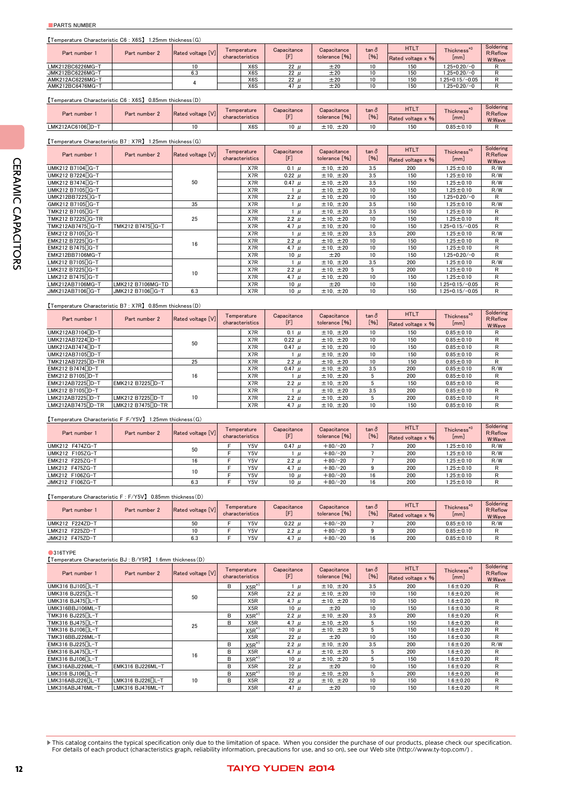#### 【Temperature Characteristic C6 : X6S】 1.25mm thickness(G)

| Part number 1    | Part number 2 | Rated voltage [V] | Temperature<br>characteristics | Capacitance | Capacitance<br>tolerance [%] | $\tan \delta$<br>[%] | <b>HTLT</b><br>Rated voltage x % | $*3$<br><b>Thickness</b><br>[mm] | Soldering<br>R:Reflow<br>W:Wave |
|------------------|---------------|-------------------|--------------------------------|-------------|------------------------------|----------------------|----------------------------------|----------------------------------|---------------------------------|
| LMK212BC6226MG-T |               | 10.               | X <sub>6</sub> S               | 22u         | ±20                          | 10                   | 150                              | -0.20 -0.20 -0.                  |                                 |
| JMK212BC6226MG-T |               |                   | X <sub>6</sub> S               | 22u         | ±20                          | 10                   | 150                              | $1.25 + 0.20 / -0$               |                                 |
| AMK212AC6226MG-T |               |                   | X6S                            | 22u         | ±20                          | 10                   | 150                              | $1.25 + 0.15 / -0.05$            |                                 |
| AMK212BC6476MG-T |               |                   | X6S                            | 47 u        | ±20                          | 10                   | 150                              | -0.20 -0.20 -0.                  |                                 |

### 【Temperature Characteristic C6 : X6S】 0.85mm thickness(D)

| Part number 1    | Part number 2 | Rated voltage [V] | Temperature<br>characteristics |     | Capacitance        | Capacitance<br>tolerance [%] | tan ò<br>[96] | <b>HTL1</b><br>Rated voltage x % | <b>Thickness</b><br>$\lfloor mm \rfloor$ | Soldering<br>R:Reflow<br>W:Wave |
|------------------|---------------|-------------------|--------------------------------|-----|--------------------|------------------------------|---------------|----------------------------------|------------------------------------------|---------------------------------|
| LMK212AC6106 D-T |               |                   |                                | X6S | 10<br>$\mathbf{u}$ | ±20<br>±10.                  | 10            | 150                              | $0.85 \pm 0.10$                          |                                 |

【Temperature Characteristic B7 : X7R】 1.25mm thickness(G)

| $[%]$<br>[F]<br>tolerance [%]<br>characteristics<br>[mm]<br>Rated voltage x %<br>W:Wave<br>UMK212 B7104 G-T<br>X7R<br>±10, ±20<br>3.5<br>$0.1$ $\mu$<br>200<br>$1.25 \pm 0.10$<br>R/W<br>UMK212 B7224 G-T<br>±10, ±20<br>3.5<br>X7R<br>$0.22 \mu$<br>150<br>$1.25 \pm 0.10$<br>R/W<br>UMK212 B7474 G-T<br>50<br>X7R<br>±10, ±20<br>3.5<br>$0.47 \mu$<br>$1.25 \pm 0.10$<br>R/W<br>150<br>UMK212 B7105 G-T<br>X7R<br>±10, ±20<br>10<br>$1.25 \pm 0.10$<br>R/W<br>150<br>$\mu$<br>UMK212BB7225 <sup>[G-T</sup><br>X7R<br>2.2 $\mu$<br>±10, ±20<br>10<br>150<br>$1.25 + 0.20 / -0$<br>R<br>35<br>X7R<br>3.5<br>R/W<br>±10, ±20<br>$1.25 \pm 0.10$<br>150<br>$\mu$<br>TMK212 B7105 G-T<br>X7R<br>3.5<br>±10, ±20<br>R<br>150<br>$1.25 \pm 0.10$<br>$\mu$<br>TMK212 B7225□G-TR<br>25<br>X7R<br>±10, ±20<br>R<br>2.2 $\mu$<br>10<br>$1.25 \pm 0.10$<br>150<br>TMK212AB7475 G-T<br>TMK212 B7475∏G-T<br>X7R<br>±10, ±20<br>10<br>$1.25 + 0.15 / -0.05$<br>R<br>4.7 $\mu$<br>150<br>EMK212 B7105 G-T<br>X7R<br>3.5<br>±10, ±20<br>200<br>R/W<br>$1.25 \pm 0.10$<br>$\mu$<br>EMK212 B7225∏G-T<br>X7R<br>±10, ±20<br>2.2 $\mu$<br>10<br>R<br>150<br>$1.25 \pm 0.10$<br>16<br>EMK212 B7475∏G-T<br>X7R<br>10<br>R<br>4.7 $\mu$<br>±10, ±20<br>150<br>$1.25 \pm 0.10$<br>X7R<br>R<br>EMK212BB7106MG-T<br>10<br>$10 \mu$<br>±20<br>150<br>$1.25 + 0.20 / -0$<br>LMK212 B7105 <sub>0</sub> G-T<br>X7R<br>3.5<br>±10, ±20<br>200<br>R/W<br>$1.25 \pm 0.10$<br>$\mu$<br>LMK212 B7225∏G-T<br>X7R<br>5<br>±10, ±20<br>R<br>2.2 $\mu$<br>200<br>$1.25 \pm 0.10$<br>10<br>LMK212 B7475 <sup>[</sup> G-T<br>X7R<br>10<br>R<br>4.7 $\mu$<br>±10, ±20<br>$1.25 \pm 0.10$<br>150<br>R<br>X7R<br>10<br>$1.25 + 0.15 / -0.05$<br>LMK212AB7106MG-T<br>LMK212 B7106MG-TD<br>$10 \mu$<br>±20<br>150 | Part number 1                 | Part number 2 | Rated voltage [V] | Temperature | Capacitance | Capacitance | $tan \delta$ | <b>HTLT</b> | Thickness*3 | Soldering<br>R:Reflow |
|----------------------------------------------------------------------------------------------------------------------------------------------------------------------------------------------------------------------------------------------------------------------------------------------------------------------------------------------------------------------------------------------------------------------------------------------------------------------------------------------------------------------------------------------------------------------------------------------------------------------------------------------------------------------------------------------------------------------------------------------------------------------------------------------------------------------------------------------------------------------------------------------------------------------------------------------------------------------------------------------------------------------------------------------------------------------------------------------------------------------------------------------------------------------------------------------------------------------------------------------------------------------------------------------------------------------------------------------------------------------------------------------------------------------------------------------------------------------------------------------------------------------------------------------------------------------------------------------------------------------------------------------------------------------------------------------------------------------------------------------------------------------|-------------------------------|---------------|-------------------|-------------|-------------|-------------|--------------|-------------|-------------|-----------------------|
|                                                                                                                                                                                                                                                                                                                                                                                                                                                                                                                                                                                                                                                                                                                                                                                                                                                                                                                                                                                                                                                                                                                                                                                                                                                                                                                                                                                                                                                                                                                                                                                                                                                                                                                                                                      |                               |               |                   |             |             |             |              |             |             |                       |
|                                                                                                                                                                                                                                                                                                                                                                                                                                                                                                                                                                                                                                                                                                                                                                                                                                                                                                                                                                                                                                                                                                                                                                                                                                                                                                                                                                                                                                                                                                                                                                                                                                                                                                                                                                      |                               |               |                   |             |             |             |              |             |             |                       |
|                                                                                                                                                                                                                                                                                                                                                                                                                                                                                                                                                                                                                                                                                                                                                                                                                                                                                                                                                                                                                                                                                                                                                                                                                                                                                                                                                                                                                                                                                                                                                                                                                                                                                                                                                                      |                               |               |                   |             |             |             |              |             |             |                       |
|                                                                                                                                                                                                                                                                                                                                                                                                                                                                                                                                                                                                                                                                                                                                                                                                                                                                                                                                                                                                                                                                                                                                                                                                                                                                                                                                                                                                                                                                                                                                                                                                                                                                                                                                                                      |                               |               |                   |             |             |             |              |             |             |                       |
|                                                                                                                                                                                                                                                                                                                                                                                                                                                                                                                                                                                                                                                                                                                                                                                                                                                                                                                                                                                                                                                                                                                                                                                                                                                                                                                                                                                                                                                                                                                                                                                                                                                                                                                                                                      |                               |               |                   |             |             |             |              |             |             |                       |
|                                                                                                                                                                                                                                                                                                                                                                                                                                                                                                                                                                                                                                                                                                                                                                                                                                                                                                                                                                                                                                                                                                                                                                                                                                                                                                                                                                                                                                                                                                                                                                                                                                                                                                                                                                      |                               |               |                   |             |             |             |              |             |             |                       |
|                                                                                                                                                                                                                                                                                                                                                                                                                                                                                                                                                                                                                                                                                                                                                                                                                                                                                                                                                                                                                                                                                                                                                                                                                                                                                                                                                                                                                                                                                                                                                                                                                                                                                                                                                                      | GMK212 B7105 <sub>□</sub> G-T |               |                   |             |             |             |              |             |             |                       |
|                                                                                                                                                                                                                                                                                                                                                                                                                                                                                                                                                                                                                                                                                                                                                                                                                                                                                                                                                                                                                                                                                                                                                                                                                                                                                                                                                                                                                                                                                                                                                                                                                                                                                                                                                                      |                               |               |                   |             |             |             |              |             |             |                       |
|                                                                                                                                                                                                                                                                                                                                                                                                                                                                                                                                                                                                                                                                                                                                                                                                                                                                                                                                                                                                                                                                                                                                                                                                                                                                                                                                                                                                                                                                                                                                                                                                                                                                                                                                                                      |                               |               |                   |             |             |             |              |             |             |                       |
|                                                                                                                                                                                                                                                                                                                                                                                                                                                                                                                                                                                                                                                                                                                                                                                                                                                                                                                                                                                                                                                                                                                                                                                                                                                                                                                                                                                                                                                                                                                                                                                                                                                                                                                                                                      |                               |               |                   |             |             |             |              |             |             |                       |
|                                                                                                                                                                                                                                                                                                                                                                                                                                                                                                                                                                                                                                                                                                                                                                                                                                                                                                                                                                                                                                                                                                                                                                                                                                                                                                                                                                                                                                                                                                                                                                                                                                                                                                                                                                      |                               |               |                   |             |             |             |              |             |             |                       |
|                                                                                                                                                                                                                                                                                                                                                                                                                                                                                                                                                                                                                                                                                                                                                                                                                                                                                                                                                                                                                                                                                                                                                                                                                                                                                                                                                                                                                                                                                                                                                                                                                                                                                                                                                                      |                               |               |                   |             |             |             |              |             |             |                       |
|                                                                                                                                                                                                                                                                                                                                                                                                                                                                                                                                                                                                                                                                                                                                                                                                                                                                                                                                                                                                                                                                                                                                                                                                                                                                                                                                                                                                                                                                                                                                                                                                                                                                                                                                                                      |                               |               |                   |             |             |             |              |             |             |                       |
|                                                                                                                                                                                                                                                                                                                                                                                                                                                                                                                                                                                                                                                                                                                                                                                                                                                                                                                                                                                                                                                                                                                                                                                                                                                                                                                                                                                                                                                                                                                                                                                                                                                                                                                                                                      |                               |               |                   |             |             |             |              |             |             |                       |
|                                                                                                                                                                                                                                                                                                                                                                                                                                                                                                                                                                                                                                                                                                                                                                                                                                                                                                                                                                                                                                                                                                                                                                                                                                                                                                                                                                                                                                                                                                                                                                                                                                                                                                                                                                      |                               |               |                   |             |             |             |              |             |             |                       |
|                                                                                                                                                                                                                                                                                                                                                                                                                                                                                                                                                                                                                                                                                                                                                                                                                                                                                                                                                                                                                                                                                                                                                                                                                                                                                                                                                                                                                                                                                                                                                                                                                                                                                                                                                                      |                               |               |                   |             |             |             |              |             |             |                       |
|                                                                                                                                                                                                                                                                                                                                                                                                                                                                                                                                                                                                                                                                                                                                                                                                                                                                                                                                                                                                                                                                                                                                                                                                                                                                                                                                                                                                                                                                                                                                                                                                                                                                                                                                                                      |                               |               |                   |             |             |             |              |             |             |                       |
|                                                                                                                                                                                                                                                                                                                                                                                                                                                                                                                                                                                                                                                                                                                                                                                                                                                                                                                                                                                                                                                                                                                                                                                                                                                                                                                                                                                                                                                                                                                                                                                                                                                                                                                                                                      |                               |               |                   |             |             |             |              |             |             |                       |
| JMK212 B7106∏G-T<br>X7R<br>$1.25 + 0.15 / -0.05$<br>R<br>6.3<br>±10, ±20<br>10<br>$10 \mu$<br>150                                                                                                                                                                                                                                                                                                                                                                                                                                                                                                                                                                                                                                                                                                                                                                                                                                                                                                                                                                                                                                                                                                                                                                                                                                                                                                                                                                                                                                                                                                                                                                                                                                                                    | JMK212AB7106 G-T              |               |                   |             |             |             |              |             |             |                       |

【Temperature Characteristic B7 : X7R】 0.85mm thickness(D)

| Part number 1               | Part number 2                | Rated voltage [V] | Temperature     | Capacitance | Capacitance   | $tan \delta$ | <b>HTLT</b>       | Thickness*3     | Soldering<br>R:Reflow |
|-----------------------------|------------------------------|-------------------|-----------------|-------------|---------------|--------------|-------------------|-----------------|-----------------------|
|                             |                              |                   | characteristics | [F]         | tolerance [%] | $[%]$        | Rated voltage x % | [mm]            | W:Wave                |
| UMK212AB7104 ID-T           |                              |                   | X7R             | $0.1 \mu$   | ±10, ±20      | 10           | 150               | $0.85 \pm 0.10$ | R                     |
| UMK212AB7224 ID-T           |                              | 50                | X7R             | $0.22 \mu$  | ± 10, ±20     | 10           | 150               | $0.85 \pm 0.10$ | R                     |
| UMK212AB7474 ID-T           |                              |                   | X7R             | $0.47 \mu$  | ± 10, ±20     | 10           | 150               | $0.85 \pm 0.10$ | R                     |
| UMK212AB7105 D-T            |                              |                   | X7R             | $\mu$       | ±10, ±20      | 10           | 150               | $0.85 \pm 0.10$ | R                     |
| TMK212AB7225 D-TR           |                              | 25                | X7R             | $2.2$ $\mu$ | ±10, ±20      | 10           | 150               | $0.85 \pm 0.10$ | R                     |
| EMK212 B7474 ID-T           |                              |                   | X7R             | $0.47 \; u$ | ± 10, ±20     | 3.5          | 200               | $0.85 \pm 0.10$ | R/W                   |
| EMK212 B7105 D-T            |                              | 16                | X7R             | $\mu$       | ± 10, ±20     | 5            | 200               | $0.85 \pm 0.10$ | R                     |
| EMK212AB7225 ID-T           | EMK212 B7225 D-T             |                   | X7R             | $2.2 \mu$   | ± 10, ±20     | 5            | 150               | $0.85 \pm 0.10$ | R                     |
| LMK212 B7105 <sub>D-T</sub> |                              |                   | X7R             | $\mu$       | ±10, ±20      | 3.5          | 200               | $0.85 \pm 0.10$ | R                     |
| LMK212AB7225 D-T            | LMK212 B7225 <sup></sup> D-T | 10                | X7R             | $2.2$ $\mu$ | ±10, ±20      | 5            | 200               | $0.85 \pm 0.10$ | R                     |
| LMK212AB7475 D-TR           | LMK212 B7475 D-TR            |                   | X7R             | 4.7 $\mu$   | ±10, ±20      | 10           | 150               | $0.85 \pm 0.10$ | R                     |
|                             |                              |                   |                 |             |               |              |                   |                 |                       |

### 【Temperature Characteristic F :F/Y5V】 1.25mm thickness(G)

| Part number 1   | Part number 2 | Rated voltage [V] | Temperature<br>characteristics | Capacitance | Capacitance<br>tolerance [%] | $\tan \delta$<br>$[96]$ | <b>HTLT</b><br>Rated voltage x % | Thickness*3<br>[mm] | Soldering<br>R:Reflow<br>W:Wave |
|-----------------|---------------|-------------------|--------------------------------|-------------|------------------------------|-------------------------|----------------------------------|---------------------|---------------------------------|
| UMK212 F474ZG-T |               | 50                | Y5V                            | $0.47 \mu$  | $+80/-20$                    |                         | 200                              | $1.25 \pm 0.10$     | R/W                             |
| UMK212 F105ZG-T |               |                   | Y5V                            | $\mu$       | $+80/-20$                    |                         | 200                              | $1.25 \pm 0.10$     | R/W                             |
| EMK212 F225ZG-T |               | 16                | Y5V                            | $2.2 \mu$   | $+80/-20$                    |                         | 200                              | $1.25 \pm 0.10$     | R/W                             |
| LMK212 F475ZG-T |               | 10                | Y5V                            | 4.7 $\mu$   | $+80/-20$                    |                         | 200                              | $1.25 \pm 0.10$     |                                 |
| LMK212 F106ZG-T |               |                   | Y5V                            | 10 $\mu$    | $+80/-20$                    | 16                      | 200                              | $1.25 \pm 0.10$     |                                 |
| JMK212 F106ZG-T |               | 6.3               | Y5V                            | 10 $\mu$    | $+80/-20$                    | 16                      | 200                              | $1.25 \pm 0.10$     |                                 |

【Temperature Characteristic F : F/Y5V】 0.85mm thickness(D)

| Part number 1   | Part number 2 | Rated voltage [V] | Temperature<br>characteristics | Capacitance | Capacitance<br>tolerance [%] | $\tan \delta$<br>[%] | <b>HTLT</b><br>Rated voltage x % | <b>Thickness</b><br>[mm] | Soldering<br>R:Reflow<br>W:Wave |
|-----------------|---------------|-------------------|--------------------------------|-------------|------------------------------|----------------------|----------------------------------|--------------------------|---------------------------------|
| UMK212 F224ZD-T |               | 50                | Y5V                            | $0.22 \mu$  | $+80/-20$                    |                      | 200                              | $0.85 \pm 0.10$          | R/W                             |
| LMK212 F225ZD-T |               |                   | Y5V                            | 2.2 u       | $+80/-20$                    |                      | 200                              | $0.85 \pm 0.10$          |                                 |
| JMK212 F475ZD-T |               | 6.3               | Y5V                            | $4.7 \mu$   | $+80/-20$                    | 16                   | 200                              | $0.85 \pm 0.10$          |                                 |

#### ●316TYPE

【Temperature Characteristic BJ : B/Y5R】 1.6mm thickness(D)

| Part number 1                | Part number 2    | Rated voltage [V] |   | Temperature      | Capacitance<br>[F]<br>$\mu$ | Capacitance      | $\tan \delta$ | <b>HTLT</b>       | Thickness*3    | Soldering<br>R:Reflow |
|------------------------------|------------------|-------------------|---|------------------|-----------------------------|------------------|---------------|-------------------|----------------|-----------------------|
|                              |                  |                   |   | characteristics  |                             | tolerance [%]    | [%]           | Rated voltage x % | [mm]           | W:Wave                |
| UMK316 BJ105 L-T             |                  |                   | в | $X5R^{*1}$       |                             | $\pm 10. \pm 20$ | 3.5           | 200               | $1.6 \pm 0.20$ | R                     |
| UMK316 BJ225 L-T             |                  | 50                |   | X <sub>5</sub> R | 2.2 $\mu$                   | ±10, ±20         | 10            | 150               | $1.6 \pm 0.20$ | R                     |
| UMK316 BJ475 L-T             |                  |                   |   | X <sub>5</sub> R | 4.7 $\mu$                   | ±10, ±20         | 10            | 150               | $1.6 \pm 0.20$ | R                     |
| UMK316BBJ106ML-T             |                  |                   |   | X <sub>5</sub> R | $10 \mu$                    | ±20              | 10            | 150               | $1.6 \pm 0.30$ | R                     |
| TMK316 BJ225 L-T             |                  |                   | B | $X5R^{*1}$       | 2.2 $\mu$                   | ±10, ±20         | 3.5           | 200               | $1.6 \pm 0.20$ | R                     |
| TMK316 BJ475 L-T             |                  | 25                | в | X <sub>5</sub> R | 4.7 $\mu$                   | ±10, ±20         | 5             | 150               | $1.6 \pm 0.20$ | R                     |
| TMK316 BJ106 L-T             |                  |                   |   | $X5R^{*1}$       | $10 \mu$                    | ±10, ±20         | 5             | 150               | $1.6 \pm 0.20$ | R                     |
| TMK316BBJ226ML-T             |                  |                   |   | X <sub>5</sub> R | $22 \mu$                    | ±20              | 10            | 150               | $1.6 \pm 0.30$ | R                     |
| EMK316 BJ225 L-T             |                  |                   | B | $X5R^{*1}$       | 2.2 $\mu$                   | $\pm 10. \pm 20$ | 3.5           | 200               | $1.6 \pm 0.20$ | R/W                   |
| EMK316 BJ475 L-T             |                  | 16                | в | X5R              | 4.7 $\mu$                   | ±10, ±20         | 5             | 200               | $1.6 \pm 0.20$ | R                     |
| EMK316 BJ106 L-T             |                  |                   | в | $X5R^{*1}$       | 10 $\mu$                    | ±10, ±20         | 5             | 150               | $1.6 \pm 0.20$ | R                     |
| EMK316ABJ226ML-T             | EMK316 BJ226ML-T |                   | в | X <sub>5</sub> R | $22 \mu$                    | ±20              | 10            | 150               | $1.6 \pm 0.20$ | R                     |
| LMK316 BJ106 <sub>[L-T</sub> |                  |                   | в | $X5R^{*1}$       | 10 $\mu$                    | ±10, ±20         | 5             | 200               | $1.6 \pm 0.20$ | R                     |
| LMK316ABJ226 <sub>[L-T</sub> | LMK316 BJ226 L-T | 10                | в | X <sub>5</sub> R | $22 \mu$                    | ±10, ±20         | 10            | 150               | $1.6 \pm 0.20$ | R                     |
| LMK316ABJ476ML-T             | LMK316 BJ476ML-T |                   |   | X <sub>5</sub> R | 47 $\mu$                    | ±20              | 10            | 150               | $1.6 \pm 0.20$ | R                     |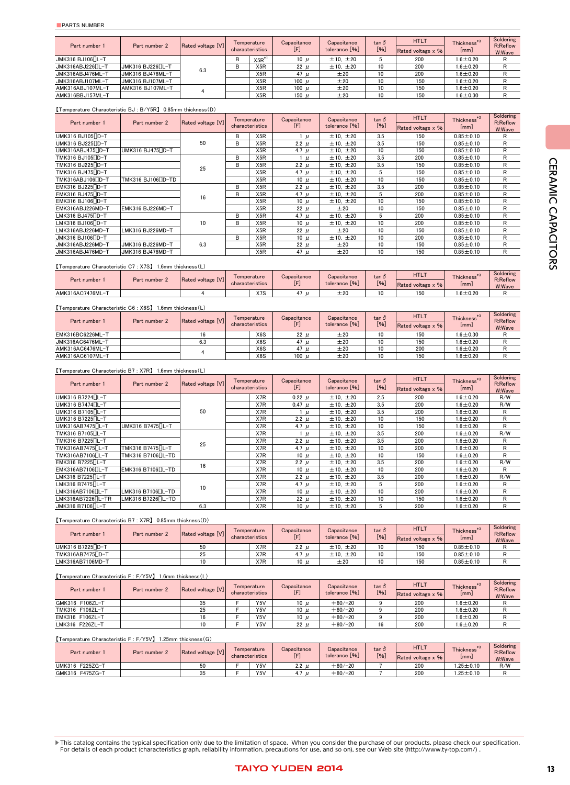| Part number 1    | Part number 2    | Rated voltage [V] |   | Temperature<br>characteristics | Capacitance<br>[F] | Capacitance<br>tolerance [%] | $tan \delta$<br>$[%]$ | <b>HTLT</b><br>Rated voltage x % | Thickness*3<br>[mm] | Soldering<br>R:Reflow<br>W:Wave |
|------------------|------------------|-------------------|---|--------------------------------|--------------------|------------------------------|-----------------------|----------------------------------|---------------------|---------------------------------|
| JMK316 BJ106 L-T |                  |                   | в | $X5R^{*1}$                     | 10 $\mu$           | ±10, ±20                     |                       | 200                              | $0.6 \pm 0.20$      |                                 |
| JMK316ABJ226 L-T | JMK316 BJ226 L-T | 6.3               | D | X <sub>5</sub> R               | $22 \mu$           | ±10, ±20                     | 10                    | 200                              | $0.6 \pm 0.20$      |                                 |
| JMK316ABJ476ML-T | JMK316 BJ476ML-T |                   |   | X <sub>5</sub> R               | 47 <sub>u</sub>    | ±20                          | 10                    | 200                              | $.6 \pm 0.20$       |                                 |
| JMK316ABJ107ML-T | JMK316 BJ107ML-T |                   |   | X5R                            | 100 $\mu$          | ±20                          | 10                    | 150                              | $0.6 \pm 0.20$      |                                 |
| AMK316ABJ107ML-T | AMK316 BJ107ML-T |                   |   | X <sub>5</sub> R               | $100 \mu$          | ±20                          | 10                    | 150                              | $.6 \pm 0.20$       |                                 |
| AMK316BBJ157ML-T |                  |                   |   | X <sub>5</sub> R               | 150 μ              | ±20                          | 10                    | 150                              | $.6 \pm 0.30$       |                                 |

#### 【Temperature Characteristic BJ : B/Y5R】 0.85mm thickness(D)

| Part number 1                |                   |                   |   | Temperature      | Capacitance | Capacitance   | $tan \delta$ | <b>HTLT</b>       | Thickness*3     | Soldering          |
|------------------------------|-------------------|-------------------|---|------------------|-------------|---------------|--------------|-------------------|-----------------|--------------------|
|                              | Part number 2     | Rated voltage [V] |   | characteristics  | [F]         | tolerance [%] | [%]          | Rated voltage x % | [mm]            | R:Reflow<br>W:Wave |
| UMK316 BJ105□D-T             |                   |                   | B | X <sub>5</sub> R | $\mu$       | ±10, ±20      | 3.5          | 150               | $0.85 \pm 0.10$ | R                  |
| UMK316 BJ225 D-T             |                   | 50                | B | X <sub>5</sub> R | 2.2 $\mu$   | ±10, ±20      | 3.5          | 150               | $0.85 \pm 0.10$ | R                  |
| UMK316ABJ475 ID-T            | UMK316 BJ475 D-T  |                   |   | X <sub>5</sub> R | 4.7 $\mu$   | ±10, ±20      | 10           | 150               | $0.85 \pm 0.10$ | R                  |
| TMK316 BJ105 <sub>D</sub> -T |                   |                   | в | X <sub>5</sub> R | $\mu$       | ±10, ±20      | 3.5          | 200               | $0.85 \pm 0.10$ | R                  |
| TMK316 BJ225 D-T             |                   | 25                | B | X <sub>5</sub> R | $2.2$ $\mu$ | ±10, ±20      | 3.5          | 150               | $0.85 \pm 0.10$ | R                  |
| TMK316 BJ475 D-T             |                   |                   |   | X <sub>5</sub> R | 4.7 $\mu$   | ±10, ±20      | 5            | 150               | $0.85 \pm 0.10$ | R                  |
| TMK316ABJ106 <sub>U</sub> -T | TMK316 BJ106∏D-TD |                   |   | X <sub>5</sub> R | $10 \mu$    | ±10, ±20      | 10           | 150               | $0.85 \pm 0.10$ | R                  |
| EMK316 BJ225 D-T             |                   |                   | B | X <sub>5</sub> R | $2.2$ $\mu$ | ±10, ±20      | 3.5          | 200               | $0.85 \pm 0.10$ | R                  |
| EMK316 BJ475 D-T             |                   | 16                | в | X <sub>5</sub> R | 4.7 $\mu$   | ±10, ±20      | 5            | 200               | $0.85 \pm 0.10$ | R                  |
| EMK316 BJ106 D-T             |                   |                   |   | X5R              | $10 \mu$    | ±10, ±20      | 10           | 150               | $0.85 \pm 0.10$ | R                  |
| EMK316ABJ226MD-T             | EMK316 BJ226MD-T  |                   |   | X <sub>5</sub> R | $22 \mu$    | ±20           | 10           | 150               | $0.85 \pm 0.10$ | R                  |
| LMK316 BJ475 D-T             |                   |                   | в | X5R              | 4.7 $\mu$   | ±10, ±20      | 5            | 200               | $0.85 \pm 0.10$ | R                  |
| LMK316 BJ106 D-T             |                   | 10                | B | X <sub>5</sub> R | $10 \mu$    | ±10, ±20      | 10           | 200               | $0.85 \pm 0.10$ | R                  |
| LMK316ABJ226MD-T             | LMK316 BJ226MD-T  |                   |   | X <sub>5</sub> R | $22 \mu$    | ±20           | 10           | 150               | $0.85 \pm 0.10$ | R                  |
| JMK316 BJ106 D-T             |                   |                   | B | X5R              | $10 \mu$    | ±10, ±20      | 10           | 200               | $0.85 \pm 0.10$ | R                  |
| JMK316ABJ226MD-T             | JMK316 BJ226MD-T  | 6.3               |   | X <sub>5</sub> R | $22 \mu$    | ±20           | 10           | 150               | $0.85 \pm 0.10$ | R                  |
| JMK316ABJ476MD-T             | JMK316 BJ476MD-T  |                   |   | X <sub>5</sub> R | 47 $\mu$    | ±20           | 10           | 150               | $0.85 \pm 0.10$ | R                  |

#### 【Temperature Characteristic C7 : X7S】 1.6mm thickness(L)

| Part number 1    | Part number 2 | Rated voltage [V] | Temperature<br>characteristics | Capacitance | Capacitance<br>tolerance [%] | tan ð<br>$[%]$ | <b>HTLT</b><br>Rated voltage x % | 32.3<br><b>Thickness</b><br>$\lfloor mm \rfloor$ | Soldering<br>R:Reflow<br>W:Wave |
|------------------|---------------|-------------------|--------------------------------|-------------|------------------------------|----------------|----------------------------------|--------------------------------------------------|---------------------------------|
| AMK316AC7476ML-1 |               |                   | X7S                            | $\cdot$     | ±20                          | 10             | 150                              | $1.6 \pm 0.20$                                   |                                 |

### 【Temperature Characteristic C6 : X6S】 1.6mm thickness(L)

| Part number 1    | Part number 2 | Rated voltage [V] | Temperature      | Capacitance     | Capacitance   | $tan \delta$ | <b>HTLT</b>       | Thickness <sup>7</sup> | Soldering<br>R:Reflow |
|------------------|---------------|-------------------|------------------|-----------------|---------------|--------------|-------------------|------------------------|-----------------------|
|                  |               |                   | characteristics  |                 | tolerance [%] | [%]          | Rated voltage x % | [mm]                   | W:Wave                |
| EMK316BC6226ML-T |               | 16                | X <sub>6</sub> S | 22u             | ±20           | 10           | 150               | $1.6 \pm 0.30$         |                       |
| JMK316AC6476ML-T |               | 6.3               | X <sub>6</sub> S | 47 <sub>u</sub> | ±20           | 10           | 150               | $1.6 \pm 0.20$         |                       |
| AMK316AC6476ML-T |               |                   | X <sub>6</sub> S | 47 <sub>u</sub> | ±20           | 10           | 200               | $1.6 \pm 0.20$         |                       |
| AMK316AC6107ML-T |               |                   | X <sub>6</sub> S | $100 \mu$       | ±20           | 10           | 150               | $1.6 \pm 0.20$         |                       |

### 【Temperature Characteristic B7 : X7R】 1.6mm thickness(L)

| Part number 1                  |                              |                   | Temperature      | Capacitance | Capacitance   | $\tan \delta$ | <b>HTLT</b>       | Thickness <sup>*3</sup> | Soldering          |
|--------------------------------|------------------------------|-------------------|------------------|-------------|---------------|---------------|-------------------|-------------------------|--------------------|
|                                | Part number 2                | Rated voltage [V] | characteristics  | [F]         | tolerance [%] | [%]           | Rated voltage x % | [mm]                    | R:Reflow<br>W:Wave |
| UMK316 B7224 L-T               |                              |                   | X <sub>7</sub> R | $0.22 \mu$  | ±10, ±20      | 2.5           | 200               | $1.6 \pm 0.20$          | R/W                |
| UMK316 B7474 L-T               |                              |                   | X7R              | $0.47 \mu$  | ± 10, ±20     | 3.5           | 200               | $1.6 \pm 0.20$          | R/W                |
| UMK316 B7105 L-T               |                              | 50                | X7R              | $\mu$       | ± 10, ±20     | 3.5           | 200               | $1.6 \pm 0.20$          | R                  |
| UMK316 B7225 L-T               |                              |                   | X7R              | 2.2 $\mu$   | ±10, ±20      | 10            | 150               | $1.6 \pm 0.20$          | R                  |
| UMK316AB7475 L-T               | UMK316 B7475 <sub>[L-T</sub> |                   | X7R              | 4.7 $\mu$   | ±10, ±20      | 10            | 150               | $1.6 \pm 0.20$          | R                  |
| TMK316 B7105 <sub>U</sub> -T   |                              |                   | X7R              | $\mu$       | ±10, ±20      | 3.5           | 200               | $1.6 \pm 0.20$          | R/W                |
| TMK316 B7225 <sub>U</sub> -T   |                              | 25                | X7R              | $2.2$ $\mu$ | ±10, ±20      | 3.5           | 200               | $1.6 \pm 0.20$          | R                  |
| TMK316AB7475 <sub>[L-T</sub>   | TMK316 B7475 L-T             |                   | X7R              | 4.7 $\mu$   | ±10, ±20      | 10            | 200               | $1.6 \pm 0.20$          | R                  |
| TMK316AB7106 <sup>[</sup> ]L-T | TMK316 B7106 L-TD            |                   | X7R              | $10 \mu$    | ±10, ±20      | 10            | 150               | $1.6 \pm 0.20$          | R                  |
| EMK316 B7225 L-T               |                              | 16                | X7R              | $2.2$ $\mu$ | ±10, ±20      | 3.5           | 200               | $1.6 \pm 0.20$          | R/W                |
| EMK316AB7106 <sub>[L-T</sub>   | EMK316 B7106 L-TD            |                   | X <sub>7</sub> R | $10 \mu$    | ±10, ±20      | 10            | 200               | $1.6 \pm 0.20$          | R                  |
| LMK316 B7225 L-T               |                              |                   | X7R              | $2.2$ $\mu$ | ±10, ±20      | 3.5           | 200               | $1.6 \pm 0.20$          | R/W                |
| LMK316 B7475 L-T               |                              | 10                | X7R              | 4.7 $\mu$   | ±10, ±20      | 5             | 200               | $1.6 \pm 0.20$          | R                  |
| LMK316AB7106 <sub>L-T</sub>    | LMK316 B7106 L-TD            |                   | X7R              | $10 \mu$    | ±10, ±20      | 10            | 200               | $1.6 \pm 0.20$          | R                  |
| LMK316AB7226 L-TR              | LMK316 B7226 L-TD            |                   | X7R              | $22 \mu$    | ±10, ±20      | 10            | 150               | $1.6 \pm 0.20$          | R                  |
| JMK316 B7106 L-T               |                              | 6.3               | X7R              | $10 \mu$    | ± 10, ±20     | 5             | 200               | $1.6 \pm 0.20$          | R                  |

#### 【Temperature Characteristic B7 : X7R】 0.85mm thickness(D)

| Part number 1     | Part number 2 | Rated voltage [V] | Temperature<br>characteristics | Capacitance      | Capacitance<br>tolerance [%] | tan ò<br>[%] | <b>HTLT</b><br>Rated voltage x % | Thickness <sup>®</sup><br>[mm] | Soldering<br>R:Reflow<br>W:Wave |
|-------------------|---------------|-------------------|--------------------------------|------------------|------------------------------|--------------|----------------------------------|--------------------------------|---------------------------------|
| UMK316 B7225 ID-T |               | 50                | X7R                            | $2.2 \mu$        | ±10, ±20                     | 10           | 150                              | $0.85 \pm 0.10$                |                                 |
| TMK316AB7475 D-T  |               |                   | X7R                            | 4.7 <sub>u</sub> | ± 10, ±20                    | 10           | 150                              | $0.85 \pm 0.10$                |                                 |
| LMK316AB7106MD-T  |               |                   | X7R                            | $10 \mu$         | ±20                          | 10           | 150                              | $0.85 \pm 0.10$                |                                 |

### 【Temperature Characteristic F : F/Y5V】 1.6mm thickness(L)

| Part number 1   | Part number 2 | Rated voltage [V] | Temperature     | Capacitance | Capacitance   | $\tan \delta$ | <b>HTLT</b>       | Thickness <sup>*3</sup> | Soldering<br>R:Reflow |
|-----------------|---------------|-------------------|-----------------|-------------|---------------|---------------|-------------------|-------------------------|-----------------------|
|                 |               |                   | characteristics |             | tolerance [%] | $[%]$         | Rated voltage x % | [mm]                    | W:Wave                |
| GMK316 F106ZL-T |               | 35                | Y5V             | $10 \mu$    | $+80/-20$     |               | 200               | $1.6 \pm 0.20$          |                       |
| TMK316 F106ZL-T |               | 25                | Y5V             | $10 \mu$    | $+80/-20$     |               | 200               | $1.6 \pm 0.20$          |                       |
| EMK316 F106ZL-T |               |                   | Y5V             | $10 \mu$    | $+80/-20$     |               | 200               | $1.6 \pm 0.20$          |                       |
| LMK316 F226ZL-T |               | 10                | Y5V             | $22 \mu$    | $+80/-20$     | 16            | 200               | $1.6 \pm 0.20$          |                       |

### 【Temperature Characteristic F : F/Y5V】 1.25mm thickness(G)

| Part number 1   | Part number 2 | Rated voltage [V] | Temperature<br>characteristics | Capacitance<br>Œ | Capacitance<br>tolerance [%] | $\tan \delta$<br>[%] | <b>HTL1</b><br>Rated voltage x % | <b>Thickness</b><br>$\lfloor mm \rfloor$ | Soldering<br>R:Reflow<br>W:Wave |
|-----------------|---------------|-------------------|--------------------------------|------------------|------------------------------|----------------------|----------------------------------|------------------------------------------|---------------------------------|
| UMK316 F225ZG-T |               | 50                | Y5V                            | 2.2 <sub>u</sub> | $+80/-20$                    |                      | 200                              | $.25 \pm 0.10$                           | R/W                             |
| GMK316 F475ZG-T |               | 35                | Y5V                            | $^{\prime}$      | $+80/-20$                    |                      | 200                              | $.25 \pm 0.10$                           |                                 |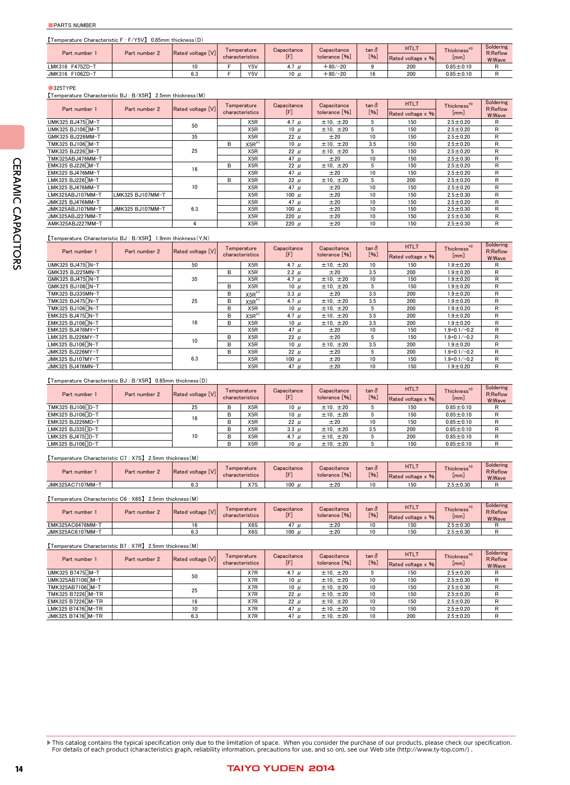### 【Temperature Characteristic F : F/Y5V】 0.85mm thickness(D)

| Part number 1   | Part number 2 | Rated voltage [V] | Temperature<br>characteristics | Capacitance         | Capacitance<br>tolerance [%] | $\tan \delta$<br>[%] | <b>HTL1</b><br>Rated voltage x % | <b>Thickness</b><br>$\lfloor mm \rfloor$ | Soldering<br>R:Reflow<br>W:Wave |
|-----------------|---------------|-------------------|--------------------------------|---------------------|------------------------------|----------------------|----------------------------------|------------------------------------------|---------------------------------|
| LMK316 F475ZD-T |               | 10                | Y5V                            | 4.7<br>$\mathbf{u}$ | $+80/-20$                    |                      | 200                              | $0.85 \pm 0.10$                          |                                 |
| JMK316 F106ZD-T |               | 6.3               | Y5V                            | $10 \mu$            | $+80/-20$                    | 16                   | 200                              | $0.85 \pm 0.10$                          |                                 |

●325TYPE

【Temperature Characteristic BJ : B/X5R】 2.5mm thickness(M)

| Part number 1                  | Part number 2    | Rated voltage [V] |   | Temperature      | Capacitance | Capacitance   | $tan \delta$ | <b>HTLT</b>       | Thickness*3    | Soldering<br>R:Reflow |
|--------------------------------|------------------|-------------------|---|------------------|-------------|---------------|--------------|-------------------|----------------|-----------------------|
|                                |                  |                   |   | characteristics  | [F]         | tolerance [%] | [%]          | Rated voltage x % | [mm]           | W:Wave                |
| UMK325 BJ475□M-T               |                  | 50                |   | X <sub>5</sub> R | $4.7 \mu$   | ±10, ±20      | 5            | 150               | $2.5 \pm 0.20$ | R                     |
| UMK325 BJ106∏M-T               |                  |                   |   | X <sub>5</sub> R | $10 \mu$    | ±10, ±20      | 5            | 150               | $2.5 \pm 0.20$ | R                     |
| GMK325 BJ226MM-T               |                  | 35                |   | X <sub>5</sub> R | $22 \mu$    | ±20           | 10           | 150               | $2.5 \pm 0.20$ | R                     |
| TMK325 BJ106 <sup>[]</sup> M-T |                  |                   | B | $X5R^{*1}$       | $10 \mu$    | ±10, ±20      | 3.5          | 150               | $2.5 \pm 0.20$ | R                     |
| TMK325 BJ226 M-T               |                  | 25                |   | X <sub>5</sub> R | $22 \mu$    | ±10, ±20      | 5            | 150               | $2.5 \pm 0.20$ | R                     |
| TMK325ABJ476MM-T               |                  |                   |   | X5R              | 47 $\mu$    | ±20           | 10           | 150               | $2.5 \pm 0.30$ | R                     |
| EMK325 BJ226 M-T               |                  | 16                | B | X <sub>5</sub> R | $22 \mu$    | ±10, ±20      | 5            | 150               | $2.5 \pm 0.20$ | R                     |
| EMK325 BJ476MM-T               |                  |                   |   | X5R              | 47 $\mu$    | ±20           | 10           | 150               | $2.5 \pm 0.20$ | R                     |
| LMK325 BJ226∏M-T               |                  |                   | B | X5R              | $22 \mu$    | ±10, ±20      | 5            | 200               | $2.5 \pm 0.20$ | R                     |
| LMK325 BJ476MM-T               |                  | 10                |   | X5R              | 47 $\mu$    | ±20           | 10           | 150               | $2.5 \pm 0.20$ | R                     |
| LMK325ABJ107MM-T               | LMK325 BJ107MM-T |                   |   | X <sub>5</sub> R | 100 $\mu$   | ±20           | 10           | 150               | $2.5 \pm 0.30$ | R                     |
| JMK325 BJ476MM-T               |                  |                   |   | X5R              | 47 $\mu$    | ±20           | 10           | 150               | $2.5 \pm 0.20$ | R                     |
| JMK325ABJ107MM-T               | JMK325 BJ107MM-T | 6.3               |   | X5R              | 100 $\mu$   | ±20           | 10           | 150               | $2.5 \pm 0.30$ | R                     |
| JMK325ABJ227MM-T               |                  |                   |   | X <sub>5</sub> R | 220 $\mu$   | ±20           | 10           | 150               | $2.5 \pm 0.30$ | R                     |
| AMK325ABJ227MM-T               |                  |                   |   | X5R              | 220 $\mu$   | ±20           | 10           | 150               | $2.5 \pm 0.30$ | R                     |

【Temperature Characteristic BJ : B/X5R】 1.9mm thickness(Y,N)

|                  | Part number 2 |                   |   | Temperature      | Capacitance | Capacitance   | $tan \delta$ | <b>HTLT</b>       | Thickness <sup>*3</sup> | Soldering          |
|------------------|---------------|-------------------|---|------------------|-------------|---------------|--------------|-------------------|-------------------------|--------------------|
| Part number 1    |               | Rated voltage [V] |   | characteristics  | [F]         | tolerance [%] | $[%]$        | Rated voltage x % | [mm]                    | R:Reflow<br>W:Wave |
| UMK325 BJ475 N-T |               | 50                |   | X <sub>5</sub> R | 4.7 $\mu$   | ±10, ±20      | 10           | 150               | $1.9 \pm 0.20$          | R                  |
| GMK325 BJ225MN-T |               |                   | B | X <sub>5</sub> R | 2.2 $\mu$   | ±20           | 3.5          | 200               | $1.9 \pm 0.20$          | R                  |
| GMK325 BJ475 N-T |               | 35                |   | X <sub>5</sub> R | 4.7 $\mu$   | ±10, ±20      | 10           | 150               | $1.9 \pm 0.20$          | R                  |
| GMK325 BJ106 N-T |               |                   | в | X <sub>5</sub> R | 10 $\mu$    | ±10, ±20      | 5            | 150               | $1.9 \pm 0.20$          | R                  |
| TMK325 BJ335MN-T |               |                   | в | $X5R^{*1}$       | $3.3$ $\mu$ | ±20           | 3.5          | 200               | $1.9 \pm 0.20$          | R                  |
| TMK325 BJ475 N-T |               | 25                | B | $X5R^{*1}$       | 4.7 $\mu$   | ±10, ±20      | 3.5          | 200               | $1.9 \pm 0.20$          | R                  |
| TMK325 BJ106 N-T |               |                   | B | X <sub>5</sub> R | 10 $\mu$    | ±10, ±20      | 5            | 200               | $.9 \pm 0.20$           | R                  |
| EMK325 BJ475 N-T |               |                   | в | $X5R^{*1}$       | 4.7 $\mu$   | ±10, ±20      | 3.5          | 200               | $1.9 \pm 0.20$          | R                  |
| EMK325 BJ106 N-T |               | 16                | B | X <sub>5</sub> R | 10 $\mu$    | ±10, ±20      | 3.5          | 200               | $1.9 \pm 0.20$          | R                  |
| EMK325 BJ476MY-T |               |                   |   | X <sub>5</sub> R | 47 $\mu$    | ±20           | 10           | 150               | $1.9 + 0.1 / -0.2$      | R                  |
| LMK325 BJ226MY-T |               | 10                | в | X <sub>5</sub> R | $22 \mu$    | ±20           | 5            | 150               | $1.9 + 0.1 / -0.2$      | R                  |
| LMK325 BJ106 N-T |               |                   | B | X <sub>5</sub> R | 10 $\mu$    | ±10, ±20      | 3.5          | 200               | $1.9 \pm 0.20$          | R                  |
| JMK325 BJ226MY-T |               |                   | B | X <sub>5</sub> R | $22 \mu$    | ±20           | 5            | 200               | $1.9 + 0.1 / -0.2$      | R                  |
| JMK325 BJ107MY-T |               | 6.3               |   | X <sub>5</sub> R | 100 $\mu$   | ±20           | 10           | 150               | $1.9 + 0.1 / -0.2$      | R                  |
| JMK325 BJ476MN-T |               |                   |   | X <sub>5</sub> R | 47 $\mu$    | ±20           | 10           | 150               | $1.9 \pm 0.20$          | R                  |

【Temperature Characteristic BJ : B/X5R】 0.85mm thickness(D)

| Part number 1     | Part number 2 | Rated voltage [V] |   | Temperature<br>characteristics | Capacitance<br>[F] | Capacitance<br>tolerance [%] | $tan \delta$<br>$[%]$ | <b>HTLT</b><br>Rated voltage x % | Thickness*3<br>[mm] | Soldering<br>R:Reflow<br>W:Wave |
|-------------------|---------------|-------------------|---|--------------------------------|--------------------|------------------------------|-----------------------|----------------------------------|---------------------|---------------------------------|
| TMK325 BJ106 D-T  |               | 25                |   | X <sub>5</sub> R               | 10 $\mu$           | ±10, ±20                     |                       | 150                              | $0.85 \pm 0.10$     |                                 |
| EMK325 BJ106 D-T  |               | 16                | D | X <sub>5</sub> R               | 10 $\mu$           | ± 10. ± 20                   |                       | 150                              | $0.85 \pm 0.10$     |                                 |
| EMK325 BJ226MD-T  |               |                   | D | X <sub>5</sub> R               | $22 \mu$           | ±20                          | 10                    | 150                              | $0.85 \pm 0.10$     |                                 |
| LMK325 BJ335 ID-T |               |                   | Ð | X <sub>5</sub> R               | $3.3 \mu$          | ±10, ±20                     | 3.5                   | 200                              | $0.85 \pm 0.10$     |                                 |
| LMK325 BJ475 D-T  |               | 10                |   | X <sub>5</sub> R               | 4.7 <sub>u</sub>   | ± 10, ±20                    |                       | 200                              | $0.85 \pm 0.10$     |                                 |
| LMK325 BJ106 D-T  |               |                   |   | X <sub>5</sub> R               | $10 \mu$           | ±10, ±20                     |                       | 150                              | $0.85 \pm 0.10$     |                                 |

### 【Temperature Characteristic C7 : X7S】 2.5mm thickness(M)

| Part number      | Part number | Rated voltage [V] | Temperature<br>characteristics | Capacitance | Capacitance<br>tolerance [%] | tan G<br>[%] | HTL1<br>Rated voltage x % | <b>Thickness</b><br>$\lfloor mm \rfloor$ | Soldering<br>R:Reflow<br>W:Wave |
|------------------|-------------|-------------------|--------------------------------|-------------|------------------------------|--------------|---------------------------|------------------------------------------|---------------------------------|
| JMK325AC7107MM-1 |             | ს.ა               | X7S                            | 100         | ±20                          | 10           | 150                       | $2.5 \pm 0.30$                           |                                 |

【Temperature Characteristic C6 : X6S】 2.5mm thickness(M)

| Part number 1    | Part number 2 | Rated voltage [V] | Temperature<br>characteristics |                  | Capacitance               | Capacitance<br>tolerance [%] | tan ò<br>[%] | <b>HTL1</b><br>Rated voltage x % | <b>Thickness</b><br>$\lfloor mm \rfloor$ | Soldering<br>R:Reflow<br>W:Wave |
|------------------|---------------|-------------------|--------------------------------|------------------|---------------------------|------------------------------|--------------|----------------------------------|------------------------------------------|---------------------------------|
| EMK325AC6476MM-T |               |                   |                                | X6S              | $\boldsymbol{\mathit{u}}$ | ±20                          | 10           | 150                              | $2.5 \pm 0.30$                           |                                 |
| JMK325AC6107MM-T |               | υ.ο               |                                | X <sub>6</sub> S | 100 $\mu$                 | ±20                          | 10           | 150                              | $2.5 \pm 0.30$                           |                                 |

【Temperature Characteristic B7 : X7R】 2.5mm thickness(M)

| Part number 1<br>Part number 2 |  | Rated voltage [V] | Capacitance<br>Temperature |           | Capacitance   | $tan \delta$ | <b>HTLT</b>       | Thickness <sup>*3</sup> | Soldering<br>R:Reflow |
|--------------------------------|--|-------------------|----------------------------|-----------|---------------|--------------|-------------------|-------------------------|-----------------------|
|                                |  |                   | characteristics            | [F]       | tolerance [%] | $[%]$        | Rated voltage x % | [mm]                    | W:Wave                |
| UMK325 B7475∏M-T               |  | 50                | X7R                        | 4.7 $\mu$ | ±10, ±20      |              | 150               | $2.5 \pm 0.20$          |                       |
| UMK325AB7106 M-T               |  |                   | X7R                        | $10 \mu$  | ±10, ±20      | 10           | 150               | $2.5 \pm 0.30$          |                       |
| TMK325AB7106 M-T               |  | 25                | X7R                        | 10 $\mu$  | ±10, ±20      | 10           | 150               | $2.5 \pm 0.30$          |                       |
| TMK325 B7226 M-TR              |  |                   | X7R                        | $22 \mu$  | ±10, ±20      | 10           | 150               | $2.5 \pm 0.20$          |                       |
| EMK325 B7226∏M-TR              |  | 16                | X7R                        | $22 \mu$  | ±10, ±20      | 10           | 150               | $2.5 \pm 0.20$          |                       |
| LMK325 B7476∏M-TR              |  | 10                | X7R                        | 47 $\mu$  | ±10, ±20      | 10           | 150               | $2.5 \pm 0.20$          | R                     |
| JMK325 B7476∏M-TR              |  | 6.3               | X7R                        | 47 $\mu$  | ±10, ±20      | 10           | 200               | $2.5 \pm 0.20$          | R                     |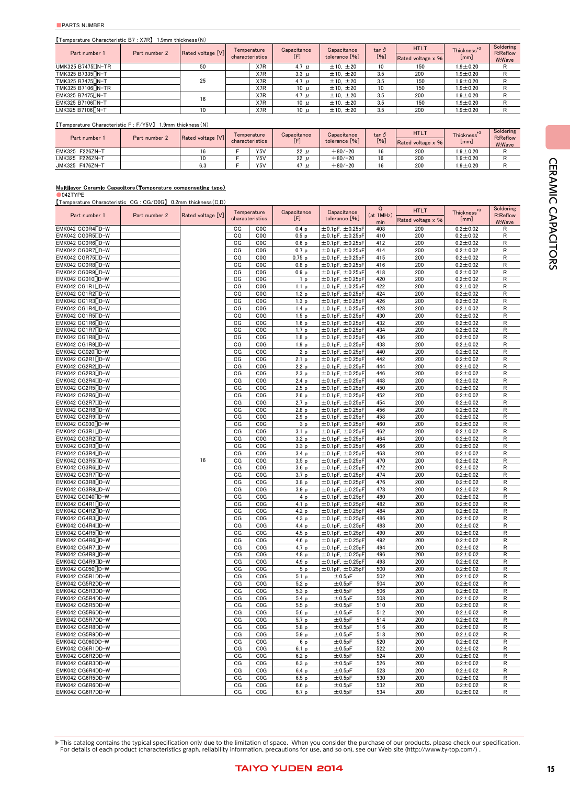#### ■PARTS NUMBER

### 【Temperature Characteristic B7 : X7R】 1.9mm thickness(N)

| Part number 1     | Part number 2 | Rated voltage [V] | Temperature     | Capacitance | Capacitance   | $tan \delta$                                                                                                                                                                                                                                                                                                                                                                                                                                                                                                                                                                                    | <b>HTLT</b>       | Thickness*3    | Soldering<br>R:Reflow |
|-------------------|---------------|-------------------|-----------------|-------------|---------------|-------------------------------------------------------------------------------------------------------------------------------------------------------------------------------------------------------------------------------------------------------------------------------------------------------------------------------------------------------------------------------------------------------------------------------------------------------------------------------------------------------------------------------------------------------------------------------------------------|-------------------|----------------|-----------------------|
|                   |               |                   | characteristics | [F]         | tolerance [%] | $[%] \begin{subfigure}[t]{0.45\textwidth} \centering \includegraphics[width=\textwidth]{figs/fig_00.pdf} \caption{The 0.44\textwidth} \includegraphics[width=\textwidth]{figs/fig_00.pdf} \caption{The 0.44\textwidth} \includegraphics[width=\textwidth]{figs/fig_00.pdf} \caption{The 0.44\textwidth} \includegraphics[width=\textwidth]{figs/fig_00.pdf} \label{fig:1} \end{subfigure} \ \begin{subfigure}[t]{0.45\textwidth} \centering \includegraphics[width=\textwidth]{figs/fig_00.pdf} \caption{The 0.44\textwidth} \includegraphics[width=\textwidth]{figs/fig_00.pdf} \caption{The $ | Rated voltage x % | [mm]           | W:Wave                |
| UMK325 B7475∏N-TR |               | 50                | X7R             | 4.7 $\mu$   | ±10, ±20      | 10                                                                                                                                                                                                                                                                                                                                                                                                                                                                                                                                                                                              | 150               | $.9 \pm 0.20$  |                       |
| TMK325 B7335 N-T  |               |                   | X7R             | $3.3$ $\mu$ | ± 10, ±20     | 3.5                                                                                                                                                                                                                                                                                                                                                                                                                                                                                                                                                                                             | 200               | $1.9 \pm 0.20$ |                       |
| TMK325 B7475 N-T  |               | 25                | X7R             | 4.7 $\mu$   | ± 10, ±20     | 3.5                                                                                                                                                                                                                                                                                                                                                                                                                                                                                                                                                                                             | 150               | $1.9 \pm 0.20$ |                       |
| TMK325 B7106∏N-TR |               |                   | X7R             | 10 $\mu$    | ± 10, ±20     | 10                                                                                                                                                                                                                                                                                                                                                                                                                                                                                                                                                                                              | 150               | $1.9 \pm 0.20$ |                       |
| EMK325 B7475 N-T  |               | 16                | X7R             | 4.7 $\mu$   | ± 10, ±20     | 3.5                                                                                                                                                                                                                                                                                                                                                                                                                                                                                                                                                                                             | 200               | $1.9 \pm 0.20$ |                       |
| EMK325 B7106 N-T  |               |                   | X7R             | 10 $\mu$    | ± 10, ±20     | 3.5                                                                                                                                                                                                                                                                                                                                                                                                                                                                                                                                                                                             | 150               | $1.9 \pm 0.20$ |                       |
| LMK325 B7106 N-T  |               | 10                | X7R             | 10 $\mu$    | ±10, ±20      | 3.5                                                                                                                                                                                                                                                                                                                                                                                                                                                                                                                                                                                             | 200               | $1.9 \pm 0.20$ |                       |
|                   |               |                   |                 |             |               |                                                                                                                                                                                                                                                                                                                                                                                                                                                                                                                                                                                                 |                   |                |                       |

【Temperature Characteristic F : F/Y5V】 1.9mm thickness(N)

| Part number 1   | Part number 2 | Rated voltage [V] | Temperature<br>characteristics | Capacitance | Capacitance<br>tolerance [%] | tan o<br>$[%]$ | <b>HTL1</b><br>Rated voltage x % | $*3$<br><b>Thickness</b><br>[mm] | Soldering<br>R:Reflow<br>W:Wave |
|-----------------|---------------|-------------------|--------------------------------|-------------|------------------------------|----------------|----------------------------------|----------------------------------|---------------------------------|
| EMK325 F226ZN-T |               |                   | Y5V                            | 22u         | $+80/-20$                    | 16             | 200                              | $1.9 \pm 0.20$                   |                                 |
| LMK325 F226ZN-T |               | 10                | Y5V                            | 22u         | $+80/-20$                    | 16             | 200                              | $1.9 \pm 0.20$                   |                                 |
| JMK325 F476ZN-T |               | 6.3               | Y5V                            | 47 U        | $+80/-20$                    | 16             | 200                              | $1.9 \pm 0.20$                   |                                 |

## Multilayer Ceramic Capacitors(Temperature compensating type) ●042TYPE

【Temperature Characteristic CG : CG/C0G】 0.2mm thickness(C,D)

|                                                    |               |                   | Temperature     |                         | Capacitance                          | Capacitance                                            | $\Omega$   | <b>HTLT</b>       | $Thickness^*$ <sup>3</sup>     | Soldering               |
|----------------------------------------------------|---------------|-------------------|-----------------|-------------------------|--------------------------------------|--------------------------------------------------------|------------|-------------------|--------------------------------|-------------------------|
| Part number 1                                      | Part number 2 | Rated voltage [V] | characteristics |                         | $[{\sf F}]$                          | tolerance [%]                                          | (at 1MHz)  | Rated voltage x % | [mm]                           | R:Reflow                |
| EMK042 CG0R4 <sup>[]</sup> D-W                     |               |                   | CG              | C <sub>0</sub> G        | 0.4 <sub>p</sub>                     | $\pm$ 0.1pF, $\pm$ 0.25pF                              | min<br>408 | 200               | $0.2 + 0.02$                   | W:Wave<br>R             |
| EMK042 CG0R5[JD-W                                  |               |                   | CG              | COG                     | 0.5 <sub>p</sub>                     | $\pm$ 0.1pF, $\pm$ 0.25pF                              | 410        | 200               | $0.2 + 0.02$                   | R                       |
| EMK042 CG0R6D-W                                    |               |                   | CG              | COG                     | 0.6p                                 | $\pm$ 0.1pF, $\pm$ 0.25pF                              | 412        | 200               | $0.2 + 0.02$                   | R                       |
| EMK042 CG0R7 ID-W                                  |               |                   | CG              | CO <sub>G</sub>         | 0.7 <sub>p</sub>                     | $\pm$ 0.1pF, $\pm$ 0.25pF                              | 414        | 200               | $0.2 \pm 0.02$                 | R                       |
| EMK042 CGR75 <sup>[]</sup> D-W                     |               |                   | CG              | COG                     | 0.75p                                | $\pm$ 0.1pF, $\pm$ 0.25pF                              | 415        | 200               | $0.2 \pm 0.02$                 | R                       |
| EMK042 CG0R8 <sup>[</sup> ]D-W                     |               |                   | CG              | COG                     | 0.8 <sub>p</sub>                     | $\pm$ 0.1pF, $\pm$ 0.25pF                              | 416        | 200               | $0.2 \pm 0.02$                 | R                       |
| EMK042 CG0R9[]D-W                                  |               |                   | CG              | C <sub>0</sub> G        | 0.9 <sub>p</sub>                     | $\pm$ 0.1pF, $\pm$ 0.25pF                              | 418        | 200               | $0.2 \pm 0.02$                 | R                       |
| EMK042 CG010∏D-W                                   |               |                   | CG              | COG                     | 1 <sub>p</sub>                       | $\pm$ 0.1pF, $\pm$ 0.25pF                              | 420        | 200               | $0.2 \pm 0.02$                 | R                       |
| EMK042 CG1R1[]D-W                                  |               |                   | CG              | CO <sub>G</sub>         | 1.1 <sub>p</sub>                     | $\pm$ 0.1pF, $\pm$ 0.25pF                              | 422        | 200               | $0.2 \pm 0.02$                 | R                       |
| EMK042 CG1R2 <sup>[</sup> D-W                      |               |                   | CG              | C <sub>0</sub> G        | 1.2 <sub>p</sub>                     | $\pm$ 0.1pF, $\pm$ 0.25pF                              | 424        | 200               | $0.2 \pm 0.02$                 | $\overline{\mathsf{R}}$ |
| EMK042 CG1R3 <sup>[</sup> D-W                      |               |                   | CG              | C <sub>0</sub> G        | 1.3 <sub>p</sub>                     | $\pm$ 0.1pF, $\pm$ 0.25pF                              | 426        | 200               | $0.2 \pm 0.02$                 | R                       |
| EMK042 CG1R4 <sup>[</sup> ]D-W                     |               |                   | CG              | C <sub>0</sub> G        | 1.4 <sub>p</sub>                     | $\pm$ 0.1pF, $\pm$ 0.25pF                              | 428        | 200               | $0.2 \pm 0.02$                 | $\mathsf{R}$            |
| EMK042 CG1R5 <sup>[</sup> D-W                      |               |                   | CG              | COG                     | 1.5 <sub>p</sub>                     | $\pm$ 0.1pF, $\pm$ 0.25pF                              | 430        | 200               | $0.2 \pm 0.02$                 | R                       |
| EMK042 CG1R6 <sup>[</sup> D-W                      |               |                   | CG              | C <sub>0</sub> G        | 1.6 <sub>p</sub>                     | $\pm$ 0.1pF, $\pm$ 0.25pF                              | 432        | 200               | $0.2 \pm 0.02$                 | R                       |
| EMK042 CG1R7□D-W                                   |               |                   | CG              | COG                     | 1.7 <sub>p</sub>                     | $\pm$ 0.1pF, $\pm$ 0.25pF                              | 434        | 200               | $0.2 \pm 0.02$                 | R                       |
| EMK042 CG1R8 <sub>D</sub> -W                       |               |                   | CG              | COG                     | 1.8 <sub>p</sub>                     | $\pm$ 0.1pF, $\pm$ 0.25pF                              | 436        | 200               | $0.2 \pm 0.02$                 | R                       |
| EMK042 CG1R9 <sup>[</sup> D−W                      |               |                   | CG              | COG                     | 1.9 <sub>p</sub>                     | $\pm$ 0.1pF, $\pm$ 0.25pF                              | 438        | 200               | $0.2 \pm 0.02$                 | R                       |
| EMK042 CG020 <sup>[</sup> ]D-W                     |               |                   | CG              | C <sub>0</sub> G        | 2p                                   | $\pm$ 0.1pF, $\pm$ 0.25pF                              | 440        | 200               | $0.2 + 0.02$                   | R                       |
| EMK042 CG2R1 <sup>[</sup> D-W                      |               |                   | CG              | C <sub>0</sub> G        | 2.1 p                                | $\pm$ 0.1pF, $\pm$ 0.25pF                              | 442        | 200               | $0.2 + 0.02$                   | R                       |
| EMK042 CG2R2D-W                                    |               |                   | CG              | COG                     | 2.2 <sub>p</sub>                     | $\pm$ 0.1pF, $\pm$ 0.25pF                              | 444        | 200               | $0.2 \pm 0.02$                 | R                       |
| EMK042 CG2R3[JD-W                                  |               |                   | CG              | C <sub>0</sub> G        | 2.3 <sub>p</sub>                     | $\pm$ 0.1pF, $\pm$ 0.25pF                              | 446        | 200               | $0.2 + 0.02$                   | R                       |
| EMK042 CG2R4D-W                                    |               |                   | CG              | COG                     | 2.4 <sub>p</sub>                     | $\pm$ 0.1pF, $\pm$ 0.25pF                              | 448        | 200               | $0.2 + 0.02$                   | R                       |
| EMK042 CG2R5 <sup>D-W</sup>                        |               |                   | CG              | COG                     | 2.5 <sub>p</sub>                     | $\pm$ 0.1pF, $\pm$ 0.25pF                              | 450        | 200               | $0.2 + 0.02$                   | R                       |
| EMK042 CG2R6□D-W                                   |               |                   | CG              | C <sub>0</sub> G        | 2.6 <sub>p</sub>                     | $\pm$ 0.1pF, $\pm$ 0.25pF                              | 452        | 200               | $0.2 + 0.02$                   | R                       |
| EMK042 CG2R7 <sup>[</sup> ]D-W                     |               |                   | CG              | COG                     | 2.7 <sub>p</sub>                     | $\pm$ 0.1pF, $\pm$ 0.25pF                              | 454        | 200               | $0.2 + 0.02$                   | R                       |
| EMK042 CG2R8[JD-W                                  |               |                   | CG              | C <sub>0</sub> G        | 2.8 <sub>p</sub>                     | $\pm$ 0.1pF, $\pm$ 0.25pF                              | 456        | 200               | $0.2 \pm 0.02$                 | R<br>R                  |
| EMK042 CG2R9□D-W<br>EMK042 CG030 <sup>[</sup> ]D-W |               |                   | СG<br>CG        | COG<br>CO <sub>G</sub>  | 2.9 <sub>p</sub><br>3p               | $\pm$ 0.1pF, $\pm$ 0.25pF<br>$\pm$ 0.1pF, $\pm$ 0.25pF | 458<br>460 | 200<br>200        | $0.2 \pm 0.02$<br>$0.2 + 0.02$ | R                       |
| EMK042 CG3R1[]D-W                                  |               |                   | CG              | C <sub>0</sub> G        | 3.1 <sub>p</sub>                     | $\pm$ 0.1pF, $\pm$ 0.25pF                              | 462        | 200               | $0.2 + 0.02$                   | R                       |
| EMK042 CG3R2[]D-W                                  |               |                   | CG              | COG                     | 3.2 <sub>p</sub>                     | $\pm$ 0.1pF, $\pm$ 0.25pF                              | 464        | 200               | $0.2 + 0.02$                   | R                       |
| EMK042 CG3R3[JD-W                                  |               |                   | CG              | C <sub>0</sub> G        | 3.3 <sub>p</sub>                     | $\pm$ 0.1pF, $\pm$ 0.25pF                              | 466        | 200               | $0.2 \pm 0.02$                 | R                       |
| EMK042 CG3R4 <sup>[]</sup> D-W                     |               |                   | CG              | COG                     | 3.4 <sub>p</sub>                     | $\pm$ 0.1pF, $\pm$ 0.25pF                              | 468        | 200               | $0.2 + 0.02$                   | R                       |
| EMK042 CG3R5 <sup>[</sup> ]D-W                     |               | 16                | CG              | COG                     | 3.5 <sub>p</sub>                     | $\pm$ 0.1pF, $\pm$ 0.25pF                              | 470        | 200               | $0.2 + 0.02$                   | R                       |
| EMK042 CG3R6 <sup></sup> D-W                       |               |                   | CG              | COG                     | 3.6 <sub>p</sub>                     | $\pm$ 0.1pF, $\pm$ 0.25pF                              | 472        | 200               | $0.2 \pm 0.02$                 | R                       |
| EMK042 CG3R7 <sup>[</sup> ]D-W                     |               |                   | CG              | C <sub>0</sub> G        | 3.7 <sub>p</sub>                     | $\pm$ 0.1pF, $\pm$ 0.25pF                              | 474        | 200               | $0.2 \pm 0.02$                 | R                       |
| EMK042 CG3R8 <sup>[</sup> ]D-W                     |               |                   | СG              | C <sub>0</sub> G        | 3.8 <sub>p</sub>                     | $\pm$ 0.1pF, $\pm$ 0.25pF                              | 476        | 200               | $0.2 \pm 0.02$                 | R                       |
| EMK042 CG3R9 <sup>[</sup> D-W                      |               |                   | СG              | COG                     | 3.9 <sub>p</sub>                     | $\pm$ 0.1pF, $\pm$ 0.25pF                              | 478        | 200               | $0.2 \pm 0.02$                 | R                       |
| EMK042 CG040 <sup>[</sup> D-W                      |               |                   | CG              | C <sub>0</sub> G        | 4p                                   | $\pm$ 0.1pF, $\pm$ 0.25pF                              | 480        | 200               | $0.2 \pm 0.02$                 | R                       |
| EMK042 CG4R1 <sup>[</sup> D−W                      |               |                   | СG              | COG                     | 4.1 <sub>p</sub>                     | $\pm$ 0.1pF, $\pm$ 0.25pF                              | 482        | 200               | $0.2 \pm 0.02$                 | R                       |
| EMK042 CG4R2 <sup>[</sup> ]D-W                     |               |                   | СG              | COG                     | 4.2 p                                | $\pm$ 0.1pF, $\pm$ 0.25pF                              | 484        | 200               | $0.2 \pm 0.02$                 | R                       |
| EMK042 CG4R3 <sup>[</sup> ]D-W                     |               |                   | CG              | COG                     | 4.3 <sub>p</sub>                     | $\pm$ 0.1pF, $\pm$ 0.25pF                              | 486        | 200               | $0.2 \pm 0.02$                 | R                       |
| EMK042 CG4R4 <sup>[]</sup> D-W                     |               |                   | CG              | C <sub>0</sub> G        | 4.4 <sub>p</sub>                     | $\pm$ 0.1pF, $\pm$ 0.25pF                              | 488        | 200               | $0.2 + 0.02$                   | R                       |
| EMK042 CG4R5 <sup>[</sup> ]D-W                     |               |                   | CG              | C <sub>0</sub> G        | 4.5p                                 | ±0.25pF<br>±0.1pF,                                     | 490        | 200               | $0.2 + 0.02$                   | R                       |
| EMK042 CG4R6 <sup>[</sup> ]D-W                     |               |                   | CG              | COG                     | 4.6 <sub>p</sub>                     | $\pm$ 0.1pF, $\pm$ 0.25pF                              | 492        | 200               | $0.2 + 0.02$                   | R                       |
| EMK042 CG4R7[JD-W                                  |               |                   | CG              | C <sub>0</sub> G        | 4.7 <sub>p</sub>                     | $\pm$ 0.1pF, $\pm$ 0.25pF                              | 494        | 200               | $0.2 + 0.02$                   | R                       |
| EMK042 CG4R8□D-W                                   |               |                   | СG              | COG                     | 4.8 <sub>p</sub>                     | $\pm$ 0.1pF, $\pm$ 0.25pF                              | 496        | 200               | $0.2 \pm 0.02$                 | R                       |
| EMK042 CG4R9 <sup>[</sup> ]D-W                     |               |                   | CG              | COG                     | 4.9 <sub>p</sub>                     | $\pm$ 0.1pF, $\pm$ 0.25pF                              | 498        | 200               | $0.2 + 0.02$                   | R                       |
| EMK042 CG050[]D-W                                  |               |                   | СG              | C <sub>0</sub> G        | 5p                                   | $\pm$ 0.1pF, $\pm$ 0.25pF                              | 500        | 200               | $0.2 + 0.02$                   | R                       |
| EMK042 CG5R1DD-W                                   |               |                   | CG              | COG                     | 5.1 <sub>p</sub>                     | ±0.5pF                                                 | 502        | 200               | $0.2 + 0.02$                   | R                       |
| EMK042 CG5R2DD-W                                   |               |                   | СG              | COG                     | 5.2 <sub>p</sub>                     | ±0.5pF                                                 | 504        | 200               | $0.2 \pm 0.02$                 | R                       |
| EMK042 CG5R3DD-W                                   |               |                   | CG<br>CG        | C <sub>0</sub> G<br>COG | 5.3 <sub>p</sub><br>5.4 <sub>p</sub> | ±0.5pF<br>±0.5pF                                       | 506<br>508 | 200<br>200        | $0.2 + 0.02$<br>$0.2 + 0.02$   | R<br>R                  |
| EMK042 CG5R4DD-W<br>EMK042 CG5R5DD-W               |               |                   | CG              | COG                     | 5.5p                                 | ±0.5pF                                                 | 510        | 200               | $0.2 \pm 0.02$                 | R                       |
| EMK042 CG5R6DD-W                                   |               |                   | CG              | C <sub>0</sub> G        | 5.6 <sub>p</sub>                     | ±0.5pF                                                 | 512        | 200               | $0.2 \pm 0.02$                 | R                       |
| EMK042 CG5R7DD-W                                   |               |                   | СG              | C <sub>0</sub> G        | 5.7 <sub>p</sub>                     | ±0.5pF                                                 | 514        | 200               | $0.2 + 0.02$                   | R                       |
| EMK042 CG5R8DD-W                                   |               |                   | CG              | C <sub>0</sub> G        | 5.8 <sub>p</sub>                     | ±0.5pF                                                 | 516        | 200               | $0.2 \pm 0.02$                 | R                       |
| EMK042 CG5R9DD-W                                   |               |                   | CG              | C <sub>0</sub> G        | 5.9 <sub>p</sub>                     | ±0.5pF                                                 | 518        | 200               | $0.2 + 0.02$                   | $\mathsf R$             |
| EMK042 CG060DD-W                                   |               |                   | СG              | COG                     | 6 p                                  | ±0.5pF                                                 | 520        | 200               | $0.2 \pm 0.02$                 | R                       |
| EMK042 CG6R1DD-W                                   |               |                   | СG              | COG                     | 6.1 <sub>p</sub>                     | ±0.5pF                                                 | 522        | 200               | $0.2 + 0.02$                   | R                       |
| EMK042 CG6R2DD-W                                   |               |                   | CG              | COG                     | $6.2\ p$                             | ±0.5pF                                                 | 524        | 200               | $0.2 \pm 0.02$                 | R                       |
| EMK042 CG6R3DD-W                                   |               |                   | CG              | C <sub>0</sub> G        | 6.3 <sub>p</sub>                     | ±0.5pF                                                 | 526        | 200               | $0.2 + 0.02$                   | R                       |
| EMK042 CG6R4DD-W                                   |               |                   | СG              | COG                     | 6.4 <sub>p</sub>                     | ±0.5pF                                                 | 528        | 200               | $0.2 \pm 0.02$                 | R                       |
| EMK042 CG6R5DD-W                                   |               |                   | CG              | COG                     | 6.5p                                 | ±0.5pF                                                 | 530        | 200               | $0.2 + 0.02$                   | R                       |
| EMK042 CG6R6DD-W                                   |               |                   | CG              | C <sub>0</sub> G        | 6.6 <sub>p</sub>                     | ±0.5pF                                                 | 532        | 200               | $0.2 + 0.02$                   | R                       |
| EMK042 CG6R7DD-W                                   |               |                   | СG              | COG                     | 6.7 <sub>p</sub>                     | ±0.5pF                                                 | 534        | 200               | $0.2 \pm 0.02$                 | R                       |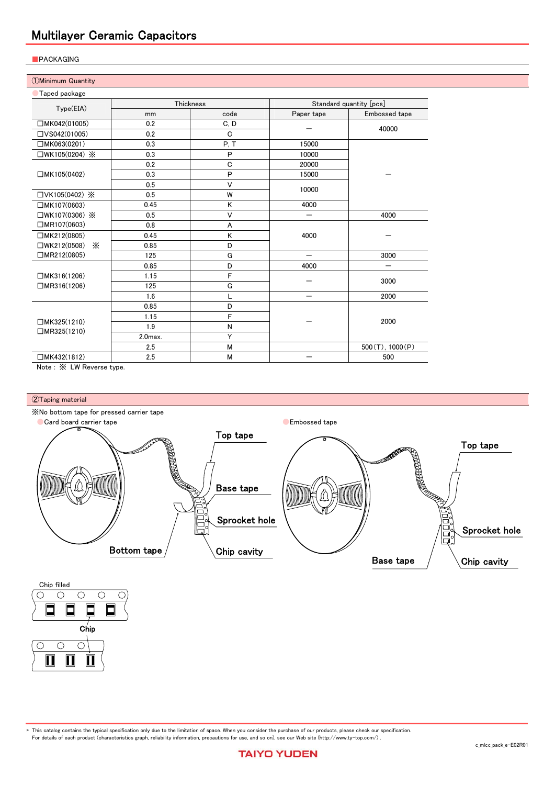### ■PACKAGING

### ①Minimum Quantity  $\overline{\phantom{a}}$  Taped package

|                    | Thickness |             |                          | Standard quantity [pcs] |  |
|--------------------|-----------|-------------|--------------------------|-------------------------|--|
| Type(EIA)          | mm        | code        | Paper tape               | Embossed tape           |  |
| □MK042(01005)      | 0.2       | C, D        |                          | 40000                   |  |
| □VS042(01005)      | 0.2       | $\mathbf C$ |                          |                         |  |
| □MK063(0201)       | 0.3       | P, T        | 15000                    |                         |  |
| □WK105(0204) ※     | 0.3       | P           | 10000                    |                         |  |
|                    | 0.2       | $\mathbf C$ | 20000                    |                         |  |
| □MK105(0402)       | 0.3       | P           | 15000                    |                         |  |
|                    | 0.5       | $\vee$      |                          |                         |  |
| □VK105(0402) ※     | 0.5       | W           | 10000                    |                         |  |
| $M$ K107(0603)     | 0.45      | Κ           | 4000                     |                         |  |
| □WK107(0306) ※     | 0.5       | $\vee$      | —                        | 4000                    |  |
| $\Box$ MR107(0603) | 0.8       | A           |                          |                         |  |
| □MK212(0805)       | 0.45      | K           | 4000                     |                         |  |
| □WK212(0508)<br>X  | 0.85      | D           |                          |                         |  |
| □MR212(0805)       | 125       | G           | $\overline{\phantom{0}}$ | 3000                    |  |
|                    | 0.85      | D           | 4000                     |                         |  |
| □MK316(1206)       | 1.15      | F           |                          |                         |  |
| MRS16(1206)        | 125       | G           |                          | 3000                    |  |
|                    | 1.6       |             | $\qquad \qquad$          | 2000                    |  |
|                    | 0.85      | D           |                          |                         |  |
|                    | 1.15      | F           |                          |                         |  |
| □MK325(1210)       | 1.9       | N           |                          | 2000                    |  |
| □MR325(1210)       | 2.0max.   | Y           |                          |                         |  |
|                    | 2.5       | M           |                          | 500(T), 1000(P)         |  |
| □MK432(1812)       | 2.5       | M           |                          | 500                     |  |

Note : ※ LW Reverse type.

### ②Taping material





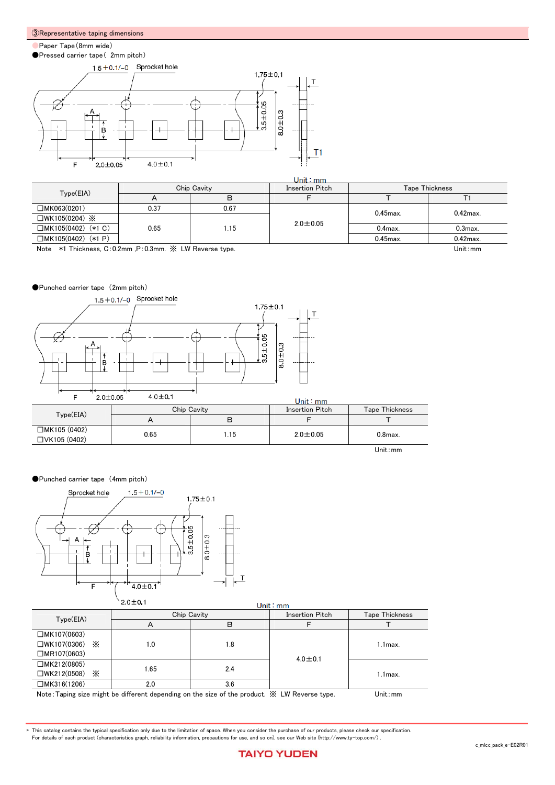### ③Representative taping dimensions

### ●Paper Tape(8mm wide)

### ●Pressed carrier tape( 2mm pitch)



|                       |      |             | Unit: $mm$      |                       |             |  |
|-----------------------|------|-------------|-----------------|-----------------------|-------------|--|
| Type(EIA)             |      | Chip Cavity | Insertion Pitch | <b>Tape Thickness</b> |             |  |
|                       |      | в           |                 |                       |             |  |
| □MK063(0201)          | 0.37 | 0.67        |                 | $0.45$ max.           | $0.42$ max. |  |
| □WK105(0204) ※        |      |             | $2.0 \pm 0.05$  |                       |             |  |
| $M K105(0402)$ (*1 C) | 0.65 | 1.15        |                 | $0.4$ max.            | $0.3$ max.  |  |
| $M$ K105(0402) (*1 P) |      |             |                 | $0.45$ max.           | $0.42$ max. |  |

Note \*1 Thickness, C:0.2mm ,P:0.3mm. ※ LW Reverse type. Unit:mm

#### ●Punched carrier tape (2mm pitch)



|                                |             |     | $OIII \cdot IIIII$ |                       |  |
|--------------------------------|-------------|-----|--------------------|-----------------------|--|
| Type(EIA)                      | Chip Cavity |     | Insertion Pitch    | <b>Tape Thickness</b> |  |
|                                | ┌           |     |                    |                       |  |
| □MK105 (0402)<br>□VK105 (0402) | 0.65        | .15 | $2.0 \pm 0.05$     | 0.8max.               |  |

Unit:mm

### ●Punched carrier tape (4mm pitch)



|                | $2.0 \pm 0.1$  | Unit: $mm$  |                        |                       |
|----------------|----------------|-------------|------------------------|-----------------------|
| Type(EIA)      |                | Chip Cavity | <b>Insertion Pitch</b> | <b>Tape Thickness</b> |
|                | $\overline{A}$ | в           |                        |                       |
| $M$ K107(0603) |                |             |                        |                       |
| □WK107(0306) ※ | 1.0            | 1.8         |                        | $1.1$ max.            |
| MRT07(0603)    |                |             |                        |                       |
| □MK212(0805)   |                |             | $4.0 \pm 0.1$          |                       |
| □WK212(0508) ※ | 1.65           | 2.4         |                        | $1.1$ max.            |
| $M$ K316(1206) | 2.0            | 3.6         |                        |                       |

Note:Taping size might be different depending on the size of the product. ※ LW Reverse type. Unit:mm

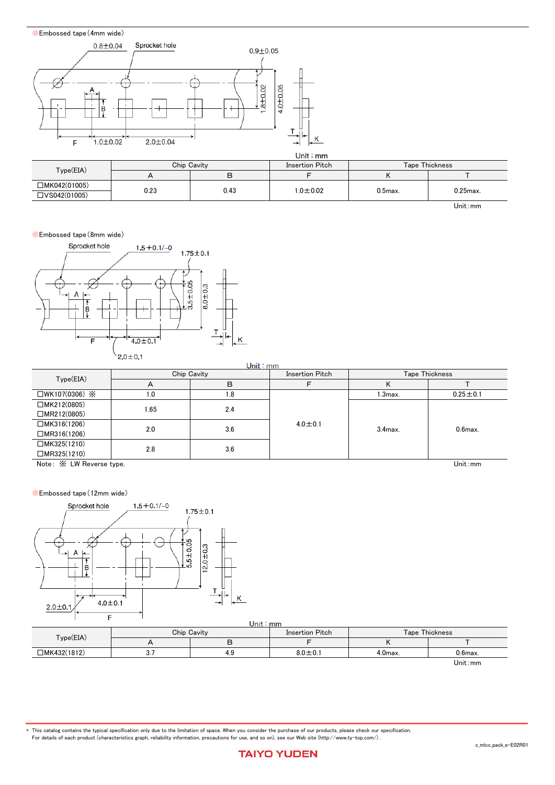



|               |                |             | Unit - mm              |            |                       |  |
|---------------|----------------|-------------|------------------------|------------|-----------------------|--|
| Type(EIA)     |                | Chip Cavity | <b>Insertion Pitch</b> |            | <b>Tape Thickness</b> |  |
|               | ▭<br>$\forall$ |             |                        |            |                       |  |
| □MK042(01005) | 0.23           |             | $1.0 \pm 0.02$         | $0.5$ max. | $0.25$ max.           |  |
| □VS042(01005) |                | 0.43        |                        |            |                       |  |
|               |                |             |                        |            | Unit: mm              |  |

### ●Embossed tape(8mm wide)



| $-10 - 11$                          |      |             |                        |                       |                |  |  |  |
|-------------------------------------|------|-------------|------------------------|-----------------------|----------------|--|--|--|
|                                     |      | Unit: $mm$  |                        |                       |                |  |  |  |
| Type(EIA)                           |      | Chip Cavity | <b>Insertion Pitch</b> | <b>Tape Thickness</b> |                |  |  |  |
|                                     | A    | в           |                        | Κ                     |                |  |  |  |
| $\square$ WK107(0306) $\times$      | 1.0  | 1.8         |                        | .3max.                | $0.25 \pm 0.1$ |  |  |  |
| $M$ K212(0805)                      | 1.65 | 2.4         |                        |                       |                |  |  |  |
| $M$ R212(0805)                      |      |             |                        | $3.4$ max.            |                |  |  |  |
| $M$ K316(1206)                      | 2.0  | 3.6         | $4.0 \pm 0.1$          |                       | $0.6$ max.     |  |  |  |
| MRS16(1206)                         |      |             |                        |                       |                |  |  |  |
| □MK325(1210)                        | 2.8  | 3.6         |                        |                       |                |  |  |  |
| MRS25(1210)                         |      |             |                        |                       |                |  |  |  |
| Note: $\mathbb{X}$ LW Reverse type. |      |             |                        |                       | Unit: mm       |  |  |  |

### ●Embossed tape(12mm wide)



| Unit : $mm$  |                          |             |                 |                       |            |  |  |  |  |
|--------------|--------------------------|-------------|-----------------|-----------------------|------------|--|--|--|--|
| Type(EIA)    |                          | Chip Cavity | Insertion Pitch | <b>Tape Thickness</b> |            |  |  |  |  |
|              | $\overline{\phantom{a}}$ |             |                 | $\cdot$               |            |  |  |  |  |
| □MK432(1812) | 4.9<br>ن.                |             | $8.0 \pm 0.1$   | $4.0max$ .            | $0.6$ max. |  |  |  |  |
|              |                          |             |                 |                       | Unit: mm   |  |  |  |  |

▶ This catalog contains the typical specification only due to the limitation of space. When you consider the purchase of our products, please check our specification. For details of each product (characteristics graph, reliability information, precautions for use, and so on), see our Web site (http://www.ty-top.com/) .



**TAIYO YUDEN**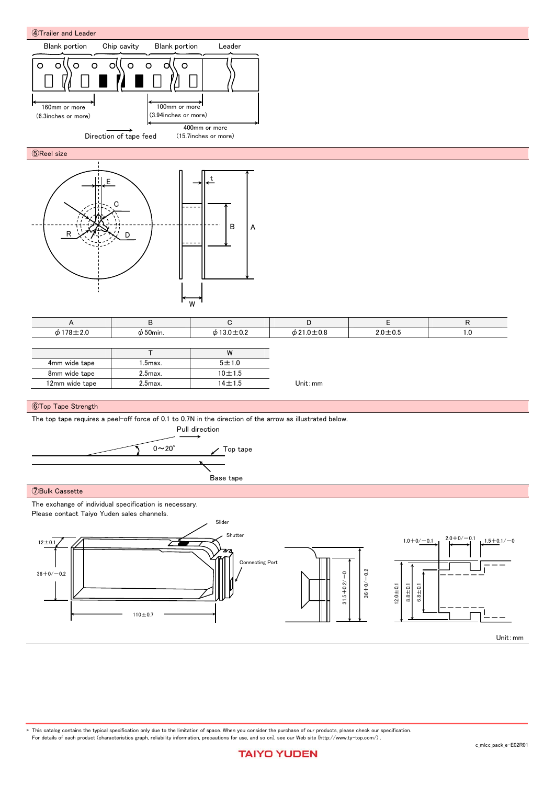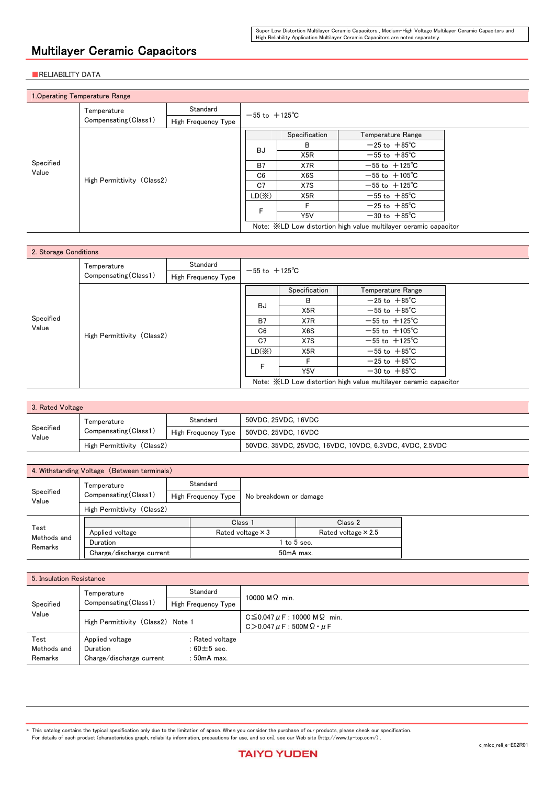## Multilayer Ceramic Capacitors

### ■RELIABILITY DATA

|           | 1. Operating Temperature Range |                     |                           |                           |                                                                  |  |  |  |  |
|-----------|--------------------------------|---------------------|---------------------------|---------------------------|------------------------------------------------------------------|--|--|--|--|
|           | Standard<br>Temperature        |                     |                           |                           |                                                                  |  |  |  |  |
|           | Compensating (Class1)          | High Frequency Type | $-55$ to $+125^{\circ}$ C |                           |                                                                  |  |  |  |  |
|           |                                |                     |                           | Specification             | Temperature Range                                                |  |  |  |  |
|           |                                |                     | <b>BJ</b>                 | B                         | $-25$ to $+85^{\circ}$ C                                         |  |  |  |  |
|           |                                |                     |                           | X <sub>5</sub> R          | $-55$ to $+85^{\circ}$ C                                         |  |  |  |  |
| Specified |                                | B7                  | X7R                       | $-55$ to $+125^{\circ}$ C |                                                                  |  |  |  |  |
| Value     | High Permittivity (Class2)     |                     |                           |                           | $-55$ to $+105^{\circ}$ C                                        |  |  |  |  |
|           |                                | C <sub>0</sub>      | X7S                       | $-55$ to $+125^{\circ}$ C |                                                                  |  |  |  |  |
|           |                                |                     |                           |                           | $-55$ to $+85^{\circ}$ C                                         |  |  |  |  |
|           |                                |                     | Е                         |                           | $-25$ to $+85^{\circ}$ C                                         |  |  |  |  |
|           |                                |                     | Y5V                       | $-30$ to $+85^{\circ}$ C  |                                                                  |  |  |  |  |
|           |                                |                     |                           |                           | Note: XLD Low distortion high value multilayer ceramic capacitor |  |  |  |  |

| 2. Storage Conditions |                            |                                                                  |                           |                           |                           |  |  |  |  |
|-----------------------|----------------------------|------------------------------------------------------------------|---------------------------|---------------------------|---------------------------|--|--|--|--|
|                       | Temperature                | Standard                                                         | $-55$ to $+125^{\circ}$ C |                           |                           |  |  |  |  |
|                       | Compensating (Class1)      | High Frequency Type                                              |                           |                           |                           |  |  |  |  |
|                       |                            |                                                                  |                           | Specification             | Temperature Range         |  |  |  |  |
|                       |                            |                                                                  | BJ                        | B                         | $-25$ to $+85^{\circ}$ C  |  |  |  |  |
|                       |                            |                                                                  | X <sub>5</sub> R          | $-55$ to $+85^{\circ}$ C  |                           |  |  |  |  |
| Specified             |                            |                                                                  |                           |                           | $-55$ to $+125^{\circ}$ C |  |  |  |  |
| Value                 | High Permittivity (Class2) |                                                                  |                           |                           | $-55$ to $+105^{\circ}$ C |  |  |  |  |
|                       |                            | C <sub>0</sub>                                                   | X7S                       | $-55$ to $+125^{\circ}$ C |                           |  |  |  |  |
|                       |                            |                                                                  | LD(X)                     | X <sub>5</sub> R          | $-55$ to $+85^{\circ}$ C  |  |  |  |  |
|                       |                            |                                                                  | F                         | F                         | $-25$ to $+85^{\circ}$ C  |  |  |  |  |
|                       |                            |                                                                  | Y5V                       | $-30$ to $+85^{\circ}$ C  |                           |  |  |  |  |
|                       |                            | Note: XLD Low distortion high value multilayer ceramic capacitor |                           |                           |                           |  |  |  |  |

| 3. Rated Voltage   |                            |                     |                                                         |  |  |
|--------------------|----------------------------|---------------------|---------------------------------------------------------|--|--|
|                    | Temperature                | Standard            | 50VDC, 25VDC, 16VDC                                     |  |  |
| Specified<br>Value | Compensating (Class1)      | High Frequency Type | 50VDC, 25VDC, 16VDC                                     |  |  |
|                    | High Permittivity (Class2) |                     | 50VDC, 35VDC, 25VDC, 16VDC, 10VDC, 6.3VDC, 4VDC, 2.5VDC |  |  |

| 4. Withstanding Voltage (Between terminals) |                            |                     |          |                                                        |                        |  |  |
|---------------------------------------------|----------------------------|---------------------|----------|--------------------------------------------------------|------------------------|--|--|
| Specified<br>Value                          | Temperature                |                     | Standard |                                                        |                        |  |  |
|                                             | Compensating (Class1)      | High Frequency Type |          |                                                        | No breakdown or damage |  |  |
|                                             | High Permittivity (Class2) |                     |          |                                                        |                        |  |  |
|                                             |                            |                     |          | Class 1<br>Class 2                                     |                        |  |  |
| Test                                        | Applied voltage            |                     |          | Rated voltage $\times 3$<br>Rated voltage $\times 2.5$ |                        |  |  |
| Methods and<br>Remarks                      | Duration                   |                     |          |                                                        | 1 to 5 sec.            |  |  |
|                                             | Charge/discharge current   |                     |          | 50mA max.                                              |                        |  |  |

| 5. Insulation Resistance |                                   |                     |                                                                                       |  |  |
|--------------------------|-----------------------------------|---------------------|---------------------------------------------------------------------------------------|--|--|
|                          | Temperature                       | Standard            | 10000 M $\Omega$ min.                                                                 |  |  |
| Specified                | Compensating (Class1)             | High Frequency Type |                                                                                       |  |  |
| Value                    | High Permittivity (Class2) Note 1 |                     | $C$ ≤ 0.047 $\mu$ F : 10000 M Ω min.<br>$C > 0.047 \mu F$ : 500M $\Omega \cdot \mu F$ |  |  |
| Test                     | Applied voltage                   | : Rated voltage     |                                                                                       |  |  |
| Methods and              | Duration                          | : $60 \pm 5$ sec.   |                                                                                       |  |  |
| Remarks                  | Charge/discharge current          | $:50mA$ max.        |                                                                                       |  |  |

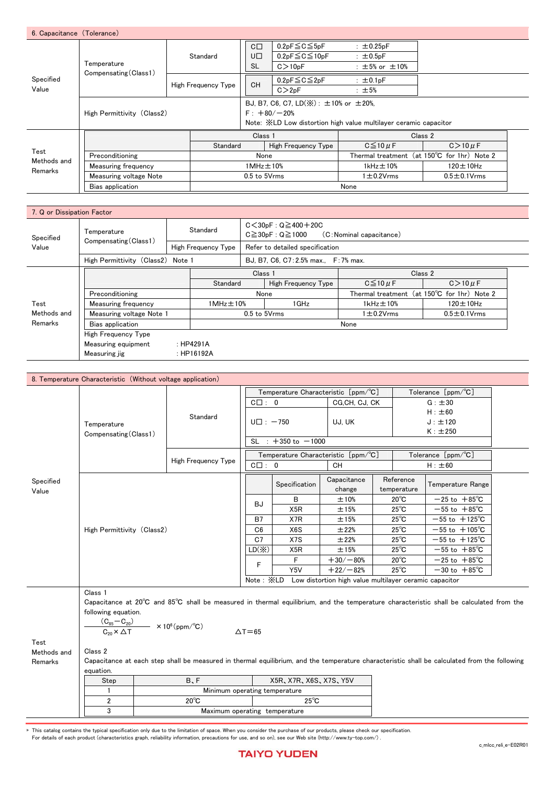|             | 6. Capacitance (Tolerance)           |                     |              |                                                                  |                                                         |                                             |                 |  |  |  |
|-------------|--------------------------------------|---------------------|--------------|------------------------------------------------------------------|---------------------------------------------------------|---------------------------------------------|-----------------|--|--|--|
|             |                                      |                     |              | $C\square$                                                       | $0.2pF \leq C \leq 5pF$                                 | $\pm 0.25$ <sub>p</sub> F                   |                 |  |  |  |
|             |                                      |                     | Standard     | UΠ                                                               | $0.2pF \leq C \leq 10pF$                                | $: \pm 0.5$ <sub>p</sub> F                  |                 |  |  |  |
|             | Temperature<br>Compensating (Class1) |                     |              | <b>SL</b>                                                        | C > 10pF                                                | : $\pm 5\%$ or $\pm 10\%$                   |                 |  |  |  |
| Specified   |                                      |                     |              | CH                                                               | $0.2pF \leq C \leq 2pF$                                 | $\pm 0.1$ <sub>p</sub> F                    |                 |  |  |  |
| Value       |                                      | High Frequency Type |              |                                                                  | C > 2pF                                                 | : ±5%                                       |                 |  |  |  |
|             |                                      |                     |              |                                                                  | BJ, B7, C6, C7, LD $(\times)$ : $\pm$ 10% or $\pm$ 20%, |                                             |                 |  |  |  |
|             | High Permittivity (Class2)           |                     |              |                                                                  | $F: +80/-20%$                                           |                                             |                 |  |  |  |
|             |                                      |                     |              | Note: XLD Low distortion high value multilayer ceramic capacitor |                                                         |                                             |                 |  |  |  |
|             |                                      |                     |              |                                                                  | Class 1                                                 | Class 2                                     |                 |  |  |  |
| Test        |                                      |                     | Standard     |                                                                  | High Frequency Type                                     | $C \leq 10 \mu F$                           | $C > 10 \mu F$  |  |  |  |
| Methods and | Preconditioning                      |                     |              | None                                                             |                                                         | Thermal treatment (at 150°C for 1hr) Note 2 |                 |  |  |  |
| Remarks     | Measuring frequency                  |                     |              | $1$ MHz $\pm$ 10%                                                |                                                         | 1kHz $\pm$ 10%                              | $120 \pm 10$ Hz |  |  |  |
|             | Measuring voltage Note               |                     | 0.5 to 5Vrms |                                                                  | $1\pm0.2$ Vrms                                          | $0.5 \pm 0.1$ Vrms                          |                 |  |  |  |
|             | Bias application                     |                     | None         |                                                                  |                                                         |                                             |                 |  |  |  |

| 7. Q or Dissipation Factor |                                      |          |                     |                                     |                                                                                        |                                             |                 |  |  |
|----------------------------|--------------------------------------|----------|---------------------|-------------------------------------|----------------------------------------------------------------------------------------|---------------------------------------------|-----------------|--|--|
| Specified                  | Temperature<br>Compensating (Class1) | Standard |                     |                                     | $C < 30pF : Q \ge 400 + 20C$<br>$C \geq 30pF : Q \geq 1000$<br>(C:Nominal capacitance) |                                             |                 |  |  |
| Value                      |                                      |          | High Frequency Type |                                     | Refer to detailed specification                                                        |                                             |                 |  |  |
|                            | High Permittivity (Class2) Note 1    |          |                     | BJ. B7. C6. C7: 2.5% max F: 7% max. |                                                                                        |                                             |                 |  |  |
|                            |                                      |          |                     | Class 1                             |                                                                                        | Class 2                                     |                 |  |  |
|                            |                                      |          | Standard            |                                     | High Frequency Type                                                                    | $C \leq 10 \mu F$                           | $C > 10 \mu F$  |  |  |
|                            | Preconditioning                      |          |                     |                                     | None                                                                                   | Thermal treatment (at 150°C for 1hr) Note 2 |                 |  |  |
| Test                       | Measuring frequency                  |          | $1$ MHz $\pm$ 10%   |                                     | 1GHz                                                                                   | $1$ kHz $\pm$ 10%                           | $120 \pm 10$ Hz |  |  |
| Methods and                | Measuring voltage Note 1             |          | $0.5$ to $5V$ rms   |                                     | $1\pm0.2$ Vrms                                                                         | $0.5 \pm 0.1$ Vrms                          |                 |  |  |
| Remarks                    | Bias application                     |          |                     | None                                |                                                                                        |                                             |                 |  |  |
|                            | High Frequency Type                  |          |                     |                                     |                                                                                        |                                             |                 |  |  |
|                            | $:$ HP4291A<br>Measuring equipment   |          |                     |                                     |                                                                                        |                                             |                 |  |  |
|                            | Measuring jig                        |          | $:$ HP16192A        |                                     |                                                                                        |                                             |                 |  |  |

|                        | 8. Temperature Characteristic (Without voltage application)                                                                                                            |                               |                   |                        |                                                                     |                           |                          |  |  |  |
|------------------------|------------------------------------------------------------------------------------------------------------------------------------------------------------------------|-------------------------------|-------------------|------------------------|---------------------------------------------------------------------|---------------------------|--------------------------|--|--|--|
|                        |                                                                                                                                                                        |                               |                   |                        | Temperature Characteristic [ppm/°C]                                 |                           | Tolerance [ppm/°C]       |  |  |  |
|                        |                                                                                                                                                                        |                               | $C\square$ : 0    |                        | CG,CH, CJ, CK                                                       |                           | $G : \pm 30$             |  |  |  |
|                        |                                                                                                                                                                        | Standard                      |                   |                        |                                                                     |                           | $H: \pm 60$              |  |  |  |
|                        | Temperature                                                                                                                                                            |                               | $U\square$ : -750 |                        | UJ, UK                                                              |                           | J : ±120                 |  |  |  |
|                        | Compensating (Class1)                                                                                                                                                  |                               |                   |                        |                                                                     |                           | $K : \pm 250$            |  |  |  |
|                        |                                                                                                                                                                        |                               |                   | SL : $+350$ to $-1000$ |                                                                     |                           |                          |  |  |  |
|                        |                                                                                                                                                                        | High Frequency Type           |                   |                        | Temperature Characteristic [ppm/°C]                                 |                           | Tolerance [ppm/°C]       |  |  |  |
|                        |                                                                                                                                                                        |                               | $C\square$ : 0    |                        | CH                                                                  |                           | $H: \pm 60$              |  |  |  |
| Specified<br>Value     |                                                                                                                                                                        |                               | Specification     | Capacitance<br>change  | Reference<br>temperature                                            | Temperature Range         |                          |  |  |  |
|                        |                                                                                                                                                                        |                               | BJ                | в                      | ±10%                                                                | $20^{\circ}$ C            | $-25$ to $+85^{\circ}$ C |  |  |  |
|                        |                                                                                                                                                                        |                               | X <sub>5</sub> R  | ±15%                   | $25^{\circ}$ C                                                      | $-55$ to $+85^{\circ}$ C  |                          |  |  |  |
|                        |                                                                                                                                                                        | B7                            | X7R               | ±15%                   | $25^{\circ}$ C                                                      | $-55$ to $+125^{\circ}$ C |                          |  |  |  |
|                        | High Permittivity (Class2)                                                                                                                                             | C <sub>6</sub>                | X <sub>6</sub> S  | ±22%                   | $25^{\circ}$ C                                                      | $-55$ to $+105^{\circ}$ C |                          |  |  |  |
|                        |                                                                                                                                                                        | C <sub>7</sub>                | X7S               | ±22%                   | $25^{\circ}$ C                                                      | $-55$ to $+125^{\circ}$ C |                          |  |  |  |
|                        |                                                                                                                                                                        | LD(X)                         | X <sub>5</sub> R  | ±15%                   | $25^{\circ}$ C                                                      | $-55$ to $+85^{\circ}$ C  |                          |  |  |  |
|                        |                                                                                                                                                                        | F                             | F                 | $+30/ -80%$            | $20^{\circ}$ C                                                      | $-25$ to $+85^{\circ}$ C  |                          |  |  |  |
|                        |                                                                                                                                                                        |                               | Y5V               | $+22/-82%$             | $25^{\circ}$ C                                                      | $-30$ to $+85^{\circ}$ C  |                          |  |  |  |
|                        |                                                                                                                                                                        |                               |                   |                        | Note: XLD<br>Low distortion high value multilayer ceramic capacitor |                           |                          |  |  |  |
|                        | Class 1                                                                                                                                                                |                               |                   |                        |                                                                     |                           |                          |  |  |  |
|                        | Capacitance at $20^{\circ}$ C and $85^{\circ}$ C shall be measured in thermal equilibrium, and the temperature characteristic shall be calculated from the             |                               |                   |                        |                                                                     |                           |                          |  |  |  |
|                        | following equation.                                                                                                                                                    |                               |                   |                        |                                                                     |                           |                          |  |  |  |
|                        | $\frac{(C_{85}-C_{20})}{C_{20}\times\Delta T}$ × 10 <sup>6</sup> (ppm/°C)                                                                                              |                               |                   |                        |                                                                     |                           |                          |  |  |  |
|                        |                                                                                                                                                                        |                               | $\Delta T = 65$   |                        |                                                                     |                           |                          |  |  |  |
| Test                   | Class 2                                                                                                                                                                |                               |                   |                        |                                                                     |                           |                          |  |  |  |
| Methods and<br>Remarks | Capacitance at each step shall be measured in thermal equilibrium, and the temperature characteristic shall be calculated from the following                           |                               |                   |                        |                                                                     |                           |                          |  |  |  |
|                        | equation.                                                                                                                                                              |                               |                   |                        |                                                                     |                           |                          |  |  |  |
|                        | Step                                                                                                                                                                   | B, F                          |                   | X5R、X7R、X6S、X7S、Y5V    |                                                                     |                           |                          |  |  |  |
|                        | 1                                                                                                                                                                      | Minimum operating temperature |                   |                        |                                                                     |                           |                          |  |  |  |
|                        | 2                                                                                                                                                                      | $20^{\circ}$ C                |                   | $25^{\circ}$ C         |                                                                     |                           |                          |  |  |  |
|                        | 3                                                                                                                                                                      | Maximum operating temperature |                   |                        |                                                                     |                           |                          |  |  |  |
|                        |                                                                                                                                                                        |                               |                   |                        |                                                                     |                           |                          |  |  |  |
|                        | ▶ This catalog contains the typical specification only due to the limitation of space. When you consider the purchase of our products, please check our specification. |                               |                   |                        |                                                                     |                           |                          |  |  |  |

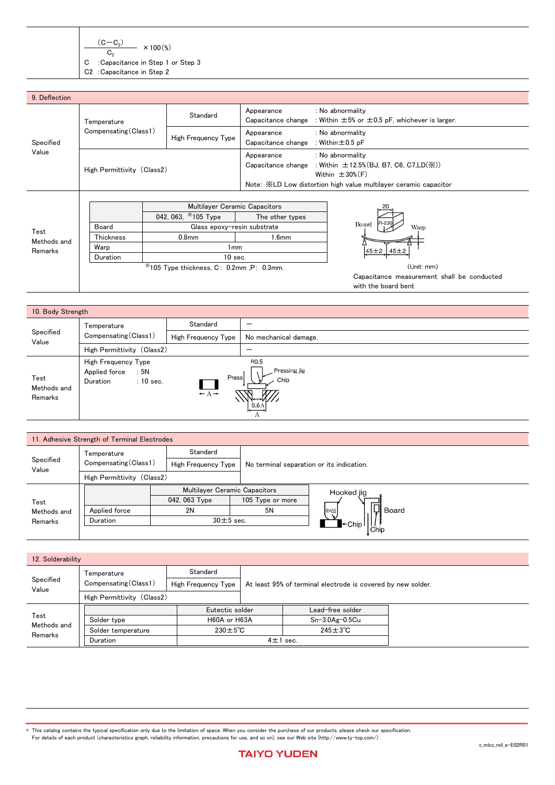$\frac{(C-C_2)}{C_2}$  × 100(%) C :Capacitance in Step 1 or Step 3 C2 :Capacitance in Step 2

| 9. Deflection |                                      |           |  |                                                                                                                                                                                                        |                                  |  |                                                                              |
|---------------|--------------------------------------|-----------|--|--------------------------------------------------------------------------------------------------------------------------------------------------------------------------------------------------------|----------------------------------|--|------------------------------------------------------------------------------|
|               | Temperature<br>Compensating (Class1) |           |  | Standard                                                                                                                                                                                               | Appearance<br>Capacitance change |  | : No abnormality<br>: Within $\pm 5$ % or $\pm 0.5$ pF, whichever is larger. |
| Specified     |                                      |           |  | High Frequency Type                                                                                                                                                                                    | Appearance<br>Capacitance change |  | : No abnormality<br>:Within±0.5 pF                                           |
| Value         | High Permittivity (Class2)           |           |  | : No abnormality<br>Appearance<br>Capacitance change : Within $\pm$ 12.5% (BJ, B7, C6, C7, LD ( $\chi$ ))<br>Within $\pm 30\%$ (F)<br>Note: XLD Low distortion high value multilayer ceramic capacitor |                                  |  |                                                                              |
|               |                                      |           |  |                                                                                                                                                                                                        |                                  |  |                                                                              |
|               |                                      |           |  | Multilayer Ceramic Capacitors                                                                                                                                                                          |                                  |  |                                                                              |
|               |                                      |           |  | 042, 063, *105 Type                                                                                                                                                                                    | The other types                  |  |                                                                              |
| Test          |                                      | Board     |  | Glass epoxy-resin substrate                                                                                                                                                                            |                                  |  | Board<br>Warp                                                                |
| Methods and   |                                      | Thickness |  | 0.8 <sub>mm</sub>                                                                                                                                                                                      | 1.6 <sub>mm</sub>                |  |                                                                              |
| Remarks       |                                      | Warp      |  | 1 <sub>mm</sub>                                                                                                                                                                                        |                                  |  | $45 \pm 2$<br>45±2                                                           |
|               |                                      | Duration  |  | $10$ sec.                                                                                                                                                                                              |                                  |  |                                                                              |
|               |                                      |           |  | $*105$ Type thickness, C: 0.2mm, P: 0.3mm.                                                                                                                                                             |                                  |  | (Unit: mm)                                                                   |
|               |                                      |           |  |                                                                                                                                                                                                        |                                  |  | Capacitance measurement shall be conducted                                   |
|               |                                      |           |  |                                                                                                                                                                                                        |                                  |  | with the board bent                                                          |

|                                | 10. Body Strength                                                       |                                     |                                                       |  |  |  |
|--------------------------------|-------------------------------------------------------------------------|-------------------------------------|-------------------------------------------------------|--|--|--|
|                                | Temperature                                                             | Standard                            |                                                       |  |  |  |
| Specified<br>Value             | Compensating (Class1)                                                   | High Frequency Type                 | No mechanical damage.                                 |  |  |  |
|                                | High Permittivity (Class2)                                              |                                     |                                                       |  |  |  |
| Test<br>Methods and<br>Remarks | High Frequency Type<br>Applied force<br>: 5N<br>$: 10$ sec.<br>Duration | Press<br>$\leftarrow A \rightarrow$ | R <sub>0.5</sub><br>Pressing jig<br>Chip<br>0.6A<br>А |  |  |  |

|                    | 11. Adhesive Strength of Terminal Electrodes |                                                                    |    |                                           |  |  |
|--------------------|----------------------------------------------|--------------------------------------------------------------------|----|-------------------------------------------|--|--|
|                    | Temperature                                  | Standard                                                           |    |                                           |  |  |
| Specified<br>Value | Compensating (Class1)                        | High Frequency Type                                                |    | No terminal separation or its indication. |  |  |
|                    | High Permittivity (Class2)                   |                                                                    |    |                                           |  |  |
|                    |                                              | Multilayer Ceramic Capacitors<br>042, 063 Type<br>105 Type or more |    | Hooked jig                                |  |  |
| Test               |                                              |                                                                    |    |                                           |  |  |
| Methods and        | Applied force                                | 2N                                                                 | 5N | 口 Board<br>$R = 0.5$                      |  |  |
| Remarks            | Duration                                     | $30 \pm 5$ sec.                                                    |    | l <del>←</del> Chip I                     |  |  |
|                    |                                              |                                                                    |    | Chip                                      |  |  |

| 12. Solderability   |                            |                       |                  |                                                              |  |
|---------------------|----------------------------|-----------------------|------------------|--------------------------------------------------------------|--|
| Specified<br>Value  | Temperature                | Standard              |                  |                                                              |  |
|                     | Compensating (Class1)      | High Frequency Type   |                  | At least 95% of terminal electrode is covered by new solder. |  |
|                     | High Permittivity (Class2) |                       |                  |                                                              |  |
|                     | Eutectic solder            |                       | Lead-free solder |                                                              |  |
| Test<br>Methods and | Solder type                |                       | H60A or H63A     | $Sn-3.0Ag-0.5Cu$                                             |  |
| Remarks             | Solder temperature         | $230 \pm 5^{\circ}$ C |                  | $245 \pm 3^{\circ}$ C                                        |  |
|                     | Duration                   |                       | $4 \pm 1$ sec.   |                                                              |  |

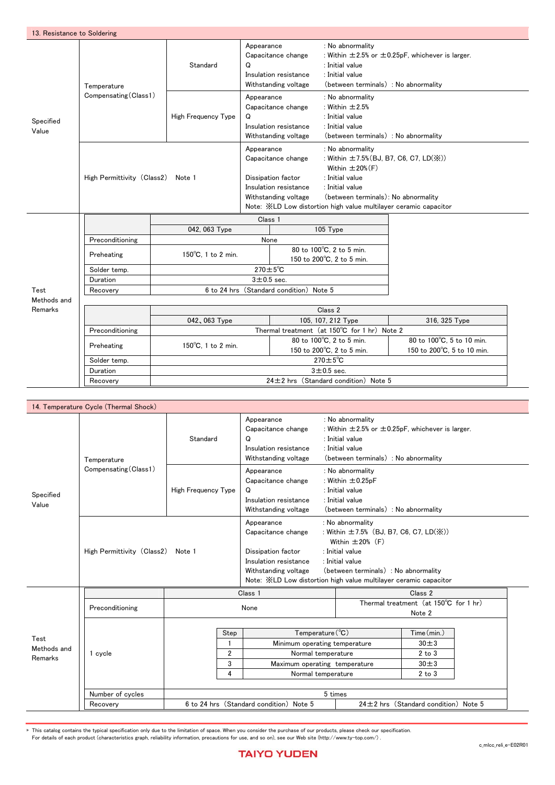| : No abnormality<br>Appearance<br>Capacitance change<br>: Within $\pm 2.5$ % or $\pm 0.25$ pF, whichever is larger.<br>Standard<br>: Initial value<br>Q<br>Insulation resistance<br>: Initial value<br>Withstanding voltage<br>(between terminals) : No abnormality<br>Temperature<br>Compensating(Class1)<br>: No abnormality<br>Appearance<br>: Within $\pm 2.5%$<br>Capacitance change<br>: Initial value<br>High Frequency Type<br>Q<br>Specified<br>Insulation resistance<br>: Initial value<br>Value<br>Withstanding voltage<br>(between terminals) : No abnormality<br>: No abnormality<br>Appearance<br>: Within ±7.5% (BJ, B7, C6, C7, LD(X))<br>Capacitance change<br>Within $\pm 20\%$ (F)<br>High Permittivity (Class2)<br>Dissipation factor<br>: Initial value<br>Note 1<br>Insulation resistance<br>: Initial value<br>Withstanding voltage<br>(between terminals): No abnormality<br>Note: XLD Low distortion high value multilayer ceramic capacitor<br>Class 1<br>042, 063 Type<br>105 Type<br>Preconditioning<br>None<br>80 to 100°C, 2 to 5 min.<br>150°C, 1 to 2 min.<br>Preheating<br>150 to 200°C, 2 to 5 min.<br>$270 \pm 5^{\circ}$ C<br>Solder temp.<br>$3\pm0.5$ sec.<br>Duration<br>6 to 24 hrs (Standard condition) Note 5<br>Test<br>Recovery<br>Methods and<br>Remarks<br>Class 2<br>042, 063 Type<br>105, 107, 212 Type<br>316, 325 Type<br>Thermal treatment (at 150°C for 1 hr) Note 2<br>Preconditioning<br>80 to 100°C. 2 to 5 min.<br>80 to 100°C, 5 to 10 min.<br>150°C, 1 to 2 min.<br>Preheating<br>150 to 200°C, 5 to 10 min.<br>150 to 200°C, 2 to 5 min.<br>$270 \pm 5^{\circ}$ C<br>Solder temp.<br>$3 \pm 0.5$ sec.<br>Duration<br>$24 \pm 2$ hrs (Standard condition) Note 5<br>Recovery | 13. Resistance to Soldering |  |  |  |  |  |
|----------------------------------------------------------------------------------------------------------------------------------------------------------------------------------------------------------------------------------------------------------------------------------------------------------------------------------------------------------------------------------------------------------------------------------------------------------------------------------------------------------------------------------------------------------------------------------------------------------------------------------------------------------------------------------------------------------------------------------------------------------------------------------------------------------------------------------------------------------------------------------------------------------------------------------------------------------------------------------------------------------------------------------------------------------------------------------------------------------------------------------------------------------------------------------------------------------------------------------------------------------------------------------------------------------------------------------------------------------------------------------------------------------------------------------------------------------------------------------------------------------------------------------------------------------------------------------------------------------------------------------------------------------------------------------------------------------------------------------------|-----------------------------|--|--|--|--|--|
|                                                                                                                                                                                                                                                                                                                                                                                                                                                                                                                                                                                                                                                                                                                                                                                                                                                                                                                                                                                                                                                                                                                                                                                                                                                                                                                                                                                                                                                                                                                                                                                                                                                                                                                                        |                             |  |  |  |  |  |
|                                                                                                                                                                                                                                                                                                                                                                                                                                                                                                                                                                                                                                                                                                                                                                                                                                                                                                                                                                                                                                                                                                                                                                                                                                                                                                                                                                                                                                                                                                                                                                                                                                                                                                                                        |                             |  |  |  |  |  |
|                                                                                                                                                                                                                                                                                                                                                                                                                                                                                                                                                                                                                                                                                                                                                                                                                                                                                                                                                                                                                                                                                                                                                                                                                                                                                                                                                                                                                                                                                                                                                                                                                                                                                                                                        |                             |  |  |  |  |  |
|                                                                                                                                                                                                                                                                                                                                                                                                                                                                                                                                                                                                                                                                                                                                                                                                                                                                                                                                                                                                                                                                                                                                                                                                                                                                                                                                                                                                                                                                                                                                                                                                                                                                                                                                        |                             |  |  |  |  |  |
|                                                                                                                                                                                                                                                                                                                                                                                                                                                                                                                                                                                                                                                                                                                                                                                                                                                                                                                                                                                                                                                                                                                                                                                                                                                                                                                                                                                                                                                                                                                                                                                                                                                                                                                                        |                             |  |  |  |  |  |
|                                                                                                                                                                                                                                                                                                                                                                                                                                                                                                                                                                                                                                                                                                                                                                                                                                                                                                                                                                                                                                                                                                                                                                                                                                                                                                                                                                                                                                                                                                                                                                                                                                                                                                                                        |                             |  |  |  |  |  |
|                                                                                                                                                                                                                                                                                                                                                                                                                                                                                                                                                                                                                                                                                                                                                                                                                                                                                                                                                                                                                                                                                                                                                                                                                                                                                                                                                                                                                                                                                                                                                                                                                                                                                                                                        |                             |  |  |  |  |  |
|                                                                                                                                                                                                                                                                                                                                                                                                                                                                                                                                                                                                                                                                                                                                                                                                                                                                                                                                                                                                                                                                                                                                                                                                                                                                                                                                                                                                                                                                                                                                                                                                                                                                                                                                        |                             |  |  |  |  |  |
|                                                                                                                                                                                                                                                                                                                                                                                                                                                                                                                                                                                                                                                                                                                                                                                                                                                                                                                                                                                                                                                                                                                                                                                                                                                                                                                                                                                                                                                                                                                                                                                                                                                                                                                                        |                             |  |  |  |  |  |
|                                                                                                                                                                                                                                                                                                                                                                                                                                                                                                                                                                                                                                                                                                                                                                                                                                                                                                                                                                                                                                                                                                                                                                                                                                                                                                                                                                                                                                                                                                                                                                                                                                                                                                                                        |                             |  |  |  |  |  |
|                                                                                                                                                                                                                                                                                                                                                                                                                                                                                                                                                                                                                                                                                                                                                                                                                                                                                                                                                                                                                                                                                                                                                                                                                                                                                                                                                                                                                                                                                                                                                                                                                                                                                                                                        |                             |  |  |  |  |  |
|                                                                                                                                                                                                                                                                                                                                                                                                                                                                                                                                                                                                                                                                                                                                                                                                                                                                                                                                                                                                                                                                                                                                                                                                                                                                                                                                                                                                                                                                                                                                                                                                                                                                                                                                        |                             |  |  |  |  |  |
|                                                                                                                                                                                                                                                                                                                                                                                                                                                                                                                                                                                                                                                                                                                                                                                                                                                                                                                                                                                                                                                                                                                                                                                                                                                                                                                                                                                                                                                                                                                                                                                                                                                                                                                                        |                             |  |  |  |  |  |
|                                                                                                                                                                                                                                                                                                                                                                                                                                                                                                                                                                                                                                                                                                                                                                                                                                                                                                                                                                                                                                                                                                                                                                                                                                                                                                                                                                                                                                                                                                                                                                                                                                                                                                                                        |                             |  |  |  |  |  |
|                                                                                                                                                                                                                                                                                                                                                                                                                                                                                                                                                                                                                                                                                                                                                                                                                                                                                                                                                                                                                                                                                                                                                                                                                                                                                                                                                                                                                                                                                                                                                                                                                                                                                                                                        |                             |  |  |  |  |  |
|                                                                                                                                                                                                                                                                                                                                                                                                                                                                                                                                                                                                                                                                                                                                                                                                                                                                                                                                                                                                                                                                                                                                                                                                                                                                                                                                                                                                                                                                                                                                                                                                                                                                                                                                        |                             |  |  |  |  |  |
|                                                                                                                                                                                                                                                                                                                                                                                                                                                                                                                                                                                                                                                                                                                                                                                                                                                                                                                                                                                                                                                                                                                                                                                                                                                                                                                                                                                                                                                                                                                                                                                                                                                                                                                                        |                             |  |  |  |  |  |
|                                                                                                                                                                                                                                                                                                                                                                                                                                                                                                                                                                                                                                                                                                                                                                                                                                                                                                                                                                                                                                                                                                                                                                                                                                                                                                                                                                                                                                                                                                                                                                                                                                                                                                                                        |                             |  |  |  |  |  |

|                                | 14. Temperature Cycle (Thermal Shock) |                     |                                                                                                                                                                                                                                                                                                                                                  |                                                                                                                                                               |                                                                    |  |  |
|--------------------------------|---------------------------------------|---------------------|--------------------------------------------------------------------------------------------------------------------------------------------------------------------------------------------------------------------------------------------------------------------------------------------------------------------------------------------------|---------------------------------------------------------------------------------------------------------------------------------------------------------------|--------------------------------------------------------------------|--|--|
| Specified<br>Value             | Temperature                           | Standard            | Appearance<br>Capacitance change<br>Q<br>Insulation resistance<br>Withstanding voltage                                                                                                                                                                                                                                                           | : No abnormality<br>: Within $\pm 2.5$ % or $\pm 0.25$ pF, whichever is larger.<br>: Initial value<br>: Initial value<br>(between terminals) : No abnormality |                                                                    |  |  |
|                                | Compensating (Class1)                 | High Frequency Type | Appearance<br>Capacitance change<br>റ<br>Insulation resistance<br>Withstanding voltage                                                                                                                                                                                                                                                           | : No abnormality<br>: Within ±0.25pF<br>: Initial value<br>: Initial value<br>(between terminals) : No abnormality                                            |                                                                    |  |  |
|                                | High Permittivity (Class2)            | Note 1              | : No abnormality<br>Appearance<br>: Within ±7.5% (BJ, B7, C6, C7, LD(※))<br>Capacitance change<br>Within $\pm 20\%$ (F)<br>Dissipation factor<br>: Initial value<br>Insulation resistance<br>: Initial value<br>(between terminals) : No abnormality<br>Withstanding voltage<br>Note: XLD Low distortion high value multilayer ceramic capacitor |                                                                                                                                                               |                                                                    |  |  |
|                                |                                       |                     | Class 1                                                                                                                                                                                                                                                                                                                                          |                                                                                                                                                               | Class 2                                                            |  |  |
|                                | Preconditioning                       |                     | None                                                                                                                                                                                                                                                                                                                                             | Thermal treatment (at 150°C for 1 hr)<br>Note 2                                                                                                               |                                                                    |  |  |
| Test<br>Methods and<br>Remarks | 1 cycle<br>Number of cycles           | Step<br>2<br>3<br>4 | Temperature (°C)<br>Minimum operating temperature<br>Normal temperature<br>Maximum operating temperature<br>Normal temperature<br>5 times                                                                                                                                                                                                        |                                                                                                                                                               | Time(min.)<br>$30 \pm 3$<br>$2$ to $3$<br>$30 \pm 3$<br>$2$ to $3$ |  |  |
|                                | Recovery                              |                     | 6 to 24 hrs (Standard condition) Note 5                                                                                                                                                                                                                                                                                                          |                                                                                                                                                               | $24 \pm 2$ hrs (Standard condition) Note 5                         |  |  |
|                                |                                       |                     |                                                                                                                                                                                                                                                                                                                                                  |                                                                                                                                                               |                                                                    |  |  |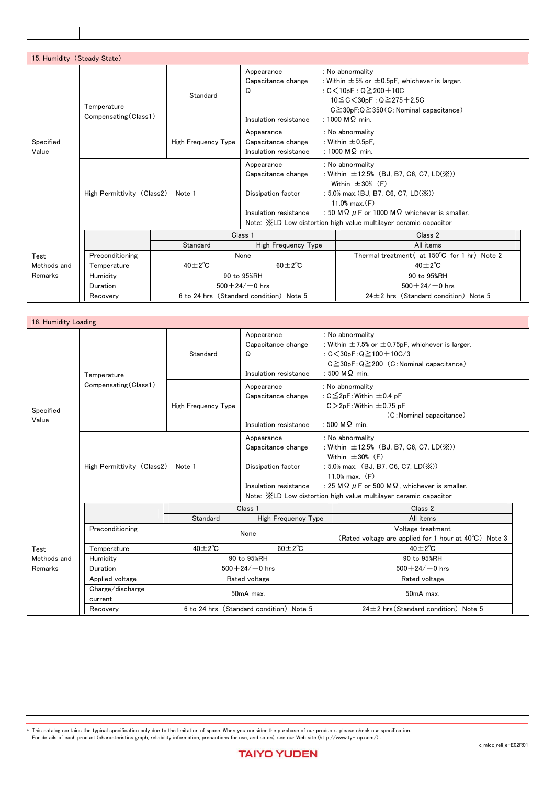| 15. Humidity (Steady State) |                                      |                                                                                 |                                                                                                                                                |                                                                                                                                                                                                                                                                                                      |                                                                                                                                                        |  |
|-----------------------------|--------------------------------------|---------------------------------------------------------------------------------|------------------------------------------------------------------------------------------------------------------------------------------------|------------------------------------------------------------------------------------------------------------------------------------------------------------------------------------------------------------------------------------------------------------------------------------------------------|--------------------------------------------------------------------------------------------------------------------------------------------------------|--|
| Specified<br>Value          | Temperature<br>Compensating (Class1) | Standard                                                                        | : No abnormality<br>Appearance<br>Capacitance change<br>: $C < 10pF : Q \ge 200 + 10C$<br>Q<br>: 1000 M $\Omega$ min.<br>Insulation resistance |                                                                                                                                                                                                                                                                                                      | : Within $\pm 5\%$ or $\pm 0.5$ pF, whichever is larger.<br>$10 \le C < 30pF : Q \ge 275 + 2.5C$<br>$C \geq 30pF: Q \geq 350$ (C: Nominal capacitance) |  |
|                             |                                      | High Frequency Type                                                             | Appearance<br>Capacitance change<br>Insulation resistance                                                                                      |                                                                                                                                                                                                                                                                                                      | : No abnormality<br>: Within $\pm 0.5$ pF,<br>: 1000 M $\Omega$ min.                                                                                   |  |
|                             | High Permittivity (Class2) Note 1    | Appearance<br>Capacitance change<br>Dissipation factor<br>Insulation resistance |                                                                                                                                                | : No abnormality<br>: Within $\pm$ 12.5% (BJ, B7, C6, C7, LD $(\%)$ )<br>Within $\pm 30\%$ (F)<br>: 5.0% max. (BJ, B7, C6, C7, $LD(X)$ )<br>11.0% max. $(F)$<br>: 50 M $\Omega$ $\mu$ F or 1000 M $\Omega$ whichever is smaller.<br>Note: XLD Low distortion high value multilayer ceramic capacitor |                                                                                                                                                        |  |
|                             |                                      |                                                                                 | Class 1                                                                                                                                        |                                                                                                                                                                                                                                                                                                      | Class 2                                                                                                                                                |  |
|                             |                                      | Standard                                                                        | High Frequency Type                                                                                                                            |                                                                                                                                                                                                                                                                                                      | All items                                                                                                                                              |  |
| Test                        | Preconditioning                      |                                                                                 | None                                                                                                                                           |                                                                                                                                                                                                                                                                                                      | Thermal treatment (at 150°C for 1 hr) Note 2                                                                                                           |  |
| Methods and                 | Temperature                          | $40\pm2\degree$ C                                                               | $60 \pm 2^{\circ}C$                                                                                                                            |                                                                                                                                                                                                                                                                                                      | $40\pm2\degree$ C                                                                                                                                      |  |
| Remarks                     | Humidity                             |                                                                                 | 90 to 95%RH                                                                                                                                    |                                                                                                                                                                                                                                                                                                      | 90 to 95%RH                                                                                                                                            |  |
|                             | Duration                             |                                                                                 | $500 + 24 / - 0$ hrs                                                                                                                           |                                                                                                                                                                                                                                                                                                      | $500 + 24 / - 0$ hrs                                                                                                                                   |  |
|                             | Recovery                             |                                                                                 | 6 to 24 hrs (Standard condition) Note 5                                                                                                        |                                                                                                                                                                                                                                                                                                      | $24 \pm 2$ hrs (Standard condition) Note 5                                                                                                             |  |

|                    | 16. Humidity Loading              |                                 |                                                                                                                                                                                                                                                                                                                                                                                         |                                                                                                                                                                                                |  |  |  |
|--------------------|-----------------------------------|---------------------------------|-----------------------------------------------------------------------------------------------------------------------------------------------------------------------------------------------------------------------------------------------------------------------------------------------------------------------------------------------------------------------------------------|------------------------------------------------------------------------------------------------------------------------------------------------------------------------------------------------|--|--|--|
| Specified<br>Value | Temperature                       | Standard                        | Appearance<br>Capacitance change<br>Q<br>Insulation resistance                                                                                                                                                                                                                                                                                                                          | : No abnormality<br>: Within $\pm$ 7.5% or $\pm$ 0.75pF, whichever is larger.<br>: $C < 30pF : Q \ge 100 + 10C/3$<br>$C \ge 30pF: Q \ge 200$ (C: Nominal capacitance)<br>: 500 M $\Omega$ min. |  |  |  |
|                    | Compensating (Class1)             | High Frequency Type             | Appearance<br>Capacitance change<br>Insulation resistance                                                                                                                                                                                                                                                                                                                               | : No abnormality<br>: $C \leq 2pF$ : Within $\pm 0.4$ pF<br>$C>2pF:$ Within $\pm 0.75pF$<br>(C: Nominal capacitance)<br>: 500 M $\Omega$ min.                                                  |  |  |  |
|                    | High Permittivity (Class2) Note 1 |                                 | : No abnormality<br>Appearance<br>: Within $\pm$ 12.5% (BJ, B7, C6, C7, LD $(\%)$ )<br>Capacitance change<br>Within $\pm 30\%$ (F)<br>: 5.0% max. $(BJ, B7, C6, C7, LD(X))$<br>Dissipation factor<br>11.0% max. $(F)$<br>: 25 M $\Omega$ $\mu$ F or 500 M $\Omega$ , whichever is smaller.<br>Insulation resistance<br>Note: XLD Low distortion high value multilayer ceramic capacitor |                                                                                                                                                                                                |  |  |  |
|                    |                                   |                                 | Class 1                                                                                                                                                                                                                                                                                                                                                                                 | Class 2                                                                                                                                                                                        |  |  |  |
|                    |                                   | Standard<br>High Frequency Type |                                                                                                                                                                                                                                                                                                                                                                                         | All items                                                                                                                                                                                      |  |  |  |
|                    | Preconditioning                   |                                 | None                                                                                                                                                                                                                                                                                                                                                                                    | Voltage treatment<br>(Rated voltage are applied for 1 hour at $40^{\circ}$ C) Note 3                                                                                                           |  |  |  |
| Test               | Temperature                       | $40\pm2\degree$ C               | $60 \pm 2^{\circ}$ C                                                                                                                                                                                                                                                                                                                                                                    | $40\pm2\degree$ C                                                                                                                                                                              |  |  |  |
| Methods and        | Humidity                          |                                 | 90 to 95%RH                                                                                                                                                                                                                                                                                                                                                                             | 90 to 95%RH                                                                                                                                                                                    |  |  |  |
| Remarks            | Duration                          |                                 | $500 + 24 / - 0$ hrs                                                                                                                                                                                                                                                                                                                                                                    | $500 + 24/ - 0$ hrs                                                                                                                                                                            |  |  |  |
|                    | Applied voltage                   |                                 | Rated voltage                                                                                                                                                                                                                                                                                                                                                                           | Rated voltage                                                                                                                                                                                  |  |  |  |
|                    | Charge/discharge<br>current       |                                 | 50mA max.                                                                                                                                                                                                                                                                                                                                                                               | 50mA max.                                                                                                                                                                                      |  |  |  |
|                    | Recovery                          |                                 | 6 to 24 hrs (Standard condition) Note 5                                                                                                                                                                                                                                                                                                                                                 | $24 \pm 2$ hrs (Standard condition) Note 5                                                                                                                                                     |  |  |  |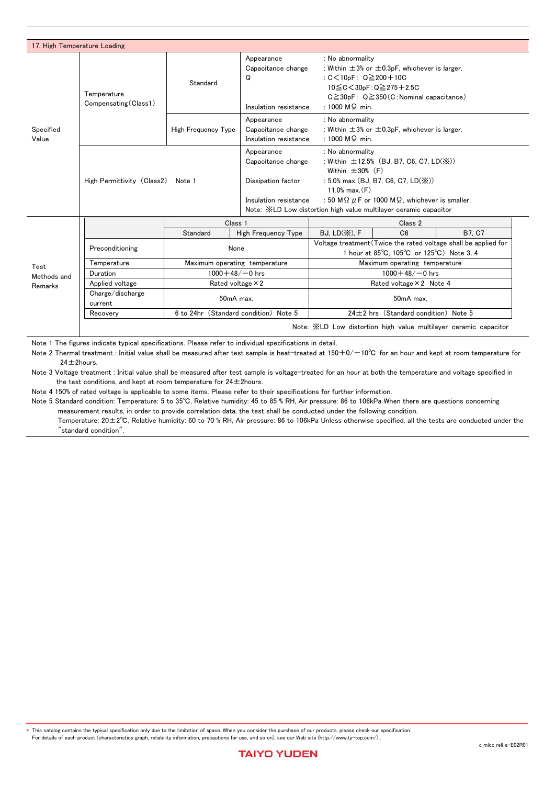| 17. High Temperature Loading |                                      |                               |                                                                                 |                                                                                                                                                                                                                                                                                                   |  |  |  |
|------------------------------|--------------------------------------|-------------------------------|---------------------------------------------------------------------------------|---------------------------------------------------------------------------------------------------------------------------------------------------------------------------------------------------------------------------------------------------------------------------------------------------|--|--|--|
| Specified<br>Value           | Temperature<br>Compensating (Class1) | Standard                      | Appearance<br>Capacitance change<br>Q<br>Insulation resistance                  | : No abnormality<br>: Within $\pm 3$ % or $\pm 0.3$ pF, whichever is larger.<br>: $C < 10pF$ : $Q \ge 200 + 10C$<br>$10 \le C < 30pF$ : Q $\ge 275 + 2.5C$<br>$C \ge 30pF$ : $Q \ge 350$ (C: Nominal capacitance)<br>: 1000 M $\Omega$ min.                                                       |  |  |  |
|                              |                                      | High Frequency Type           | Appearance<br>Capacitance change<br>Insulation resistance                       | : No abnormality<br>: Within $\pm 3$ % or $\pm 0.3$ pF, whichever is larger.<br>: 1000 M $\Omega$ min.                                                                                                                                                                                            |  |  |  |
|                              | High Permittivity (Class2) Note 1    |                               | Appearance<br>Capacitance change<br>Dissipation factor<br>Insulation resistance | : No abnormality<br>: Within $\pm$ 12.5% (BJ, B7, C6, C7, LD(※))<br>Within $\pm 30\%$ (F)<br>: 5.0% max. (BJ, B7, C6, C7, $LD(X)$ )<br>11.0% max. $(F)$<br>: 50 M $\Omega$ $\mu$ F or 1000 M $\Omega$ , whichever is smaller.<br>Note: XLD Low distortion high value multilayer ceramic capacitor |  |  |  |
|                              |                                      | Class <sub>1</sub>            |                                                                                 | Class 2                                                                                                                                                                                                                                                                                           |  |  |  |
|                              |                                      | Standard                      | High Frequency Type                                                             | BJ, $LD(X)$ , F<br>B7, C7<br>C6                                                                                                                                                                                                                                                                   |  |  |  |
|                              | Preconditioning                      | None                          |                                                                                 | Voltage treatment (Twice the rated voltage shall be applied for<br>1 hour at 85°C, 105°C or 125°C) Note 3, 4                                                                                                                                                                                      |  |  |  |
| Test                         | Temperature                          | Maximum operating temperature |                                                                                 | Maximum operating temperature                                                                                                                                                                                                                                                                     |  |  |  |
| Mathode and                  | Duration                             | $1000 + 48/-0$ hrs            |                                                                                 | $1000 + 48/-0$ hrs                                                                                                                                                                                                                                                                                |  |  |  |

| Metrious and<br>Remarks | Applied voltage             | Rated voltage $\times 2$              | Rated voltage $\times$ 2 Note 4            |  |  |  |
|-------------------------|-----------------------------|---------------------------------------|--------------------------------------------|--|--|--|
|                         | Charge/discharge<br>current | 50mA max.                             | 50mA max.                                  |  |  |  |
|                         | Recovery                    | 6 to 24hr (Standard condition) Note 5 | $24 \pm 2$ hrs (Standard condition) Note 5 |  |  |  |
|                         |                             |                                       | .                                          |  |  |  |

Note: ※LD Low distortion high value multilayer ceramic capacitor

Note 1 The figures indicate typical specifications. Please refer to individual specifications in detail.

Note 2 Thermal treatment : Initial value shall be measured after test sample is heat-treated at 150+0/-10℃ for an hour and kept at room temperature for 24±2hours.

Note 3 Voltage treatment : Initial value shall be measured after test sample is voltage-treated for an hour at both the temperature and voltage specified in the test conditions, and kept at room temperature for  $24\pm2$ hours.

Note 4 150% of rated voltage is applicable to some items. Please refer to their specifications for further information.

Note 5 Standard condition: Temperature: 5 to 35℃, Relative humidity: 45 to 85 % RH, Air pressure: 86 to 106kPa When there are questions concerning measurement results, in order to provide correlation data, the test shall be conducted under the following condition.

Temperature: 20±2℃, Relative humidity: 60 to 70 % RH, Air pressure: 86 to 106kPa Unless otherwise specified, all the tests are conducted under the "standard condition".

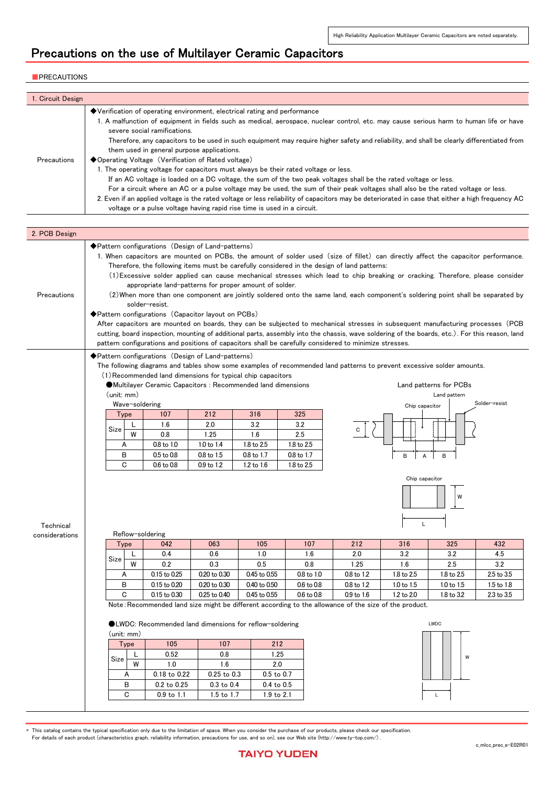## Precautions on the use of Multilayer Ceramic Capacitors

### **PRECAUTIONS**

| 1. Circuit Design |                                                                                                                                                                                                                                                                                                                                                                                                                                                                                                                                                                                                                                                                                                                                                                                                                                                                                                                                                                                                                                                                                       |
|-------------------|---------------------------------------------------------------------------------------------------------------------------------------------------------------------------------------------------------------------------------------------------------------------------------------------------------------------------------------------------------------------------------------------------------------------------------------------------------------------------------------------------------------------------------------------------------------------------------------------------------------------------------------------------------------------------------------------------------------------------------------------------------------------------------------------------------------------------------------------------------------------------------------------------------------------------------------------------------------------------------------------------------------------------------------------------------------------------------------|
| Precautions       | ◆Verification of operating environment, electrical rating and performance<br>1. A malfunction of equipment in fields such as medical, aerospace, nuclear control, etc. may cause serious harm to human life or have<br>severe social ramifications.<br>Therefore, any capacitors to be used in such equipment may require higher safety and reliability, and shall be clearly differentiated from<br>them used in general purpose applications.<br>◆ Operating Voltage (Verification of Rated voltage)<br>1. The operating voltage for capacitors must always be their rated voltage or less.<br>If an AC voltage is loaded on a DC voltage, the sum of the two peak voltages shall be the rated voltage or less.<br>For a circuit where an AC or a pulse voltage may be used, the sum of their peak voltages shall also be the rated voltage or less.<br>2. Even if an applied voltage is the rated voltage or less reliability of capacitors may be deteriorated in case that either a high frequency AC<br>voltage or a pulse voltage having rapid rise time is used in a circuit. |

| 2. PCB Design               |                                                                                                                                                                                                                                                                                                                                                                                                                                                                                                                                                                                                                                                                                                                                                                                                                                                                                                                                                                                                                                                                                                |                                                                                                                                                                                                        |                                      |                                      |            |            |            |            |            |
|-----------------------------|------------------------------------------------------------------------------------------------------------------------------------------------------------------------------------------------------------------------------------------------------------------------------------------------------------------------------------------------------------------------------------------------------------------------------------------------------------------------------------------------------------------------------------------------------------------------------------------------------------------------------------------------------------------------------------------------------------------------------------------------------------------------------------------------------------------------------------------------------------------------------------------------------------------------------------------------------------------------------------------------------------------------------------------------------------------------------------------------|--------------------------------------------------------------------------------------------------------------------------------------------------------------------------------------------------------|--------------------------------------|--------------------------------------|------------|------------|------------|------------|------------|
| Precautions                 | ◆ Pattern configurations (Design of Land-patterns)<br>1. When capacitors are mounted on PCBs, the amount of solder used (size of fillet) can directly affect the capacitor performance.<br>Therefore, the following items must be carefully considered in the design of land patterns:<br>(1) Excessive solder applied can cause mechanical stresses which lead to chip breaking or cracking. Therefore, please consider<br>appropriate land-patterns for proper amount of solder.<br>(2) When more than one component are jointly soldered onto the same land, each component's soldering point shall be separated by<br>solder-resist.<br>◆ Pattern configurations (Capacitor layout on PCBs)<br>After capacitors are mounted on boards, they can be subjected to mechanical stresses in subsequent manufacturing processes (PCB<br>cutting, board inspection, mounting of additional parts, assembly into the chassis, wave soldering of the boards, etc.). For this reason, land<br>pattern configurations and positions of capacitors shall be carefully considered to minimize stresses. |                                                                                                                                                                                                        |                                      |                                      |            |            |            |            |            |
|                             | ◆ Pattern configurations (Design of Land-patterns)<br>The following diagrams and tables show some examples of recommended land patterns to prevent excessive solder amounts.<br>(1) Recommended land dimensions for typical chip capacitors<br>●Multilayer Ceramic Capacitors : Recommended land dimensions<br>Land patterns for PCBs<br>(unit: mm)<br>Land pattern<br>Solder-resist<br>Wave-soldering<br>Chip capacitor<br>325<br>107<br>212<br>316<br>Type<br>2.0<br>1.6<br>3.2<br>3.2<br>L<br>C<br>Size<br>W<br>2.5<br>0.8<br>1.25<br>1.6<br>0.8 to 1.0<br>1.0 to 1.4<br>1.8 to 2.5<br>1.8 to 2.5<br>Α<br>B<br>0.5 to 0.8<br>0.8 to 1.5<br>0.8 to 1.7<br>0.8 to 1.7<br>B<br>$\sf B$<br>Α<br>C<br>0.6 to 0.8<br>0.9 to 1.2<br>1.2 to 1.6<br>1.8 to 2.5<br>Chip capacitor<br>W                                                                                                                                                                                                                                                                                                                |                                                                                                                                                                                                        |                                      |                                      |            |            |            |            |            |
| Technical<br>considerations | Reflow-soldering                                                                                                                                                                                                                                                                                                                                                                                                                                                                                                                                                                                                                                                                                                                                                                                                                                                                                                                                                                                                                                                                               |                                                                                                                                                                                                        |                                      |                                      |            |            | L          |            |            |
|                             | Type                                                                                                                                                                                                                                                                                                                                                                                                                                                                                                                                                                                                                                                                                                                                                                                                                                                                                                                                                                                                                                                                                           | 042                                                                                                                                                                                                    | 063                                  | 105                                  | 107        | 212        | 316        | 325        | 432        |
|                             | L                                                                                                                                                                                                                                                                                                                                                                                                                                                                                                                                                                                                                                                                                                                                                                                                                                                                                                                                                                                                                                                                                              | 0.4                                                                                                                                                                                                    | 0.6                                  | 1.0                                  | 1.6        | 2.0        | 3.2        | 3.2        | 4.5        |
|                             | Size<br>W                                                                                                                                                                                                                                                                                                                                                                                                                                                                                                                                                                                                                                                                                                                                                                                                                                                                                                                                                                                                                                                                                      | 0.2                                                                                                                                                                                                    | 0.3                                  | 0.5                                  | 0.8        | 1.25       | 1.6        | 2.5        | 3.2        |
|                             | Α                                                                                                                                                                                                                                                                                                                                                                                                                                                                                                                                                                                                                                                                                                                                                                                                                                                                                                                                                                                                                                                                                              | 0.15 to 0.25                                                                                                                                                                                           | 0.20 to 0.30                         | 0.45 to 0.55                         | 0.8 to 1.0 | 0.8 to 1.2 | 1.8 to 2.5 | 1.8 to 2.5 | 2.5 to 3.5 |
|                             | В                                                                                                                                                                                                                                                                                                                                                                                                                                                                                                                                                                                                                                                                                                                                                                                                                                                                                                                                                                                                                                                                                              | 0.15 to 0.20                                                                                                                                                                                           | 0.20 to 0.30                         | 0.40 to 0.50                         | 0.6 to 0.8 | 0.8 to 1.2 | 1.0 to 1.5 | 1.0 to 1.5 | 1.5 to 1.8 |
|                             | C                                                                                                                                                                                                                                                                                                                                                                                                                                                                                                                                                                                                                                                                                                                                                                                                                                                                                                                                                                                                                                                                                              | 0.15 to 0.30                                                                                                                                                                                           | 0.25 to 0.40                         | 0.45 to 0.55                         | 0.6 to 0.8 | 0.9 to 1.6 | 1.2 to 2.0 | 1.8 to 3.2 | 2.3 to 3.5 |
|                             | (unit: mm)<br><b>Type</b><br>L<br>Size<br>W<br>A                                                                                                                                                                                                                                                                                                                                                                                                                                                                                                                                                                                                                                                                                                                                                                                                                                                                                                                                                                                                                                               | Note: Recommended land size might be different according to the allowance of the size of the product.<br>●LWDC: Recommended land dimensions for reflow-soldering<br>105<br>0.52<br>1.0<br>0.18 to 0.22 | 107<br>0.8<br>1.6<br>$0.25$ to $0.3$ | 212<br>1.25<br>2.0<br>$0.5$ to $0.7$ |            |            |            | LWDC<br>W  |            |
|                             | в<br>$\mathbf C$                                                                                                                                                                                                                                                                                                                                                                                                                                                                                                                                                                                                                                                                                                                                                                                                                                                                                                                                                                                                                                                                               | 0.2 to 0.25<br>0.9 to 1.1                                                                                                                                                                              | 0.3 to 0.4<br>1.5 to 1.7             | 0.4 to 0.5<br>1.9 to 2.1             |            |            |            | L          |            |
|                             |                                                                                                                                                                                                                                                                                                                                                                                                                                                                                                                                                                                                                                                                                                                                                                                                                                                                                                                                                                                                                                                                                                |                                                                                                                                                                                                        |                                      |                                      |            |            |            |            |            |

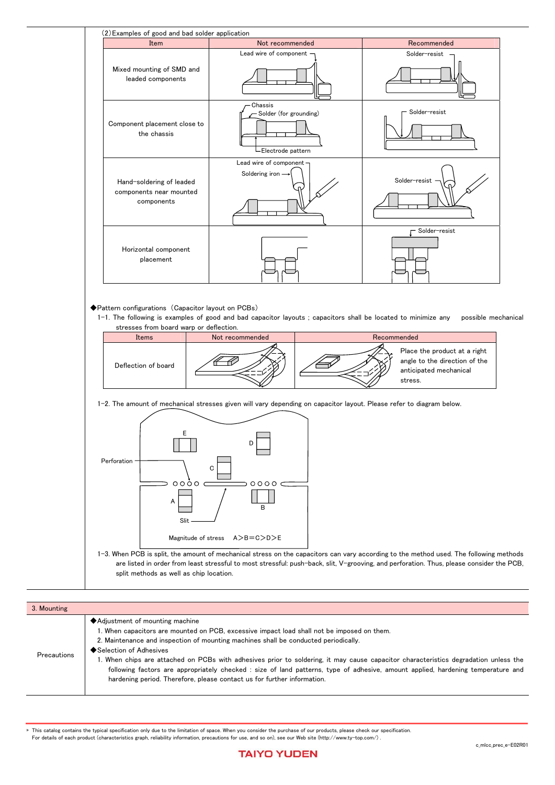

| 3. Mounting |                                                                                                                                                                                                                                                                                                                                                                                                                                                                                                                                                                                                         |
|-------------|---------------------------------------------------------------------------------------------------------------------------------------------------------------------------------------------------------------------------------------------------------------------------------------------------------------------------------------------------------------------------------------------------------------------------------------------------------------------------------------------------------------------------------------------------------------------------------------------------------|
| Precautions | ◆ Adjustment of mounting machine<br>1. When capacitors are mounted on PCB, excessive impact load shall not be imposed on them.<br>2. Maintenance and inspection of mounting machines shall be conducted periodically.<br>◆ Selection of Adhesives<br>1. When chips are attached on PCBs with adhesives prior to soldering, it may cause capacitor characteristics degradation unless the<br>following factors are appropriately checked : size of land patterns, type of adhesive, amount applied, hardening temperature and<br>hardening period. Therefore, please contact us for further information. |

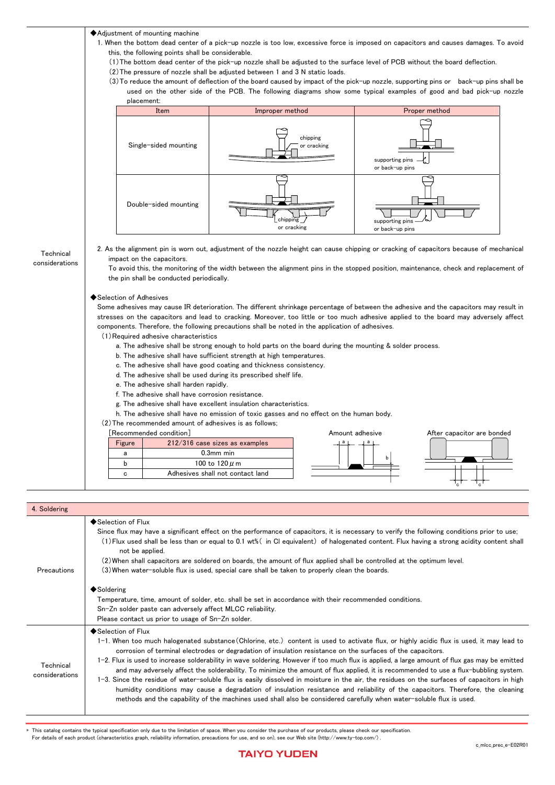

| 4. Soldering                |                                                                                                                                                                                                                                                                                                                                                                                                                                                                                                                                                                                                                                                                                                                                                                                                                                                                                                                                                                                  |  |
|-----------------------------|----------------------------------------------------------------------------------------------------------------------------------------------------------------------------------------------------------------------------------------------------------------------------------------------------------------------------------------------------------------------------------------------------------------------------------------------------------------------------------------------------------------------------------------------------------------------------------------------------------------------------------------------------------------------------------------------------------------------------------------------------------------------------------------------------------------------------------------------------------------------------------------------------------------------------------------------------------------------------------|--|
| Precautions                 | ◆Selection of Flux<br>Since flux may have a significant effect on the performance of capacitors, it is necessary to verify the following conditions prior to use;<br>(1) Flux used shall be less than or equal to 0.1 wt% (in CI equivalent) of halogenated content. Flux having a strong acidity content shall<br>not be applied.<br>(2) When shall capacitors are soldered on boards, the amount of flux applied shall be controlled at the optimum level.<br>(3) When water-soluble flux is used, special care shall be taken to properly clean the boards.<br>◆Soldering<br>Temperature, time, amount of solder, etc. shall be set in accordance with their recommended conditions.<br>Sn-Zn solder paste can adversely affect MLCC reliability.<br>Please contact us prior to usage of Sn-Zn solder.                                                                                                                                                                        |  |
| Technical<br>considerations | ◆Selection of Flux<br>1-1. When too much halogenated substance (Chlorine, etc.) content is used to activate flux, or highly acidic flux is used, it may lead to<br>corrosion of terminal electrodes or degradation of insulation resistance on the surfaces of the capacitors.<br>1–2. Flux is used to increase solderability in wave soldering. However if too much flux is applied, a large amount of flux gas may be emitted<br>and may adversely affect the solderability. To minimize the amount of flux applied, it is recommended to use a flux-bubbling system.<br>1-3. Since the residue of water-soluble flux is easily dissolved in moisture in the air, the residues on the surfaces of capacitors in high<br>humidity conditions may cause a degradation of insulation resistance and reliability of the capacitors. Therefore, the cleaning<br>methods and the capability of the machines used shall also be considered carefully when water-soluble flux is used. |  |

This catalog contains the typical specification only due to the limitation of space. When you consider the purchase of our products, please check our specification. For details of each product (characteristics graph, reliability information, precautions for use, and so on), see our Web site (http://www.ty-top.com/) .

**TAIYO YUDEN**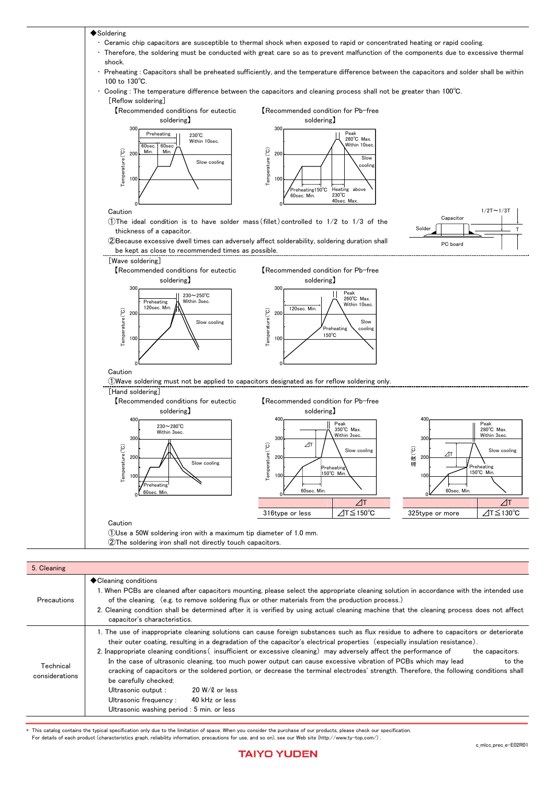

- Ceramic chip capacitors are susceptible to thermal shock when exposed to rapid or concentrated heating or rapid cooling.
- Therefore, the soldering must be conducted with great care so as to prevent malfunction of the components due to excessive thermal shock.
- ・ Preheating : Capacitors shall be preheated sufficiently, and the temperature difference between the capacitors and solder shall be within 100 to 130℃.
- ・ Cooling : The temperature difference between the capacitors and cleaning process shall not be greater than 100℃.



| 5. Cleaning                 |                                                                                                                                                                                                                                                                                                                                                                                                                                                                                                                                                                                                                                                                                                                                                                                                                                                       |
|-----------------------------|-------------------------------------------------------------------------------------------------------------------------------------------------------------------------------------------------------------------------------------------------------------------------------------------------------------------------------------------------------------------------------------------------------------------------------------------------------------------------------------------------------------------------------------------------------------------------------------------------------------------------------------------------------------------------------------------------------------------------------------------------------------------------------------------------------------------------------------------------------|
| Precautions                 | ♦ Cleaning conditions<br>1. When PCBs are cleaned after capacitors mounting, please select the appropriate cleaning solution in accordance with the intended use<br>of the cleaning. (e.g. to remove soldering flux or other materials from the production process.)<br>2. Cleaning condition shall be determined after it is verified by using actual cleaning machine that the cleaning process does not affect<br>capacitor's characteristics.                                                                                                                                                                                                                                                                                                                                                                                                     |
| Technical<br>considerations | 1. The use of inappropriate cleaning solutions can cause foreign substances such as flux residue to adhere to capacitors or deteriorate<br>their outer coating, resulting in a degradation of the capacitor's electrical properties (especially insulation resistance).<br>2. Inappropriate cleaning conditions (insufficient or excessive cleaning) may adversely affect the performance of<br>the capacitors.<br>In the case of ultrasonic cleaning, too much power output can cause excessive vibration of PCBs which may lead<br>to the<br>cracking of capacitors or the soldered portion, or decrease the terminal electrodes' strength. Therefore, the following conditions shall<br>be carefully checked;<br>Ultrasonic output :<br>$20 W/L$ or less<br>Ultrasonic frequency :<br>40 kHz or less<br>Ultrasonic washing period : 5 min. or less |

This catalog contains the typical specification only due to the limitation of space. When you consider the purchase of our products, please check our specification.

For details of each product (characteristics graph, reliability information, precautions for use, and so on), see our Web site (http://www.ty-top.com/) .